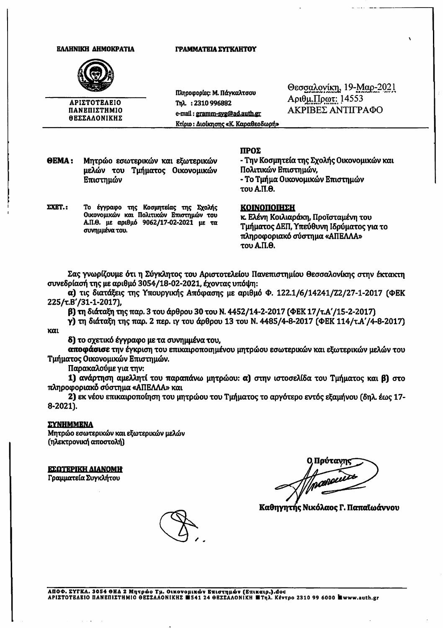### **EAAHNIKH AHMOKPATIA**

## ΓΡΑΜΜΑΤΕΙΑ ΣΥΓΚΛΗΤΟΥ



ΑΡΙΣΤΟΤΕΛΕΙΟ ΠΑΝΕΠΙΣΤΗΜΙΟ **ΘΕΣΣΑΛΟΝΙΚΗΣ** 

Πληροφορίες: Μ. Πάγκαλτσου ፐክλ.: 2310 996882 e-mail: gramm-svg@ad.auth.gr Κτίριο: Διοίκησης «Κ. Καραθεοδωρή» Θεσσαλονίκη, 19-Μαρ-2021  $Αριθμ.Πρωτ: 14553$ ΑΚΡΙΒΕΣ ΑΝΤΙΓΡΑΦΟ

**OEMA:** Μητρώο εσωτερικών και εξωτερικών μελών του Τμήματος Οικονομικών Επιστημών

## ΠΡΟΣ

- Την Κοσμητεία της Σχολής Οικονομικών και Πολιτικών Επιστημών, - Το Τμήμα Οικονομικών Επιστημών του Α.Π.Θ.

**.:** Το έγγραφο της Κοσμητείας της Σχολής Οικονομικών και Πολιτικών Επιστημών του Α.Π.Θ. με αριθμό 9062/17-02-2021 με τα συνημμένα του.

### **KOINONOIHEH**

κ. Ελένη Κοιλιαράκη, Προϊσταμένη του Τμήματος ΔΕΠ, Υπεύθυνη Ιδρύματος για το πληροφοριακό σύστημα «ΑΠΕΛΛΑ» του Α.Π.Θ.

Σας γνωρίζουμε ότι η Σύγκλητος του Αριστοτελείου Πανεπιστημίου Θεσσαλονίκης στην έκτακτη συνεδρίασή της με αριθμό 3054/18-02-2021, έχοντας υπόψη:

α) τις διατάξεις της Υπουργικής Απόφασης με αριθμό Φ. 122.1/6/14241/Z2/27-1-2017 (ΦΕΚ 225/τ.Β'/31-1-2017),

β) τη διάταξη της παρ. 3 του άρθρου 30 του Ν. 4452/14-2-2017 (ΦΕΚ 17/τ.Α'/15-2-2017)

γ) τη διάταξη της παρ. 2 περ. ιγ του άρθρου 13 του Ν. 4485/4-8-2017 (ΦΕΚ 114/τ.Α'/4-8-2017) και

δ) το σχετικό έγγραφο με τα συνημμένα του,

αποφάσισε την έγκριση του επικαιροποιημένου μητρώου εσωτερικών και εξωτερικών μελών του Τμήματος Οικονομικών Επιστημών.

Παρακαλούμε για την:

1) ανάρτηση αμελλητί του παραπάνω μητρώου: α) στην ιστοσελίδα του Τμήματος και β) στο πληροφοριακό σύστημα «ΑΠΕΛΛΑ» και

2) εκ νέου επικαιροποίηση του μητρώου του Τμήματος το αργότερο εντός εξαμήνου (δηλ. έως 17-8-2021).

# *EYNHMMENA*

Μητρώο εσωτερικών και εξωτερικών μελών (ηλεκτρονική αποστολή)

ΕΣΩΤΕΡΙΚΗ ΔΙΑΝΟΜΗ

Γραμματεία Συγκλήτου

Πούτανη ransen

Καθηγητής Νικόλαος Γ. Παπαϊωάννου

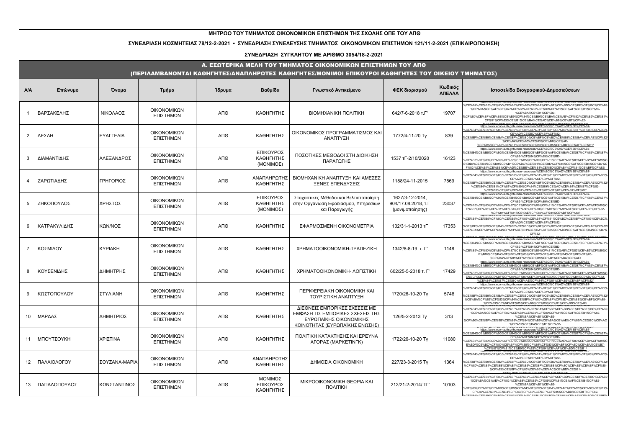#### **ΜΗΤΡΩΟ ΤΟΥ ΤΜΗΜΑΤΟΣ ΟΙΚΟΝΟΜΙΚΩΝ ΕΠΙΣΤΗΜΩΝ ΤΗΣ ΣΧΟΛΗΣ ΟΠΕ ΤΟΥ ΑΠΘ**

#### **ΣΥΝΕΔΡΙΑΣΗ ΚΟΣΜΗΤΕΙΑΣ 78/12-2-2021 • ΣΥΝΕΔΡΙΑΣΗ ΣΥΝΕΛΕΥΣΗΣ ΤΜΗΜΑΤΟΣ ΟΙΚΟΝΟΜΙΚΩΝ ΕΠΙΣΤΗΜΩΝ 121/11-2-2021 (ΕΠΙΚΑΙΡΟΠΟΙΗΣΗ)**

#### **ΣΥΝΕΔΡΙΑΣΗ ΣΥΓΚΛΗΤΟΥ ΜΕ ΑΡΙΘΜΟ 3054/18-2-2021**

#### Α. ΕΣΩΤΕΡΙΚΑ ΜΕΛΗ ΤΟΥ ΤΜΗΜΑΤΟΣ ΟΙΚΟΝΟΜΙΚΩΝ ΕΠΙΣΤΗΜΩΝ ΤΟΥ ΑΠΘ

### (ΠΕΡΙΛΑΜΒΑΝΟΝΤΑΙ ΚΑΘΗΓΗΤΕΣ/ΑΝΑΠΛΗΡΩΤΕΣ ΚΑΘΗΓΗΤΕΣ/ΜΟΝΙΜΟΙ ΕΠΙΚΟΥΡΟΙ ΚΑΘΗΓΗΤΕΣ ΤΟΥ ΟΙΚΕΙΟΥ ΤΜΗΜΑΤΟΣ)

| <b>A/A</b>     | Επώνυμο      | Όνομα          | Τμήμα                    | Ίδρυμα | Βαθμίδα                             | Γνωστικό Αντικείμενο                                                                                                          | ΦΕΚ διορισμού                                             | Κωδικός<br>ΑΠΕΛΛΑ | Ιστοσελίδα Βιογραφικού-Δημοσιεύσεων                                                                                                                                                                                                                                                                                                                                                          |
|----------------|--------------|----------------|--------------------------|--------|-------------------------------------|-------------------------------------------------------------------------------------------------------------------------------|-----------------------------------------------------------|-------------------|----------------------------------------------------------------------------------------------------------------------------------------------------------------------------------------------------------------------------------------------------------------------------------------------------------------------------------------------------------------------------------------------|
|                | ΒΑΡΣΑΚΕΛΗΣ   | ΝΙΚΟΛΑΟΣ       | ΟΙΚΟΝΟΜΙΚΩΝ<br>ΕΠΙΣΤΗΜΩΝ | ΑΠΘ    | ΚΑΘΗΓΗΤΗΣ                           | <b>BIOMHXANIKH NOAITIKH</b>                                                                                                   | 642/7-6-2018 T.F'                                         | 19707             | 6CE%B4%CE%B5%CF%80/%CE%BF%CE%B9%CE%BA%CE%BF%CE%BD%CE%BF%CE%BC%CE%B9<br>%CE%BA%CE%AE%CF%82-%CE%B8%CE%B5%CF%89%CF%81%CE%AF%CE%B1%CF%82-<br>%CE%BA%CE%B1%CE%B9<br>6CF%80%CE%BF%CE%BB%CE%B9%CF%84%CE%B9%CE%BA%CE%AE%CF%82/%CE%B2%CE%B1%<br>CF%81%CF%83%CE%B1%CE%BA%CE%AD%CE%BB%CE%B7%CF%82-<br>LODIN DOM ODM DOM ODM DAM ODM OOM ODM DOM ODM DAM ODM DDM OD                                      |
| 2              | <b>ΔΕΣΛΗ</b> | ΕΥΑΓΓΕΛΙΑ      | ΟΙΚΟΝΟΜΙΚΩΝ<br>ΕΠΙΣΤΗΜΩΝ | АПО    | ΚΑΘΗΓΗΤΗΣ                           | ΟΙΚΟΝΟΜΙΚΟΣ ΠΡΟΓΡΑΜΜΑΤΙΣΜΟΣ ΚΑΙ<br>ΑΝΑΠΤΥΞΗ                                                                                   | 1772/4-11-20 Ty                                           | 839               | https://www.econ-auth.gr/human-resources/%CE%BC%CE%AD%CE%BB%CE%B7-<br>%CE%B4%CE%B5%CF%80/%CE%B5%CF%86%CE%B1%CF%81%CE%BC%CE%BF%CF%83%CE%BC%<br>CE%AD%CE%BD%CE%B7%CF%82-<br>%CE%BF%CE%B9%CE%BA%CE%BF%CE%BD%CE%BF%CE%BC%CE%B9%CE%BA%CE%AE%CF%82<br>%CE%B4%CE%B5%CF%83%CE%BB%CE%AE-<br>%CE%B5%CE%85%CE%B1%CE%B3%CE%B3%CE%B5%CE%BB%CE%AE%CE%B1                                                    |
| $\mathcal{R}$  | ΔΙΑΜΑΝΤΙΔΗΣ  | ΑΛΕΞΑΝΔΡΟΣ     | ΟΙΚΟΝΟΜΙΚΩΝ<br>ΕΠΙΣΤΗΜΩΝ | ΑΠΘ    | ΕΠΙΚΟΥΡΟΣ<br>ΚΑΘΗΓΗΤΗΣ<br>(MONIMOΣ) | ΠΟΣΟΤΙΚΕΣ ΜΕΘΟΔΟΙ ΣΤΗ ΔΙΟΙΚΗΣΗ<br>ΠΑΡΑΓΩΓΗΣ                                                                                   | 1537 TL-2/10/2020                                         | 16123             | https://www.econ-auth.gr/human-resources/%CE%BC%CE%AD%CE%BB%CE%B7-<br>%CE%B4%CE%B5%CF%80/%CE%B4%CE%B9%CE%BF%CE%AF%CE%BA%CE%B7%CF%83%CE%B7%<br>CF%82-%CF%84%CF%89%CE%BD-<br>%CE%B5%CF%80%CE%B9%CF%87%CE%B5%CE%B9%CF%81%CE%AE%CF%83%CE%B5%CF%89%C<br>E%BD/%CE%B4%CE%B9%CE%B1%CE%BC%CE%B1%CE%BD%CF%84%CE%AF%CE%B4%CE%B7%C<br>F%82-%CE%B1%CE%BB%CE%AD%CE%BE%CE%B1%CE%BD%CE%B4%CF%81%CE%BF%CF%82/ |
| 4              | ΖΑΡΩΤΙΑΔΗΣ   | ΓΡΗΓΟΡΙΟΣ      | ΟΙΚΟΝΟΜΙΚΩΝ<br>ΕΠΙΣΤΗΜΩΝ | ΑΠΘ    | ΑΝΑΠΛΗΡΩΤΗΣ<br>ΚΑΘΗΓΗΤΗΣ            | ΒΙΟΜΗΧΑΝΙΚΗ ΑΝΑΠΤΥΞΗ ΚΑΙ ΑΜΕΣΕΣ<br>ΞΕΝΕΣ ΕΠΕΝΔΥΣΕΙΣ                                                                           | 1188/24-11-2015                                           | 7569              | https://www.econ-auth.gr/human-resources/%CE%BC%CE%AD%CE%BB%CE%B7-<br>%CE%B4%CE%B5%CF%80/%CE%B5%CF%86%CE%B1%CF%81%CE%BC%CE%BF%CF%83%CE%BC%<br>CE%AD%CE%BD%CE%B7%CF%82-<br>%CE%BF%CE%B9%CE%BA%CE%BF%CE%BD%CE%BF%CE%BC%CE%B9%CE%BA%CE%AE%CF%82/<br>%CE%B6%CE%B1%CF%81%CF%89%CF%84%CE%B9%CE%AC%CE%B4%CE%B7%CF%82-<br>%CE%B3%CF%81%CE%B7%CE%B3%CF%8C%CF%81%CE%B7%CF%82/                          |
| 5              | ΖΗΚΟΠΟΥΛΟΣ   | ΧΡΗΣΤΟΣ        | ΟΙΚΟΝΟΜΙΚΩΝ<br>ΕΠΙΣΤΗΜΩΝ | ΑΠΘ    | ΕΠΙΚΟΥΡΟΣ<br>ΚΑΘΗΓΗΤΗΣ<br>(MONIMOΣ) | Στοχαστικές Μέθοδοι και Βελτιστοποίηση<br>στην Οργάνωση Εφοδιασμού, Υπηρεσιών<br>και Παραγωγής                                | 1627/3-12-2014,<br>904/17.08.2018, т.Г<br>(μονιμοποίησης) | 23037             | https://www.econ-auth.gr/human-resources/%CE%BC%CE%AD%CE%BB%CE%B7-<br>%CE%B4%CE%B5%CF%80/%CE%B4%CE%B9%CE%BF%CE%AF%CE%BA%CE%B7%CF%83%CE%B7%<br>CF%82-%CF%84%CF%89%CE%BD-<br>%CE%B5%CF%80%CE%B9%CF%87%CE%B5%CE%B9%CF%81%CE%AE%CF%83%CE%B5%CF%89%C<br>E%BD/%CE%B6%CE%B7%CE%BA%CF%8C%CF%80%CE%BF%CF%85%CE%BB%CE%BF%CF%82-                                                                        |
| 6              | ΚΑΤΡΑΚΥΛΙΔΗΣ | ΚΩΝ/ΝΟΣ        | ΟΙΚΟΝΟΜΙΚΩΝ<br>ΕΠΙΣΤΗΜΩΝ | ΑΠΘ    | ΚΑΘΗΓΗΤΗΣ                           | ΕΦΑΡΜΟΣΜΕΝΗ ΟΙΚΟΝΟΜΕΤΡΙΑ                                                                                                      | 102/31-1-2013 TF                                          | 17353             | %CF%87%CF%81%CE%AE%CF%83%CF%84%CE%BF%CF%82<br>www.econ-aggr.gr/ngman-resogross/%Cc/%Dc/%Cc/%AD%Cc/%BB%<br>%CE%B4%CE%B5%CF%80/%CE%B5%CF%86%CE%B1%CF%81%CE%BC%CE%BF%CF%83%CE%BC%<br>CE%AD%CE%BD%CE%B7%CF%82-<br>%CE%BF%CE%B9%CE%BA%CE%BF%CE%BD%CE%BF%CE%BC%CE%B9%CE%BA%CE%AE%CF%82<br>%CE%BA%CE%B1%CF%84%CF%81%CE%B1%CE%BA%CF%85%CE%BB%CE%AF%CE%B4%CE%B7%<br>CF%82-                            |
| $\overline{7}$ | ΚΟΣΜΙΔΟΥ     | <b>KYPIAKH</b> | ΟΙΚΟΝΟΜΙΚΩΝ<br>ΕΠΙΣΤΗΜΩΝ | ΑΠΘ    | ΚΑΘΗΓΗΤΗΣ                           | XPHMATOOIKONOMIKH-TPANEZIKH                                                                                                   | 1342/8-8-19 т. Г'                                         | 1148              | https://www.econ-auth.gr/human-resources/%CE%BC%CE%AD%CE%BB%CE%B7-<br>%CE%B4%CE%B5%CF%80/%CE%B4%CE%B9%CE%BF%CE%AF%CE%BA%CE%B7%CF%83%CE%B7%<br>CF%82-%CF%84%CF%89%CE%BD-<br>%CE%B5%CF%80%CE%B9%CF%87%CE%B5%CE%B9%CF%81%CE%AE%CF%83%CE%B5%CF%89%C<br>E%BD/%CE%BA%CE%BF%CF%83%CE%BC%CE%AF%CE%B4%CE%BF%CF%85-<br>%CE%BA%CF%85%CF%81%CE%B9%CE%B1%CE%BA%CE%AE/                                     |
| 8              | ΚΟΥΣΕΝΙΔΗΣ   | ΔΗΜΗΤΡΗΣ       | ΟΙΚΟΝΟΜΙΚΩΝ<br>ΕΠΙΣΤΗΜΩΝ | АПО    | ΚΑΘΗΓΗΤΗΣ                           | ΧΡΗΜΑΤΟΟΙΚΟΝΟΜΙΚΗ- ΛΟΓΙΣΤΙΚΗ                                                                                                  | 602/25-5-2018 т. Г'                                       | 17429             | https://www.econ-auth.gr/human-resources/%CE%BC%CE%AD%CE%BB%CE%B7-<br>%CE%B4%CE%B5%CF%80/%CE%B4%CE%B9%CE%BF%CE%AF%CE%BA%CE%B7%CF%83%CE%B7<br>CF%82-%CF%84%CF%89%CE%BD-<br>%CE%B5%CF%80%CE%B9%CF%87%CE%B5%CE%B9%CF%81%CE%AE%CF%83%CE%B5%CF%89%C<br>E%BD/%CE%BA%CE%BF%CF%85%CF%83%CE%B5%CE%BD%CE%AF%CE%B4%CE%B7%CF%82-<br>%CE%B4%CE%B7%CE%BC%CE%AE%CF%84%CF%81%CE%B9%CE%BF%CF%82               |
| <sub>9</sub>   | ΙΚΩΣΤΟΠΟΥΛΟΥ | ΣΤΥΛΙΑΝΗ       | ΟΙΚΟΝΟΜΙΚΩΝ<br>ΕΠΙΣΤΗΜΩΝ | ΑΠΘ    | ΚΑΘΗΓΗΤΗΣ                           | ПЕРІФЕРЕІАКН ОІКОЛОМІКН КАІ<br>ΤΟΥΡΙΣΤΙΚΗ ΑΝΑΠΤΥΞΗ                                                                            | 1720/26-10-20 Ty                                          | 5748              | https://www.econ-auth.gr/human-resources/%CE%BC%CE%AD%CE%BB%CE%B7-<br>6CE%B4%CE%B5%CF%80/%CE%B5%CF%86%CE%B1%CF%81%CE%BC%CE%BF%CF%83%CE%BC%<br>CE%AD%CE%BD%CE%B7%CF%82-<br>%CE%BF%CE%B9%CE%BA%CE%BF%CE%BD%CE%BF%CE%BC%CE%B9%CE%BA%CE%AE%CF%82/<br>%CE%BA%CF%89%CF%83%CF%84%CE%BF%CF%80%CE%BF%CF%8D%CE%BB%CE%BF%CF%85-<br>%CF%83%CF%84%CF%85%CE%BB%CE%B9%CE%B1%CE%BD%CE%AE                     |
| 10             | ΜΑΡΔΑΣ       | ΔΗΜΗΤΡΙΟΣ      | ΟΙΚΟΝΟΜΙΚΩΝ<br>ΕΠΙΣΤΗΜΩΝ | АПО    | ΚΑΘΗΓΗΤΗΣ                           | ΔΙΕΘΝΕΙΣ ΕΜΠΟΡΙΚΕΣ ΣΧΕΣΕΙΣ ΜΕ<br>ΕΜΦΑΣΗ ΤΙΣ ΕΜΠΟΡΙΚΕΣ ΣΧΕΣΕΙΣ ΤΗΣ<br>ΕΥΡΩΠΑΪΚΗΣ ΟΙΚΟΝΟΜΙΚΗΣ<br>ΚΟΙΝΟΤΗΤΑΣ (ΕΥΡΩΠΑΪΚΗΣ ΕΝΩΣΗΣ) | 126/5-2-2013 Ty                                           | 313               | %CE%B4%CE%B5%CF%80/%CE%BF%CE%B9%CE%BA%CE%BF%CE%BD%CE%BF%CE%BC%CE%B9<br>%CE%BA%CE%AE%CF%82-%CE%B8%CE%B5%CF%89%CF%81%CE%AF%CE%B1%CF%82-<br>%CE%BA%CE%B1%CE%B9-<br>%CF%80%CE%BF%CE%BB%CE%B9%CF%84%CE%B9%CE%BA%CE%AE%CF%82/%CE%BC%CE%AC<br>%CF%81%CE%B4%CE%B1%CF%82-                                                                                                                             |
| 11             | ΜΠΟΥΤΣΟΥΚΗ   | ΧΡΙΣΤΙΝΑ       | ΟΙΚΟΝΟΜΙΚΩΝ<br>ΕΠΙΣΤΗΜΩΝ | ΑΠΘ    | ΚΑΘΗΓΗΤΗΣ                           | ΠΟΛΙΤΙΚΗ ΚΑΤΑΚΤΗΣΗΣ ΚΑΙ ΕΡΕΥΝΑ<br>ΑΓΟΡΑΣ (ΜΑΡΚΕΤΙΝΓΚ)                                                                         | 1722/26-10-20 Ty                                          | 11080             | https://www.econ-auth.gr/human-resources/%CE%BC%CE%AD%CE%BB%CE%B7-<br>%CE%B4%CE%B5%CF%80/%CE%B4%CE%B9%CE%BF%CE%AF%CE%BA%CE%B7%CF%83%CE%B7%<br>CF%82-%CF%84%CF%89%CE%BD<br>6CE%B5%CF%80%CE%B9%CF%87%CE%B5%CE%B9%CF%81%CE%AE%CF%83%CE%B5%CF%89%C<br>E%BD/%CE%BC%CF%80%CE%BF%CF%85%CF%84%CF%83%CE%BF%CF%8D%CE%BA%CE%B7-<br>%CF%87%CF%81%CE%B9%CF%83%CF%84%CE%AF%CE%BD%CE%B1/                    |
| 12             | ΠΑΛΑΙΟΛΟΓΟΥ  | ΣΟΥΖΑΝΑ-ΜΑΡΙΑ  | ΟΙΚΟΝΟΜΙΚΩΝ<br>ΕΠΙΣΤΗΜΩΝ | ΑΠΘ    | ΑΝΑΠΛΗΡΩΤΗΣ<br>ΚΑΘΗΓΗΤΗΣ            | ΔΗΜΟΣΙΑ ΟΙΚΟΝΟΜΙΚΗ                                                                                                            | 227/23-3-2015 Ty                                          | 1364              | %CE%B4%CE%B5%CF%80/%CE%B5%CF%86%CE%B1%CF%81%CE%BC%CE%BF%CF%83%CE%BC%<br>CE%AD%CE%BD%CE%B7%CF%82-<br>%CE%BF%CE%B9%CE%BA%CE%BF%CE%BD%CE%BF%CE%BC%CE%B9%CE%BA%CE%AE%CF%82<br>%CF%80%CE%B1%CE%BB%CE%B1%CE%B9%CE%BF%CE%BB%CF%8C%CE%B3%CE%BF%CF%85<br>%CF%83%CE%BF%CF%85%CE%B6%CE%AC%CE%BD%CE%B1                                                                                                   |
| 13             | ΠΑΠΑΔΟΠΟΥΛΟΣ | ΚΩΝΣΤΑΝΤΙΝΟΣ   | ΟΙΚΟΝΟΜΙΚΩΝ<br>ΕΠΙΣΤΗΜΩΝ | ΑΠΘ    | ΜΟΝΙΜΟΣ<br>ΕΠΙΚΟΥΡΟΣ<br>ΚΑΘΗΓΗΤΗΣ   | ΜΙΚΡΟΟΙΚΟΝΟΜΙΚΗ ΘΕΩΡΙΑ ΚΑΙ<br><b><i><u>NOVILIKH</u></i></b>                                                                   | 212/21-2-2014/ TF                                         | 10103             | %CE%B4%CE%B5%CF%80/%CE%BF%CE%B9%CE%BA%CE%BF%CE%BD%CE%BF%CE%BC%CE%B9<br>%CE%BA%CE%AE%CF%82-%CE%B8%CE%B5%CF%89%CF%81%CE%AF%CE%B1%CF%82-<br>%CE%BA%CE%B1%CE%B9-<br>%CF%80%CE%BF%CE%BB%CE%B9%CF%84%CE%B9%CE%BA%CE%AE%CF%82/%CF%80%CE%B1% <sup> </sup><br>CF%80%CE%B1%CE%B4%CF%8C%CF%80%CE%BF%CF%85%CE%BB%CE%BF%CF%82-                                                                            |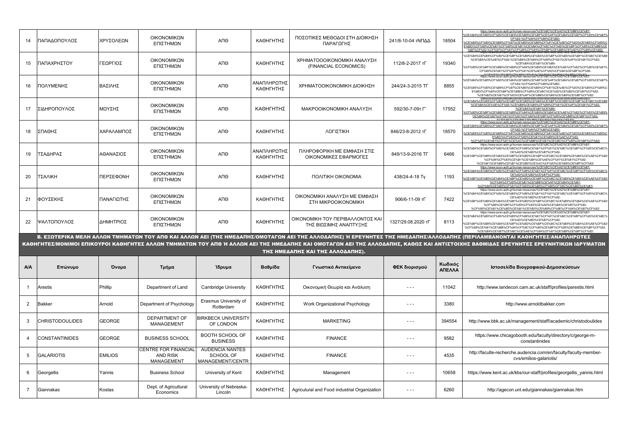| 14           | ΠΑΠΑΔΟΠΟΥΛΟΣ           | ΧΡΥΣΟΛΕΩΝ  | ΟΙΚΟΝΟΜΙΚΩΝ<br>ΕΠΙΣΤΗΜΩΝ                                     | A <sub>n</sub> e                                               | ΚΑΘΗΓΗΤΗΣ                | ΠΟΣΟΤΙΚΕΣ ΜΕΘΟΔΟΙ ΣΤΗ ΔΙΟΙΚΗΣΗ<br>ΠΑΡΑΓΩΓΗΣ                | 241/8-10-04 τΝΠΔΔ    | 18504             | https://www.econ-auth.gr/human-resources/%CE%BC%CE%AD%CE%BB%CE%B7-<br>6CE%B4%CE%B5%CF%80/%CE%B4%CE%B9%CE%BF%CE%AF%CE%BA%CE%B7%CF%83%CE%B7%<br>CF%82-%CF%84%CF%89%CE%BD-<br>%CE%B5%CF%80%CE%B9%CF%87%CE%B5%CE%B9%CF%81%CE%AE%CF%83%CE%B5%CF%89%C<br>E%BD/%CF%80%CE%B1%CF%80%CE%B1%CE%B4%CF%8C%CF%80%CE%BF%CF%85%CE%BB%CI<br>%BF%CF%82-%CF%87%CF%81%CF%85%CF%83%CE%BF%CE%BB%CE%AD%CF%89%CE%BD/ |
|--------------|------------------------|------------|--------------------------------------------------------------|----------------------------------------------------------------|--------------------------|------------------------------------------------------------|----------------------|-------------------|----------------------------------------------------------------------------------------------------------------------------------------------------------------------------------------------------------------------------------------------------------------------------------------------------------------------------------------------------------------------------------------------|
| 15           | ΠΑΠΑΧΡΗΣΤΟΥ            | ΓΕΩΡΓΙΟΣ   | ΟΙΚΟΝΟΜΙΚΩΝ<br>ΕΠΙΣΤΗΜΩΝ                                     | ΑΠΘ                                                            | ΚΑΘΗΓΗΤΗΣ                | ΧΡΗΜΑΤΟΟΟΙΚΟΝΟΜΙΚΗ ΑΝΑΛΥΣΗ<br>(FINANCIAL ECONOMICS)        | 112/8-2-2017 тГ      | 19340             | %CE%B4%CE%B5%CF%80/%CE%BF%CE%B9%CE%BA%CE%BF%CE%BD%CE%BF%CE%BC%CE%B9<br>%CE%BA%CE%AE%CF%82-%CE%B8%CE%B5%CF%89%CF%81%CE%AF%CE%B1%CF%82-<br>%CE%BA%CE%B1%CE%B9-<br>%CF%80%CE%BF%CE%BB%CE%B9%CF%84%CE%B9%CE%BA%CE%AE%CF%82/%CF%80%CE%B1%<br>CF%80%CE%B1%CF%87%CF%81%CE%AE%CF%83%CF%84%CE%BF%CF%85-                                                                                               |
| 16           | ΠΟΛΥΜΕΝΗΣ              | ΒΑΣΙΛΗΣ    | ΟΙΚΟΝΟΜΙΚΩΝ<br>ΕΠΙΣΤΗΜΩΝ                                     | АПО                                                            | ΑΝΑΠΛΗΡΩΤΗΣ<br>ΚΑΘΗΓΗΤΗΣ | ΧΡΗΜΑΤΟΟΙΚΟΝΟΜΙΚΗ ΔΙΟΙΚΗΣΗ                                 | 244/24-3-2015 TF     | 8855              | https://www.econ-auth.gr/human-resources/%CE%BC%CE%AD%CE%BB%CE%B7-<br>%CE%B4%CE%B5%CF%80/%CE%B4%CE%B9%CE%BF%CE%AF%CE%BA%CE%B7%CF%83%CE%B7%<br>CE%82-%CE%84%CE%89%CE%BD-<br>%CF%B5%CF%80%CF%B9%CF%87%CE%B5%CE%B9%CF%81%CE%AE%CF%83%CE%B5%CF%89%C<br>E%BD/%CF%80%CE%BF%CE%BB%CF%85%CE%BC%CE%AD%CE%BD%CE%B7%CF%82-<br>%CE%B2%CE%B1%CE%83%CE%AE%CE%BB%CE%B5%CE%B9%CE%BE%CE%82/                   |
| 17           | ΣΙΔΗΡΟΠΟΥΛΟΣ           | ΜΩΥΣΗΣ     | ΟΙΚΟΝΟΜΙΚΩΝ<br>ΕΠΙΣΤΗΜΩΝ                                     | ΑΠΘ                                                            | ΚΑΘΗΓΗΤΗΣ                | ΜΑΚΡΟΟΙΚΟΝΟΜΙΚΗ ΑΝΑΛΥΣΗ                                    | 592/30-7-09т.Г'      | 17552             | %CE%B4%CE%B5%CE%80/%CE%BE%CE%B9%CE%BA%CE%BE%CE%BD%CE%BE%CE%BC%CE%B<br>%CE%BA%CE%AE%CF%82-%CE%B8%CE%B5%CF%89%CF%81%CE%AF%CE%B1%CF%82-<br>%CE%BA%CE%B1%CE%B9-<br>%CF%80%CE%BF%CE%BB%CE%B9%CF%84%CE%B9%CE%BA%CE%AE%CF%82/%CF%83%CE%B9%<br>CE%B4%CE%B7%CF%81%CF%8C%CF%80%CE%BF%CF%85%CE%BB%CE%BF%CF%82-                                                                                          |
| 18           | ΣΠΑΘΗΣ                 | ΧΑΡΑΛΑΜΠΟΣ | ΟΙΚΟΝΟΜΙΚΩΝ<br>ΕΠΙΣΤΗΜΩΝ                                     | ΑΠΘ                                                            | ΚΑΘΗΓΗΤΗΣ                | ΛΟΓΙΣΤΙΚΗ                                                  | 846/23-8-2012 тГ     | 18570             | https://www.econ-auth.gr/human-resources/%CE%BC%CE%AD%CE%BB%CE%B7-<br>6CE%B4%CE%B5%CF%80/%CE%B4%CE%B9%CE%BF%CE%AF%CE%BA%CE%B7%CF%83%CE%B7%<br>CF%82-%CF%84%CF%89%CE%BD-<br>%CE%B5%CF%80%CE%B9%CF%87%CE%B5%CE%B9%CF%81%CE%AE%CF%83%CE%B5%CF%89%C<br>E%BD/%CF%83%CF%80%CE%B1%CE%B8%CE%AE%CF%82-<br>%CF%87%CE%B1%CF%81%CE%AC%CE%BB%CE%B1%CE%BC%CF%80%CE%BF%CF%82                                |
| 19           | ΤΣΑΔΗΡΑΣ               | ΑΘΑΝΑΣΙΟΣ  | ΟΙΚΟΝΟΜΙΚΩΝ<br>ΕΠΙΣΤΗΜΩΝ                                     | ΑΠΘ                                                            | ΑΝΑΠΛΗΡΩΤΗΣ<br>ΚΑΘΗΓΗΤΗΣ | ΠΛΗΡΟΦΟΡΙΚΗ ΜΕ ΕΜΦΑΣΗ ΣΤΙΣ<br>ΟΙΚΟΝΟΜΙΚΕΣ ΕΦΑΡΜΟΓΕΣ        | 849/13-9-2016 TF     | 6466              | https://www.econ-auth.gr/human-resources/%CE%BC%CE%AD%CE%BB%CE%B7-<br>%CE%B4%CE%B5%CF%80/%CE%B5%CF%86%CE%B1%CF%81%CE%BC%CE%BF%CF%83%CE%BC%<br>CE%AD%CE%BD%CE%B7%CE%82-<br>6CE%BF%CE%B9%CE%BA%CE%BF%CE%BD%CE%BF%CE%BC%CE%B9%CE%BA%CE%AE%CF%82/<br>%CF%84%CF%83%CE%B1%CE%B4%CE%AE%CF%81%CE%B1%CF%82-<br>%CE%B1%CE%B8%CE%B1%CE%BD%CE%AC%CF%83%CE%B9%CE%BF%CF%82/                                |
| 20           | ΤΣΑΛΙΚΗ                | ΠΕΡΣΕΦΟΝΗ  | ΟΙΚΟΝΟΜΙΚΩΝ<br>ΕΠΙΣΤΗΜΩΝ                                     | ΑΠΘ                                                            | ΚΑΘΗΓΗΤΗΣ                | <b><i>ΠΟΛΙΤΙΚΗ ΟΙΚΟΝΟΜΙΑ</i></b>                           | 438/24-4-18 Ty       | 1193              | https://www.econ-auth.gr/human-resources/%CE%BC%CE%AD%CE%BB%CE%B7-<br>%CE%B4%CE%B5%CF%80/%CE%B5%CF%86%CE%B1%CF%81%CE%BC%CE%BF%CF%83%CE%BC%<br>CE%AD%CE%BD%CE%B7%CF%82-<br>%CE%BF%CE%B9%CE%BA%CE%BF%CE%BD%CE%BF%CE%BC%CE%B9%CE%BA%CE%AE%CF%82<br>%CF%84%CF%83%CE%B1%CE%BB%CE%AF%CE%BA%CE%B7-<br>6CF%80%CE%B5%CF%81%CF%83%CE%B5%CF%86%CF%8C%CE%BD%CE%B7                                        |
| 21           | ΦΟΥΣΕΚΗΣ               | ΠΑΝΑΓΙΩΤΗΣ | ΟΙΚΟΝΟΜΙΚΩΝ<br>ΕΠΙΣΤΗΜΩΝ                                     | ΑΠΘ                                                            | ΚΑΘΗΓΗΤΗΣ                | ΟΙΚΟΝΟΜΙΚΗ ΑΝΑΛΥΣΗ ΜΕ ΕΜΦΑΣΗ<br>ΣΤΗ ΜΙΚΡΟΟΙΚΟΝΟΜΙΚΗ        | 906/6-11-09 тГ       | 7422              | https://www.econ-auth.gr/human-resources/%CE%BC%CE%AD%CE%BB%CE%B7<br>%CE%B4%CE%B5%CF%80/%CE%B5%CF%86%CE%B1%CF%81%CE%BC%CE%BF%CF%83%CE%BC%<br>CE%AD%CE%BD%CE%B7%CF%82-<br>%CE%BF%CE%B9%CE%BA%CE%BF%CE%BD%CE%BF%CE%BC%CE%B9%CE%BA%CE%AE%CF%82/<br>%CF%86%CE%BF%CF%85%CF%83%CE%AD%CE%BA%CE%B7%CF%82-<br>%CF%80%CE%B1%CE%BD%CE%B1%CE%B3%CE%B9%CF%8E%CF%84%CE%B7%CF%82                            |
| 22           | ΙΨΑΛΤΟΠΟΥΛΟΣ           | ΔΗΜΗΤΡΙΟΣ  | ΟΙΚΟΝΟΜΙΚΩΝ<br>ΕΠΙΣΤΗΜΩΝ                                     | АПО                                                            | ΚΑΘΗΓΗΤΗΣ                | ΟΙΚΟΝΟΜΙΚΗ ΤΟΥ ΠΕΡΙΒΑΛΛΟΝΤΟΣ ΚΑΙ<br>ΤΗΣ ΒΙΩΣΙΜΗΣ ΑΝΑΠΤΥΞΗΣ | 1327/29.08.2020 TL   | 8113              | https://www.econ-auth.gr/human-resources/%CE%BC%CE%AD%CE%BB%CE%B7-<br>%CE%B4%CE%B5%CF%80/%CE%B5%CF%86%CE%B1%CF%81%CE%BC%CE%BF%CF%83%CE%BC%<br>CE%AD%CE%BD%CE%B7%CF%82-<br>%CE%BF%CE%B9%CE%BA%CE%BF%CE%BD%CE%BF%CE%BC%CE%B9%CE%BA%CE%AE%CF%82<br>%CF%88%CE%B1%CE%BB%CF%84%CF%8C%CF%80%CE%BF%CF%85%CE%BB%CE%BF%CF%82-<br>%CE%B4%CE%B7%CE%BC%CE%AE%CF%84%CF%81%CE%B9%CE%BF%CF%82                |
|              |                        |            |                                                              |                                                                |                          |                                                            |                      |                   | Β. ΕΞΩΤΕΡΙΚΑ ΜΕΛΗ ΑΛΛΩΝ ΤΜΗΜΑΤΩΝ ΤΟΥ ΑΠΘ ΚΑΙ ΑΛΛΩΝ ΑΕΙ (ΤΗΣ ΗΜΕΔΑΠΗΣ/ΟΜΟΤΑΓΩΝ ΑΕΙ ΤΗΣ ΑΛΛΟΔΑΠΗΣ) Ή ΕΡΕΥΝΗΤΕΣ ΤΗΣ ΗΜΕΔΑΠΗΣ/ΑΛΛΟΔΑΠΗΣ (ΠΕΡΙΛΑΜΒΑΝΟΝΤΑΙ ΚΑΘΗΓΗΤΕΣ/ΑΝΑΠΛΗΡΩΤΕΣ<br>ΚΑΘΗΓΗΤΕΣ/ΜΟΝΙΜΟΙ ΕΠΙΚΟΥΡΟΙ ΚΑΘΗΓΗΤΕΣ ΑΛΛΩΝ ΤΜΗΜΑΤΩΝ ΤΟΥ ΑΠΘ Ή ΑΛΛΩΝ ΑΕΙ ΤΗΣ ΗΜΕΔΑΠΗΣ ΚΑΙ ΟΜΟΤΑΓΩΝ ΑΕΙ ΤΗΣ ΑΛΛΟΔΑΠΗΣ, ΚΑΘΩΣ ΚΑΙ ΑΝΤΙΣΤΟΙΧΗΣ ΒΑΘΜΙΔΑΣ ΕΡΕΥΝΗΤΕΣ ΕΡΕΥΝΗΤΙΚΩΝ ΙΔΡΥΜΑΤΩΝ                           |
|              |                        |            |                                                              |                                                                |                          | ΤΗΣ ΗΜΕΔΑΠΗΣ ΚΑΙ ΤΗΣ ΑΛΛΟΔΑΠΗΣ).                           |                      |                   |                                                                                                                                                                                                                                                                                                                                                                                              |
| <b>A/A</b>   | Επώνυμο                |            |                                                              |                                                                |                          |                                                            |                      |                   |                                                                                                                                                                                                                                                                                                                                                                                              |
| $\mathbf{1}$ |                        | Όνομα      | Τμήμα                                                        | Ίδρυμα                                                         | Βαθμίδα                  | Γνωστικό Αντικείμενο                                       | ΦΕΚ διορισμού        | Κωδικός<br>ΑΠΕΛΛΑ | Ιστοσελίδα Βιογραφικού-Δημοσιεύσεων                                                                                                                                                                                                                                                                                                                                                          |
|              | <b>Arestis</b>         | Phillip    | Department of Land                                           | Cambridge University                                           | ΚΑΘΗΓΗΤΗΣ                | Οικονομική Θεωρία και Ανάλυση                              | $- - -$              | 11042             | http://www.landecon.cam.ac.uk/staff/profiles/parestis.html                                                                                                                                                                                                                                                                                                                                   |
| 2            | <b>Bakker</b>          | Arnold     | Department of Psychology                                     | Erasmus University of<br>Rotterdam                             | ΚΑΘΗΓΗΤΗΣ                | Work Organizational Psychology                             | .                    | 3380              | http://www.arnoldbakker.com                                                                                                                                                                                                                                                                                                                                                                  |
| 3            | <b>CHRISTODOULIDES</b> | GEORGE     | <b>DEPARTMENT OF</b><br>MANAGEMENT                           | <b>BIRKBECK UNIVERSITY</b><br>OF LONDON                        | ΚΑΘΗΓΗΤΗΣ                | <b>MARKETING</b>                                           | $- - -$              | 394554            | http://www.bbk.ac.uk/management/staff/academic/christodoulides                                                                                                                                                                                                                                                                                                                               |
| 4            | <b>CONSTANTINIDES</b>  | GEORGE     | <b>BUSINESS SCHOOL</b>                                       | <b>BOOTH SCHOOL OF</b><br><b>BUSINESS</b>                      | ΚΑΘΗΓΗΤΗΣ                | <b>FINANCE</b>                                             | $- - -$              | 9582              | https://www.chicagobooth.edu/faculty/directory/c/george-m-<br>constantinides                                                                                                                                                                                                                                                                                                                 |
| 5            | <b>GALARIOTIS</b>      | EMILIOS    | CENTRE FOR FINANCIAL<br><b>AND RISK</b><br><b>MANAGEMENT</b> | <b>AUDENCIA NANTES</b><br><b>SCHOOL OF</b><br>MANAGEMENT/CENTR | ΚΑΘΗΓΗΤΗΣ                | <b>FINANCE</b>                                             | $\sim$ $\sim$ $\sim$ | 4535              | http://faculte-recherche.audencia.com/en/faculty/faculty-member-<br>cvs/emilios-galariotis/                                                                                                                                                                                                                                                                                                  |
| 6            | Georgellis             | Yannis     | <b>Business School</b>                                       | University of Kent                                             | ΚΑΘΗΓΗΤΗΣ                | Management                                                 | $\sim$ $\sim$ $\sim$ | 10658             | https://www.kent.ac.uk/kbs/our-staff/profiles/georgellis_yannis.html                                                                                                                                                                                                                                                                                                                         |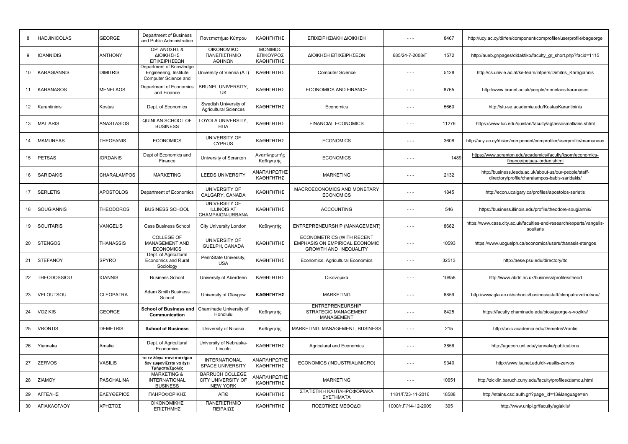| 8  | <b>HADJINICOLAS</b> | <b>GEORGE</b>      | Department of Business<br>and Public Administration                       | Πανεπιστήμιο Κύπρου                                             | ΚΑΘΗΓΗΤΗΣ                         | ΕΠΙΧΕΙΡΗΣΙΑΚΗ ΔΙΟΙΚΗΣΗ                                                                                    | .                     | 8467  | http://ucy.ac.cy/dir/en/component/comprofiler/userprofile/bageorge                                       |
|----|---------------------|--------------------|---------------------------------------------------------------------------|-----------------------------------------------------------------|-----------------------------------|-----------------------------------------------------------------------------------------------------------|-----------------------|-------|----------------------------------------------------------------------------------------------------------|
| 9  | <b>IOANNIDIS</b>    | <b>ANTHONY</b>     | ΟΡΓΑΝΩΣΗΣ &<br>ΔΙΟΙΚΗΣΗΣ<br>ΕΠΙΧΕΙΡΗΣΕΩΝ                                  | <b>OIKONOMIKO</b><br>ΠΑΝΕΠΙΣΤΗΜΙΟ<br>ΑΘΗΝΩΝ                     | ΜΟΝΙΜΟΣ<br>ΕΠΙΚΟΥΡΟΣ<br>ΚΑΘΗΓΗΤΗΣ | ΔΙΟΙΚΗΣΗ ΕΠΙΧΕΙΡΗΣΕΩΝ                                                                                     | 685/24-7-2008/F       | 1572  | http://aueb.gr/pages/didaktiko/faculty_gr_short.php?facid=1115                                           |
| 10 | KARAGIANNIS         | <b>DIMITRIS</b>    | Department of Knowledge<br>Engineering, Institute<br>Computer Science and | University of Vienna (AT)                                       | ΚΑΘΗΓΗΤΗΣ                         | <b>Computer Science</b>                                                                                   | $\sim$ $\sim$ $\sim$  | 5128  | http://cs.univie.ac.at/ke-team/infpers/Dimitris Karagiannis                                              |
| 11 | <b>KARANASOS</b>    | <b>MENELAOS</b>    | Department of Economics<br>and Finance                                    | <b>BRUNEL UNIVERSITY.</b><br>UK.                                | ΚΑΘΗΓΗΤΗΣ                         | <b>ECONOMICS AND FINANCE</b>                                                                              | $\sim$ $\sim$ $\sim$  | 8765  | http://www.brunel.ac.uk/people/menelaos-karanasos                                                        |
| 12 | Karantininis        | Kostas             | Dept. of Economics                                                        | Swedish University of<br><b>Agricultural Sciences</b>           | ΚΑΘΗΓΗΤΗΣ                         | Economics                                                                                                 | $- - -$               | 5660  | http://slu-se.academia.edu/KostasKarantininis                                                            |
| 13 | <b>MALIARIS</b>     | <b>ANASTASIOS</b>  | QUINLAN SCHOOL OF<br><b>BUSINESS</b>                                      | LOYOLA UNIVERSITY,<br><b>H<sub>D</sub></b>                      | ΚΑΘΗΓΗΤΗΣ                         | <b>FINANCIAL ECONOMICS</b>                                                                                | $- - -$               | 11276 | https://www.luc.edu/quinlan/faculty/agtassosmalliaris.shtml                                              |
| 14 | <b>MAMUNEAS</b>     | <b>THEOFANIS</b>   | <b>ECONOMICS</b>                                                          | UNIVERSITY OF<br><b>CYPRUS</b>                                  | ΚΑΘΗΓΗΤΗΣ                         | <b>ECONOMICS</b>                                                                                          | $  -$                 | 3608  | http://ucy.ac.cy/dir/en/component/comprofiler/userprofile/mamuneas                                       |
| 15 | <b>PETSAS</b>       | <b>IORDANIS</b>    | Dept of Economics and<br>Finance                                          | University of Scranton                                          | Αναπληρωτής<br>Καθηγητής          | <b>ECONOMICS</b>                                                                                          | $  -$                 | 1489  | https://www.scranton.edu/academics/faculty/ksom/economics-<br>finance/petsas-jordan.shtml                |
| 16 | <b>SARIDAKIS</b>    | <b>CHARALAMPOS</b> | <b>MARKETING</b>                                                          | <b>LEEDS UNIVERSITY</b>                                         | ΑΝΑΠΛΗΡΩΤΗΣ<br>ΚΑΘΗΓΗΤΗΣ          | <b>MARKETING</b>                                                                                          | $\sim$ $\sim$ $\sim$  | 2132  | http://business.leeds.ac.uk/about-us/our-people/staff-<br>directory/profile/charalampos-babis-saridakis/ |
| 17 | <b>SERLETIS</b>     | <b>APOSTOLOS</b>   | Department of Economics                                                   | UNIVERSITY OF<br>CALGARY, CANADA                                | ΚΑΘΗΓΗΤΗΣ                         | MACROECONOMICS AND MONETARY<br><b>ECONOMICS</b>                                                           | $\sim$ $\sim$ $\sim$  | 1845  | http://econ.ucalgary.ca/profiles/apostolos-serletis                                                      |
| 18 | <b>SOUGIANNIS</b>   | <b>THEODOROS</b>   | <b>BUSINESS SCHOOL</b>                                                    | <b>UNIVERSITY OF</b><br><b>ILLINOIS AT</b><br>CHAMPAIGN-URBANA  | ΚΑΘΗΓΗΤΗΣ                         | <b>ACCOUNTING</b>                                                                                         | $  -$                 | 546   | https://business.illinois.edu/profile/theodore-sougiannis/                                               |
| 19 | SOUITARIS           | <b>VANGELIS</b>    | <b>Cass Business School</b>                                               | <b>City University London</b>                                   | Καθηγητής                         | ENTREPRENEURSHIP (MANAGEMENT)                                                                             | $\sim$ $\sim$ $\sim$  | 8682  | https://www.cass.city.ac.uk/faculties-and-research/experts/vangelis-<br>souitaris                        |
| 20 | <b>STENGOS</b>      | <b>THANASSIS</b>   | <b>COLLEGE OF</b><br><b>MANAGEMENT AND</b><br><b>ECONOMICS</b>            | UNIVERSITY OF<br>GUELPH, CANADA                                 | ΚΑΘΗΓΗΤΗΣ                         | <b>ECONOMETRICS (WITH RECENT</b><br><b>EMPHASIS ON EMPIRICAL ECONOMIC</b><br><b>GROWTH AND INEQUALITY</b> | $\sim$ $\sim$ $\sim$  | 10593 | https://www.uoguelph.ca/economics/users/thanasis-stengos                                                 |
| 21 | <b>STEFANOY</b>     | SPYRO              | Dept. of Agricultural<br><b>Economics and Rural</b><br>Sociology          | PennState University,<br><b>USA</b>                             | ΚΑΘΗΓΗΤΗΣ                         | Economics, Agricultural Economics                                                                         | $\sim$ $\sim$ $\sim$  | 32513 | http://aese.psu.edu/directory/ttc                                                                        |
| 22 | <b>THEODOSSIOU</b>  | <b>IOANNIS</b>     | <b>Business School</b>                                                    | University of Aberdeen                                          | ΚΑΘΗΓΗΤΗΣ                         | Οικονομικά                                                                                                | $- -$                 | 10858 | http://www.abdn.ac.uk/business/profiles/theod                                                            |
| 23 | VELOUTSOU           | <b>CLEOPATRA</b>   | <b>Adam Smith Business</b><br>School                                      | University of Glasgow                                           | ΚΑΘΗΓΗΤΗΣ                         | <b>MARKETING</b>                                                                                          | $- - -$               | 6859  | http://www.gla.ac.uk/schools/business/staff/cleopatraveloutsou/                                          |
| 24 | VOZIKIS             | <b>GEORGE</b>      | <b>School of Business and</b><br>Communication                            | Chaminade University of<br>Honolulu                             | Καθηγητής                         | <b>ENTREPRENEURSHIP</b><br>STRATEGIC MANAGEMENT<br>MANAGEMENT                                             | $  -$                 | 8425  | https://faculty.chaminade.edu/bios/george-s-vozikis/                                                     |
| 25 | VRONTIS             | <b>DEMETRIS</b>    | <b>School of Business</b>                                                 | University of Nicosia                                           | Καθηγητής                         | MARKETING, MANAGEMENT, BUSINESS                                                                           | $- -$                 | 215   | http://unic.academia.edu/DemetrisVrontis                                                                 |
| 26 | Yiannaka            | Amalia             | Dept. of Agricultural<br>Economics                                        | University of Nebraska-<br>Lincoln                              | ΚΑΘΗΓΗΤΗΣ                         | <b>Agriculural and Economics</b>                                                                          | $\sim$ $\sim$ $\sim$  | 3856  | http://agecon.unl.edu/yiannaka/publications                                                              |
| 27 | <b>ZERVOS</b>       | VASILIS            | το εν λόγω πανεπιστήμιο<br>δεν εμφανίζεται να έχει<br>Τμήματα/Σχολές      | <b>INTERNATIONAL</b><br><b>SPACE UNIVERSITY</b>                 | ΑΝΑΠΛΗΡΩΤΗΣ<br>ΚΑΘΗΓΗΤΗΣ          | ECONOMICS (INDUSTRIAL/MICRO)                                                                              | $  -$                 | 9340  | http://www.isunet.edu/dr-vasilis-zervos                                                                  |
| 28 | <b>ZIAMOY</b>       | <b>PASCHALINA</b>  | <b>MARKETING &amp;</b><br><b>INTERNATIONAL</b><br><b>BUSINESS</b>         | <b>BARRUCH COLLEGE</b><br>CITY UNIVERSITY OF<br><b>NEW YORK</b> | ΝΑΠΛΗΡΩΤΗΣ<br>ΚΑΘΗΓΗΤΗΣ           | <b>MARKETING</b>                                                                                          | $\sim$ $\sim$ $\sim$  | 10651 | http://zicklin.baruch.cuny.edu/faculty/profiles/ziamou.html                                              |
| 29 | ΑΓΓΕΛΗΣ             | ΕΛΕΥΘΕΡΙΟΣ         | ΠΛΗΡΟΦΟΡΙΚΗΣ                                                              | АПӨ                                                             | ΚΑΘΗΓΗΤΗΣ                         | ΣΤΑΤΙΣΤΙΚΗ ΚΑΙ ΠΛΗΡΟΦΟΡΙΑΚΑ<br>ΣΥΣΤΗΜΑΤΑ                                                                  | 1181/F/23-11-2016     | 18588 | http://stains.csd.auth.gr/?page_id=13&language=en                                                        |
| 30 | ΑΓΙΑΚΛΟΓΛΟΥ         | ΧΡΗΣΤΟΣ            | ΟΙΚΟΝΟΜΙΚΗΣ<br>ΕΠΙΣΤΗΜΗΣ                                                  | ΠΑΝΕΠΙΣΤΗΜΙΟ<br>ΠΕΙΡΑΙΩΣ                                        | ΚΑΘΗΓΗΤΗΣ                         | ΠΟΣΟΤΙΚΕΣ ΜΕΘΟΔΟΙ                                                                                         | 1000/T. T'/14-12-2009 | 395   | http://www.unipi.gr/faculty/agiaklis/                                                                    |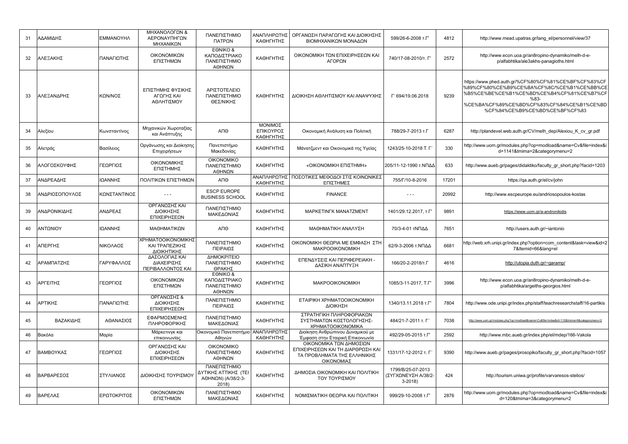| 31 | ΑΔΑΜΙΔΗΣ       | ΕΜΜΑΝΟΥΗΛ    | ΜΗΧΑΝΟΛΟΓΩΝ &<br>ΑΕΡΟΝΑΥΠΗΓΩΝ<br>ΜΗΧΑΝΙΚΩΝ          | ΠΑΝΕΠΙΣΤΗΜΙΟ<br>ΠΑΤΡΩΝ                                              | ΑΝΑΠΛΗΡΩΤΗΣ<br>ΚΑΘΗΓΗΤΗΣ          | ΟΡΓΑΝΩΣΗ ΠΑΡΑΓΩΓΗΣ ΚΑΙ ΔΙΟΙΚΗΣΗΣ<br>ΒΙΟΜΗΧΑΝΙΚΩΝ ΜΟΝΑΔΩΝ                                                  | 599/26-6-2008 T.F'                                   | 4812  | http://www.mead.upatras.gr/lang_el/personnel/view/37                                                                                                                                                                                        |
|----|----------------|--------------|-----------------------------------------------------|---------------------------------------------------------------------|-----------------------------------|-----------------------------------------------------------------------------------------------------------|------------------------------------------------------|-------|---------------------------------------------------------------------------------------------------------------------------------------------------------------------------------------------------------------------------------------------|
| 32 | ΑΛΕΞΑΚΗΣ       | ΠΑΝΑΓΙΩΤΗΣ   | ΟΙΚΟΝΟΜΙΚΩΝ<br>ΕΠΙΣΤΗΜΩΝ                            | EONIKO &<br>ΚΑΠΟΔΙΣΤΡΙΑΚΟ<br>ΠΑΝΕΠΙΣΤΗΜΙΟ<br>ΑΘΗΝΩΝ                 | ΚΑΘΗΓΗΤΗΣ                         | ΟΙΚΟΝΟΜΙΚΗ ΤΩΝ ΕΠΙΧΕΙΡΗΣΕΩΝ ΚΑΙ<br>ΑΓΟΡΩΝ                                                                 | 740/17-08-2010/т. Г'                                 | 2572  | http://www.econ.uoa.gr/an8ropino-dynamiko/melh-d-e-<br>p/alfabhtika/ale3akhs-panagioths.html                                                                                                                                                |
| 33 | ΑΛΕΞΑΝΔΡΗΣ     | ΚΩΝ/ΝΟΣ      | ΕΠΙΣΤΗΜΗΣ ΦΥΣΙΚΗΣ<br>ΑΓΩΓΗΣ ΚΑΙ<br>ΑΘΛΗΤΙΣΜΟΥ       | ΑΡΙΣΤΟΤΕΛΕΙΟ<br>ΠΑΝΕΠΙΣΤΗΜΙΟ<br>ΘΕΣ/ΝΙΚΗΣ                           | ΚΑΘΗΓΗΤΗΣ                         | ΔΙΟΙΚΗΣΗ ΑΘΛΗΤΙΣΜΟΥ ΚΑΙ ΑΝΑΨΥΧΗΣ                                                                          | F' 694/19.06.2018                                    | 9239  | https://www.phed.auth.gr/%CF%80%CF%81%CE%BF%CF%83%CF<br>%89%CF%80%CE%B9%CE%BA%CF%8C/%CE%B1%CE%BB%CE<br>%B5%CE%BE%CE%B1%CE%BD%CE%B4%CF%81%CE%B7%CF<br>$%83-$<br>%CE%BA%CF%89%CE%BD%CF%83%CF%84%CE%B1%CE%BD<br>%CF%84%CE%B9%CE%BD%CE%BF%CF%83 |
| 34 | Αλεξίου        | Κωνσταντίνος | Μηχανικών Χωροταξίας<br>και Ανάπτυξης               | ΑΠΘ                                                                 | ΜΟΝΙΜΟΣ<br>ΕΠΙΚΟΥΡΟΣ<br>ΚΑΘΗΓΗΤΗΣ | Οικονομική Ανάλυση και Πολιτική                                                                           | 788/29-7-2013 T.F                                    | 6287  | http://plandevel.web.auth.gr/CV/melh dep/Alexiou K cv gr.pdf                                                                                                                                                                                |
| 35 | Αλετράς        | Βασίλειος    | Οργάνωσης και Διοίκησης<br>Επιχειρήσεων             | Πανεπιστήμιο<br>Μακεδονίας                                          | ΚΑΘΗΓΗΤΗΣ                         | Μάνατζμεντ και Οικονομικά της Υγείας                                                                      | 1243/25-10-2018 T. F                                 | 330   | http://www.uom.gr/modules.php?op=modload&name=Cv&file=index&i<br>d=1141&tmima=2&categorymenu=2                                                                                                                                              |
| 36 | ΑΛΟΓΟΣΚΟΥΦΗΣ   | ΓΕΩΡΓΙΟΣ     | ΟΙΚΟΝΟΜΙΚΗΣ<br>ΕΠΙΣΤΗΜΗΣ                            | <b>OIKONOMIKO</b><br>ΠΑΝΕΠΙΣΤΗΜΙΟ<br>ΑΘΗΝΩΝ                         | ΚΑΘΗΓΗΤΗΣ                         | «ΟΙΚΟΝΟΜΙΚΗ ΕΠΙΣΤΗΜΗ»                                                                                     | 205/11-12-1990 τ.ΝΠΔΔ                                | 633   | http://www.aueb.gr/pages/didaktiko/faculty gr short.php?facid=1203                                                                                                                                                                          |
| 37 | ΑΝΔΡΕΑΔΗΣ      | ΙΩΑΝΝΗΣ      | ΠΟΛΙΤΙΚΩΝ ΕΠΙΣΤΗΜΩΝ                                 | ΑΠΘ                                                                 | ΚΑΘΗΓΗΤΗΣ                         | ΑΝΑΠΛΗΡΩΤΗΣ   ΠΟΣΟΤΙΚΕΣ ΜΕΘΟΔΟΙ ΣΤΙΣ ΚΟΙΝΩΝΙΚΕΣ<br>ΕΠΙΣΤΗΜΕΣ                                              | 755/Г/10-8-2016                                      | 17201 | https://ga.auth.gr/el/cv/john                                                                                                                                                                                                               |
| 38 | ΑΝΔΡΙΟΣΟΠΟΥΛΟΣ | ΚΩΝΣΤΑΝΤΙΝΟΣ | $- - -$                                             | <b>ESCP EUROPE</b><br><b>BUSINESS SCHOOL</b>                        | ΚΑΘΗΓΗΤΗΣ                         | <b>FINANCE</b>                                                                                            | $ -$                                                 | 20992 | http://www.escpeurope.eu/andriosopoulos-kostas                                                                                                                                                                                              |
| 39 | ΑΝΔΡΟΝΙΚΙΔΗΣ   | ΑΝΔΡΕΑΣ      | ΟΡΓΑΝΩΣΗΣ ΚΑΙ<br>ΔΙΟΙΚΗΣΗΣ<br>ΕΠΙΧΕΙΡΗΣΕΩΝ          | ΠΑΝΕΠΙΣΤΗΜΙΟ<br>ΜΑΚΕΔΟΝΙΑΣ                                          | ΚΑΘΗΓΗΤΗΣ                         | <b>MAPKETINFK MANATZMENT</b>                                                                              | 1401/29.12.2017. T.F                                 | 9891  | https://www.uom.gr/a-andronikidis                                                                                                                                                                                                           |
| 40 | ΑΝΤΩΝΙΟΥ       | ΙΩΑΝΝΗΣ      | ΜΑΘΗΜΑΤΙΚΩΝ                                         | ΑΠΘ                                                                 | ΚΑΘΗΓΗΤΗΣ                         | ΜΑΘΗΜΑΤΙΚΗ ΑΝΑΛΥΣΗ                                                                                        | 70/3-4-01 τΝΠΔΔ                                      | 7651  | http://users.auth.gr/~iantonio                                                                                                                                                                                                              |
| 41 | ΑΠΕΡΓΗΣ        | ΝΙΚΟΛΑΟΣ     | ΧΡΗΜΑΤΟΟΙΚΟΝΟΜΙΚΗΣ<br>ΚΑΙ ΤΡΑΠΕΖΙΚΗΣ<br>ΔΙΟΙΚΗΤΙΚΗΣ | ΠΑΝΕΠΙΣΤΗΜΙΟ<br>ΠΕΙΡΑΙΩΣ                                            | ΚΑΘΗΓΗΤΗΣ                         | ΟΙΚΟΝΟΜΙΚΗ ΘΕΩΡΙΑ ΜΕ ΕΜΦΑΣΗ ΣΤΗ<br>MAKPOOIKONOMIKH                                                        | 62/9-3-2006 τ.ΝΠΔΔ                                   | 6681  | http://web.xrh.unipi.gr/index.php?option=com content&task=view&id=2<br>7&Itemid=66⟨=el                                                                                                                                                      |
| 42 | ΑΡΑΜΠΑΤΖΗΣ     | ΓΑΡΥΦΑΛΛΟΣ   | ΔΑΣΟΛΟΓΙΑΣ ΚΑΙ<br>ΔΙΑΧΕΙΡΙΣΗΣ<br>ΠΕΡΙΒΑΛΛΟΝΤΟΣ ΚΑΙ  | ΔΗΜΟΚΡΙΤΕΙΟ<br>ΠΑΝΕΠΙΣΤΗΜΙΟ<br>ΘΡΑΚΗΣ                               | ΚΑΘΗΓΗΤΗΣ                         | ΕΠΕΝΔΥΣΕΙΣ ΚΑΙ ΠΕΡΙΦΕΡΕΙΑΚΗ -<br>ΔΑΣΙΚΗ ΑΝΑΠΤΥΞΗ                                                          | 166/20-2-2018/т.Г                                    | 4616  | http://utopia.duth.gr/~garamp/                                                                                                                                                                                                              |
| 43 | ΑΡΓΕΙΤΗΣ       | ΓΕΩΡΓΙΟΣ     | ΟΙΚΟΝΟΜΙΚΩΝ<br>ΕΠΙΣΤΗΜΩΝ                            | EONIKO &<br>ΚΑΠΟΔΙΣΤΡΙΑΚΟ<br>ΠΑΝΕΠΙΣΤΗΜΙΟ<br>ΑΘΗΝΩΝ                 | ΚΑΘΗΓΗΤΗΣ                         | <b>MAKPOOIKONOMIKH</b>                                                                                    | 1085/3-11-2017, T.F                                  | 3996  | http://www.econ.uoa.gr/an8ropino-dynamiko/melh-d-e-<br>p/alfabhtika/argeiths-georgios.html                                                                                                                                                  |
| 44 | ΑΡΤΙΚΗΣ        | ΠΑΝΑΓΙΩΤΗΣ   | ΟΡΓΑΝΩΣΗΣ &<br>ΔΙΟΙΚΗΣΗΣ<br>ΕΠΙΧΕΙΡΗΣΕΩΝ            | ΠΑΝΕΠΙΣΤΗΜΙΟ<br>ΠΕΙΡΑΙΩΣ                                            | ΚΑΘΗΓΗΤΗΣ                         | ETAIPIKH XPHMATOOIKONOMIKH<br>ΔΙΟΙΚΗΣΗ                                                                    | 1340/13.11.2018 T.F'                                 | 7804  | http://www.ode.unipi.gr/index.php/staff/teachresearchstaff/16-partikis                                                                                                                                                                      |
| 45 | ΒΑΖΑΚΙΔΗΣ      | ΑΘΑΝΑΣΙΟΣ    | ΕΦΑΡΜΟΣΜΕΝΗΣ<br>ΠΛΗΡΟΦΟΡΙΚΗΣ                        | ΠΑΝΕΠΙΣΤΗΜΙΟ<br>ΜΑΚΕΔΟΝΙΑΣ                                          | ΚΑΘΗΓΗΤΗΣ                         | ΣΤΡΑΤΗΓΙΚΗ ΠΛΗΡΟΦΟΡΙΑΚΩΝ<br>ΣΥΣΤΗΜΑΤΩΝ ΚΟΣΤΟΛΟΓΗΣΗΣ-<br><b>XPHMATOOIKONOMIKA</b>                          | 484/21-7-2011 т. Г'                                  | 7038  | http://www.uom.gr/modules.php?op=modload&name=Cv&file=index&id=112&tmima=6&categorymenu=2                                                                                                                                                   |
| 46 | Βακόλα         | Μαρία        | Μάρκετινγκ και<br>επικοινωνίας                      | Οικονομικό Πανεπιστήμιο<br>Αθηνών                                   | ΑΝΑΠΛΗΡΩΤΗΣ<br>ΚΑΘΗΓΗΤΗΣ          | Διοίκηση Ανθρώπινου Δυναμικού με<br>Έμφαση στην Εταιρική Επικοινωνία                                      | 492/29-05-2015 T.F'                                  | 2592  | http://www.mbc.aueb.gr/index.php/el/mdep/166-Vakola                                                                                                                                                                                         |
| 47 | ΒΑΜΒΟΥΚΑΣ      | ΓΕΩΡΓΙΟΣ     | ΟΡΓΑΝΩΣΗΣ ΚΑΙ<br>ΔΙΟΙΚΗΣΗΣ<br>ΕΠΙΧΕΙΡΗΣΕΩΝ          | <b>OIKONOMIKO</b><br>ΠΑΝΕΠΙΣΤΗΜΙΟ<br>ΑΘΗΝΩΝ                         | ΚΑΘΗΓΗΤΗΣ                         | ΟΙΚΟΝΟΜΙΚΑ ΤΩΝ ΔΗΜΟΣΙΩΝ<br>ΕΠΙΧΕΙΡΗΣΕΩΝ ΚΑΙ ΤΗ ΔΙΑΡΘΡΩΣΗ ΚΑΙ<br>ΤΑ ΠΡΟΒΛΗΜΑΤΑ ΤΗΣ ΕΛΛΗΝΙΚΗΣ<br>ΟΙΚΟΝΟΜΙΑΣ | 1331/17-12-2012 т. Г                                 | 9390  | http://www.aueb.gr/pages/prosopiko/faculty_gr_short.php?facid=1057                                                                                                                                                                          |
| 48 | ΒΑΡΒΑΡΕΣΟΣ     | ΣΤΥΛΙΑΝΟΣ    | ΔΙΟΙΚΗΣΗΣ ΤΟΥΡΙΣΜΟΥ                                 | ΠΑΝΕΠΙΣΤΗΜΙΟ<br>ΔΥΤΙΚΗΣ ΑΤΤΙΚΗΣ (ΤΕΙ<br>AΘΗΝΩΝ) (A/38/2-3-<br>2018) | ΚΑΘΗΓΗΤΗΣ                         | ΔΗΜΟΣΙΑ ΟΙΚΟΝΟΜΙΚΗ ΚΑΙ ΠΟΛΙΤΙΚΗ<br>ΤΟΥ ΤΟΥΡΙΣΜΟΥ                                                          | 1799/B/25-07-2013<br>(ΣΥΓΧΩΝΕΥΣΗ Α/38/2-<br>$3-2018$ | 424   | http://tourism.uniwa.gr/profile/varvaresos-stelios/                                                                                                                                                                                         |
| 49 | ΒΑΡΕΛΑΣ        | ΕΡΩΤΟΚΡΙΤΟΣ  | ΟΙΚΟΝΟΜΙΚΩΝ<br>ΕΠΙΣΤΗΜΩΝ                            | ΠΑΝΕΠΙΣΤΗΜΙΟ<br>ΜΑΚΕΔΟΝΙΑΣ                                          | ΚΑΘΗΓΗΤΗΣ                         | ΝΟΜΙΣΜΑΤΙΚΗ ΘΕΩΡΙΑ ΚΑΙ ΠΟΛΙΤΙΚΗ                                                                           | 999/29-10-2008 T.F'                                  | 2876  | http://www.uom.gr/modules.php?op=modload&name=Cv&file=index&i<br>d=120&tmima=3&categorymenu=2                                                                                                                                               |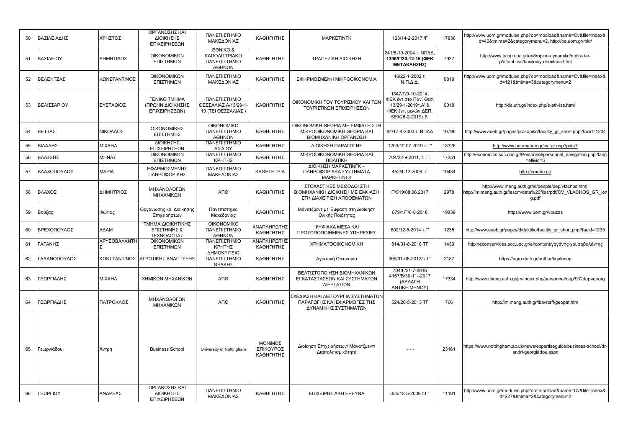| 50 | ΒΑΣΙΛΕΙΑΔΗΣ  | ΧΡΗΣΤΟΣ      | ΟΡΓΑΝΩΣΗΣ ΚΑΙ<br>ΔΙΟΙΚΗΣΗΣ<br>ΕΠΙΧΕΙΡΗΣΕΩΝ               | ΠΑΝΕΠΙΣΤΗΜΙΟ<br>ΜΑΚΕΔΟΝΙΑΣ                                 | ΚΑΘΗΓΗΤΗΣ                         | <b>MAPKETINFK</b>                                                                         | 123/14-2-2017 / Г                                                                                            | 17836 | http://www.uom.gr/modules.php?op=modload&name=Cv&file=index&i<br>d=40&tmima=2&categorymenu=2, http://ba.uom.gr/mkt/             |
|----|--------------|--------------|----------------------------------------------------------|------------------------------------------------------------|-----------------------------------|-------------------------------------------------------------------------------------------|--------------------------------------------------------------------------------------------------------------|-------|---------------------------------------------------------------------------------------------------------------------------------|
| 51 | ΒΑΣΙΛΕΙΟΥ    | ΔΗΜΗΤΡΙΟΣ    | ΟΙΚΟΝΟΜΙΚΩΝ<br>ΕΠΙΣΤΗΜΩΝ                                 | EONIKO &<br>ΚΑΠΟΔΙΣΤΡΙΑΚΟ<br>ΠΑΝΕΠΙΣΤΗΜΙΟ<br>ΑΘΗΝΩΝ        | ΚΑΘΗΓΗΤΗΣ                         | ΤΡΑΠΕΖΙΚΗ ΔΙΟΙΚΗΣΗ                                                                        | 241/8-10-2004 τ. ΝΠΔΔ<br>1396/Г/30-12-16 (ФЕК<br>ΜΕΤΑΚΛΗΣΗΣ)                                                 | 7937  | http://www.econ.uoa.gr/an8ropino-dynamiko/melh-d-e-<br>p/alfabhtika/basileioy-dhmitrios.html                                    |
| 52 | ΒΕΛΕΝΤΖΑΣ    | ΚΩΝΣΤΑΝΤΙΝΟΣ | ΟΙΚΟΝΟΜΙΚΩΝ<br>ΕΠΙΣΤΗΜΩΝ                                 | ΠΑΝΕΠΙΣΤΗΜΙΟ<br>ΜΑΚΕΔΟΝΙΑΣ                                 | ΚΑΘΗΓΗΤΗΣ                         | ΕΦΗΡΜΟΣΜΕΝΗ ΜΙΚΡΟΟΙΚΟΝΟΜΙΑ                                                                | 16/22-1-2002 т.<br>$N.\Pi.\Delta.\Delta.$                                                                    | 9819  | http://www.uom.gr/modules.php?op=modload&name=Cv&file=index&i<br>d=121&tmima=3&categorymenu=2                                   |
| 53 | ΒΕΛΙΣΣΑΡΙΟΥ  | ΕΥΣΤΑΘΙΟΣ    | <b>ΓΕΝΙΚΟ ΤΜΗΜΑ</b><br>(ΠΡΩΗΝ ΔΙΟΙΚΗΣΗΣ<br>ΕΠΙΧΕΙΡΗΣΕΩΝ) | ΠΑΝΕΠΙΣΤΗΜΙΟ<br>ΘΕΣΣΑΛΙΑΣ Α/13/29-1-<br>19 (ΤΕΙ ΘΕΣΣΑΛΙΑΣ) | ΚΑΘΗΓΗΤΗΣ                         | ΟΙΚΟΝΟΜΙΚΗ ΤΟΥ ΤΟΥΡΙΣΜΟΥ ΚΑΙ ΤΩΝ<br>ΤΟΥΡΙΣΤΙΚΩΝ ΕΠΙΧΕΙΡΗΣΕΩΝ                              | 1347/Г/9-10-2014.<br>ΦΕΚ έντ.στο Παν. Θεσ<br>13/29-1-2019 T.A' &<br>ΦΕΚ έντ. μελών ΔΕΠ.<br>589/26-2-2019T.B' | 9018  | http://de.uth.gr/index.php/e-sth-lss.html                                                                                       |
| 54 | ΒΕΤΤΑΣ       | ΝΙΚΟΛΑΟΣ     | ΟΙΚΟΝΟΜΙΚΗΣ<br>ΕΠΙΣΤΗΜΗΣ                                 | <b>OIKONOMIKO</b><br>ΠΑΝΕΠΙΣΤΗΜΙΟ<br>ΑΘΗΝΩΝ                | ΚΑΘΗΓΗΤΗΣ                         | ΟΙΚΟΝΟΜΙΚΗ ΘΕΩΡΙΑ ΜΕ ΕΜΦΑΣΗ ΣΤΗ<br>ΜΙΚΡΟΟΙΚΟΝΟΜΙΚΗ ΘΕΩΡΙΑ ΚΑΙ<br>ΒΙΟΜΗΧΑΝΙΚΗ ΟΡΓΑΝΩΣΗ     | 84/17-4-2003 τ. ΝΠΔΔ                                                                                         | 10796 | http://www.aueb.gr/pages/prosopiko/faculty gr short.php?facid=1204                                                              |
| 55 | ΒΙΔΑΛΗΣ      | ΜΙΧΑΗΛ       | ΔΙΟΙΚΗΣΗΣ<br>ΕΠΙΧΕΙΡΗΣΕΩΝ                                | ΠΑΝΕΠΙΣΤΗΜΙΟ<br><b>AIFAIOY</b>                             | ΚΑΘΗΓΗΤΗΣ                         | ΔΙΟΙΚΗΣΗ ΠΑΡΑΓΩΓΗΣ                                                                        | 1203/12.07.2019 т. Г'                                                                                        | 18326 | http://www.ba.aegean.gr/cv gr.asp?pid=7                                                                                         |
| 56 | ΒΛΑΣΣΗΣ      | ΜΗΝΑΣ        | ΟΙΚΟΝΟΜΙΚΩΝ<br>ΕΠΙΣΤΗΜΩΝ                                 | ΠΑΝΕΠΙΣΤΗΜΙΟ<br>ΚΡΗΤΗΣ                                     | ΚΑΘΗΓΗΤΗΣ                         | ΜΙΚΡΟΟΙΚΟΝΟΜΙΚΗ ΘΕΩΡΙΑ ΚΑΙ<br>ΠΟΛΙΤΙΚΗ                                                    | 704/22-9-2011. т. Г'.                                                                                        | 17351 | http://economics.soc.uoc.gr/Personnel/personnel_navigation.php?lang<br>=ell&id=5                                                |
| 57 | ΒΛΑΧΟΠΟΥΛΟΥ  | <b>MAPIA</b> | ΕΦΑΡΜΟΣΜΕΝΗΣ<br>ΠΛΗΡΟΦΟΡΙΚΗΣ                             | ΠΑΝΕΠΙΣΤΗΜΙΟ<br>ΜΑΚΕΔΟΝΙΑΣ                                 | <b>КАΘНГНТРІА</b>                 | ΔΙΟΙΚΗΣΗ ΜΑΡΚΕΤΙΝΓΚ -<br>ΠΛΗΡΟΦΟΡΙΑΚΑ ΣΥΣΤΗΜΑΤΑ<br><b>MAPKETINFK</b>                      | 452/4-12-2006т.Г                                                                                             | 10434 | http://emabo.gr/                                                                                                                |
| 58 | ΒΛΑΧΟΣ       | ΔΗΜΗΤΡΙΟΣ    | ΜΗΧΑΝΟΛΟΓΩΝ<br>ΜΗΧΑΝΙΚΩΝ                                 | ΑΠΘ                                                        | ΚΑΘΗΓΗΤΗΣ                         | ΣΤΟΧΑΣΤΙΚΕΣ ΜΕΘΟΔΟΙ ΣΤΗ<br>ΒΙΟΜΗΧΑΝΙΚΗ ΔΙΟΙΚΗΣΗ ΜΕ ΕΜΦΑΣΗ<br>ΣΤΗ ΔΙΑΧΕΙΡΙΣΗ ΑΠΟΘΕΜΑΤΩΝ    | T'/519/08.06.2017                                                                                            | 2978  | http://www.meng.auth.gr/el/people/dep/vlachos.html,<br>http://im.meng.auth.gr/lascm/data%20files/pdf/CV VLACHOS GR lon<br>g.pdf |
| 59 | Βούζας       | Φώτιος       | Οργάνωσης και Διοίκησης<br>Επιχειρήσεων                  | Πανεπιστήμιο<br>Μακεδονίας                                 | ΚΑΘΗΓΗΤΗΣ                         | Μάνατζμεντ με Έμφαση στη Διοίκηση<br>Ολικής Ποιότητας                                     | 879/т.Г'/6-8-2018                                                                                            | 19339 | https://www.uom.gr/vouzas                                                                                                       |
| 60 | ΒΡΕΧΟΠΟΥΛΟΣ  | ΑΔΑΜ         | ΤΜΗΜΑ ΔΙΟΙΚΗΤΙΚΗΣ<br>ΕΠΙΣΤΗΜΗΣ &<br>ΤΕΧΝΟΛΟΓΙΑΣ          | <b>OIKONOMIKO</b><br>ΠΑΝΕΠΙΣΤΗΜΙΟ<br>ΑΘΗΝΩΝ                | ΑΝΑΠΛΗΡΩΤΗΣ<br>ΚΑΘΗΓΗΤΗΣ          | ΨΗΦΙΑΚΑ ΜΕΣΑ ΚΑΙ<br>ΠΡΟΣΩΠΟΠΟΙΗΜΕΝΕΣ ΥΠΗΡΕΣΙΕΣ                                            | 602/12-5-2014 т.Г'                                                                                           | 1235  | http://www.aueb.gr/pages/didaktiko/faculty_gr_short.php?facid=1235                                                              |
| 61 | ΓΑΓΑΝΗΣ      | ΧΡΥΣΟΒΑΛΑΝΤΗ | ΟΙΚΟΝΟΜΙΚΩΝ<br>ΕΠΙΣΤΗΜΩΝ                                 | ΠΑΝΕΠΙΣΤΗΜΙΟ<br>ΚΡΗΤΗΣ                                     | ΑΝΑΠΛΗΡΩΤΗΣ<br>ΚΑΘΗΓΗΤΗΣ          | <b>XPHMATOOIKONOMIKH</b>                                                                  | 814/31-8-2016 TF                                                                                             | 1430  | http://econservices.soc.uoc.gr/el/content/γαγάνης-χρυσοβαλάντης                                                                 |
| 62 | ΓΑΛΑΝΟΠΟΥΛΟΣ |              | ΚΩΝΣΤΑΝΤΙΝΟΣ ΑΓΡΟΤΙΚΗΣ ΑΝΑΠΤΥΞΗΣ                         | ΔΗΜΟΚΡΙΤΕΙΟ<br>ΠΑΝΕΠΙΣΤΗΜΙΟ<br>ΘΡΑΚΗΣ                      | ΚΑΘΗΓΗΤΗΣ                         | Αγροτική Οικονομία                                                                        | 909/31-08-2012/ T.F                                                                                          | 2187  | https://agro.duth.gr/author/kgalanop                                                                                            |
| 63 | ΓΕΩΡΓΙΑΔΗΣ   | ΜΙΧΑΗΛ       | ΧΗΜΙΚΩΝ ΜΗΧΑΝΙΚΩΝ                                        | АПО                                                        | ΚΑΘΗΓΗΤΗΣ                         | ΒΕΛΤΙΣΤΟΠΟΙΗΣΗ ΒΙΟΜΗΧΑΝΙΚΩΝ<br>ΕΓΚΑΤΑΣΤΑΣΕΩΝ ΚΑΙ ΣΥΣΤΗΜΑΤΩΝ<br>ΔΙΕΡΓΑΣΙΩΝ                 | 704/Г/21-7-2016<br>4167/B/30-11--2017<br>(ΑΛΛΑΓΗ<br>ANTIKEIMENOY)                                            | 17334 | http://www.cheng.auth.gr/jm/index.php/personnel/dep/93?dep=georg                                                                |
| 64 | ΓΕΩΡΓΙΑΔΗΣ   | ΠΑΤΡΟΚΛΟΣ    | ΜΗΧΑΝΟΛΟΓΩΝ<br>ΜΗΧΑΝΙΚΩΝ                                 | ΑΠΘ                                                        | ΚΑΘΗΓΗΤΗΣ                         | ΣΧΕΔΙΑΣΗ ΚΑΙ ΛΕΙΤΟΥΡΓΙΑ ΣΥΣΤΗΜΑΤΩΝ<br>ΠΑΡΑΓΩΓΗΣ ΚΑΙ ΕΦΑΡΜΟΓΕΣ ΤΗΣ<br>ΔΥΝΑΜΙΚΗΣ ΣΥΣΤΗΜΑΤΩΝ | 524/20-5-2013 TF                                                                                             | 766   | http://im.meng.auth.gr/lba/staff/geopat.htm                                                                                     |
| 65 | Γεωργιάδου   | Άντρη        | <b>Business School</b>                                   | University of Nottingham                                   | ΜΟΝΙΜΟΣ<br>ΕΠΙΚΟΥΡΟΣ<br>ΚΑΘΗΓΗΤΗΣ | Διοίκηση Επιχειρήσεων/ Μάνατζμεντ/<br>Διαπολιτισμικότητα                                  | $- - -$                                                                                                      | 23161 | https://www.nottingham.ac.uk/news/expertiseguide/business-school/dr-<br>andri-georgiadou.aspx                                   |
| 66 | ΓΕΩΡΓΙΟΥ     | ΑΝΔΡΕΑΣ      | ΟΡΓΑΝΩΣΗΣ ΚΑΙ<br>ΔΙΟΙΚΗΣΗΣ<br>ΕΠΙΧΕΙΡΗΣΕΩΝ               | ΠΑΝΕΠΙΣΤΗΜΙΟ<br>ΜΑΚΕΔΟΝΙΑΣ                                 | ΚΑΘΗΓΗΤΗΣ                         | ΕΠΙΧΕΙΡΗΣΙΑΚΗ ΕΡΕΥΝΑ                                                                      | 355/13-5-2009 т.Г'                                                                                           | 11181 | http://www.uom.gr/modules.php?op=modload&name=Cv&file=index&i<br>d=227&tmima=2&categorymenu=2                                   |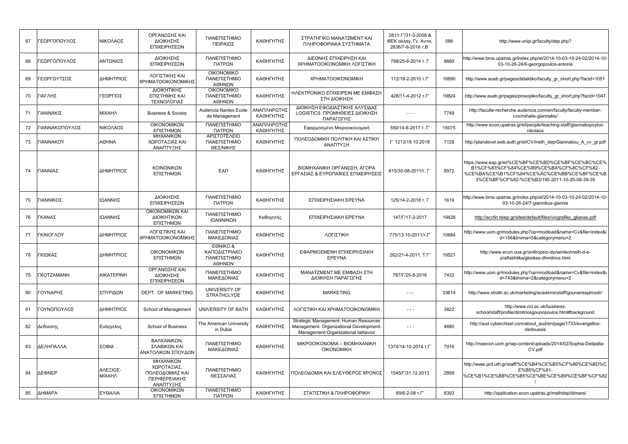| 67 | <b>ΈΩΡΓΟΠΟΥΛΟΣ</b>      | ΝΙΚΟΛΑΟΣ                  | ΟΡΓΑΝΩΣΗΣ ΚΑΙ<br>ΔΙΟΙΚΗΣΗΣ<br>ΕΠΙΧΕΙΡΗΣΕΩΝ                                | ΠΑΝΕΠΙΣΤΗΜΙΟ<br>ΠΕΙΡΑΙΩΣ                           | ΚΑΘΗΓΗΤΗΣ                | ΣΤΡΑΤΗΓΙΚΟ ΜΑΝΑΤΖΜΕΝΤ ΚΑΙ<br>ΠΛΗΡΟΦΟΡΙΑΚΑ ΣΥΣΤΗΜΑΤΑ                                                                    | 281/T. $\Gamma$ /31-3-2008 &<br>ΦΕΚ αλλαγ. Γν. Αντικ.<br>2836/7-9-2016 T.B' | 588   | http://www.unipi.gr/faculty/dep.php?                                                                                                                                                       |
|----|-------------------------|---------------------------|---------------------------------------------------------------------------|----------------------------------------------------|--------------------------|------------------------------------------------------------------------------------------------------------------------|-----------------------------------------------------------------------------|-------|--------------------------------------------------------------------------------------------------------------------------------------------------------------------------------------------|
| 68 | ΓΕΩΡΓΟΠΟΥΛΟΣ            | ΑΝΤΩΝΙΟΣ                  | <b>ΔΙΟΙΚΗΣΗΣ</b><br>ΕΠΙΧΕΙΡΗΣΕΩΝ                                          | ΠΑΝΕΠΙΣΤΗΜΙΟ<br>ΠΑΤΡΩΝ                             | ΚΑΘΗΓΗΤΗΣ                | ΔΙΕΘΝΗΣ ΕΠΙΧΕΙΡΗΣΗ ΚΑΙ<br>ΧΡΗΜΑΤΟΟΙΚΟΝΟΜΙΚΗ ΛΟΓΙΣΤΙΚΗ                                                                  | 798/25-6-2014 т. Г                                                          | 8669  | http://www.bma.upatras.gr/index.php/el/2014-10-03-10-24-02/2014-10-<br>03-10-26-24/6-georgopoulos-antonis                                                                                  |
| 69 | <b>ΈΩΡΓΟΥΤΣΟΣ</b>       | ΔΗΜΗΤΡΙΟΣ                 | ΛΟΓΙΣΤΙΚΗΣ ΚΑΙ<br>ΧΡΗΜΑΤΟΟΙΚΟΝΟΜΙΚΗΣ                                      | <b>OIKONOMIKO</b><br>ΠΑΝΕΠΙΣΤΗΜΙΟ<br>ΑΘΗΝΩΝ        | ΚΑΘΗΓΗΤΗΣ                | <b>XPHMATOOIKONOMIKH</b>                                                                                               | 112/18-2-2010 T.T                                                           | 18890 | http://www.aueb.gr/pages/didaktiko/faculty gr short.php?facid=1051                                                                                                                         |
| 70 | ΓΙΑΓΛΗΣ                 | ΓΕΩΡΓΙΟΣ                  | ΔΙΟΙΚΗΤΙΚΗΣ<br>ΕΠΙΣΤΗΜΗΣ ΚΑΙ<br>ΤΕΧΝΟΛΟΓΙΑΣ                               | <b>OIKONOMIKO</b><br>ΠΑΝΕΠΙΣΤΗΜΙΟ<br>ΑΘΗΝΩΝ        | ΚΑΘΗΓΗΤΗΣ                | ΗΛΕΚΤΡΟΝΙΚΟ ΕΠΙΧΕΙΡΕΙΝ ΜΕ ΕΜΦΑΣΗ<br>ΣΤΗ ΔΙΟΙΚΗΣΗ                                                                       | 428/11-4-2012 T.T                                                           | 19824 | http://www.aueb.gr/pages/prosopiko/faculty_gr_short.php?facid=1047                                                                                                                         |
| 71 | ΓΙΑΝΝΑΚΙΣ               | <b>MIXAHA</b>             | <b>Business &amp; Society</b>                                             | Audencia Nantes Ecole<br>de Management             | ΑΝΑΠΛΗΡΩΤΗΣ<br>ΚΑΘΗΓΗΤΗΣ | ΔΙΟΙΚΗΣΗ ΕΦΟΔΙΑΣΤΙΚΗΣ ΑΛΥΣΙΔΑΣ<br>LOGISTICS ΠΡΟΜΗΘΕΙΕΣ ΔΙΟΙΚΗΣΗ<br>ΠΑΡΑΓΩΓΗΣ                                           | $- - -$                                                                     | 7749  | http://faculte-recherche.audencia.com/en/faculty/faculty-member-<br>cvs/mihalis-giannakis/                                                                                                 |
| 72 | ΊΑΝΝΑΚΟΠΟΥΛΟΣ           | ΝΙΚΟΛΑΟΣ                  | ΟΙΚΟΝΟΜΙΚΩΝ<br>ΕΠΙΣΤΗΜΩΝ                                                  | ΠΑΝΕΠΙΣΤΗΜΙΟ<br>ΠΑΤΡΩΝ                             | ΑΝΑΠΛΗΡΩΤΗΣ<br>ΚΑΘΗΓΗΤΗΣ | Εφαρμοσμένη Μικροοικονομική                                                                                            | 550/14-6-2017 т. Г                                                          | 15075 | http://www.econ.upatras.gr/el/people/teaching-staff/giannakopoylos-<br>nikolaos                                                                                                            |
| 73 | <b><i>FIANNAKOY</i></b> | <b>AOHNA</b>              | ΜΗΧΑΝΙΚΩΝ<br>ΧΩΡΟΤΑΞΙΑΣ ΚΑΙ<br>ΑΝΑΠΤΥΞΗΣ                                  | ΑΡΙΣΤΟΤΕΛΕΙΟ<br>ΠΑΝΕΠΙΣΤΗΜΙΟ<br>ΘΕΣ/ΝΙΚΗΣ          | ΚΑΘΗΓΗΤΗΣ                | ΠΟΛΕΟΔΟΜΙΚΗ ΠΟΛΙΤΙΚΗ ΚΑΙ ΑΣΤΙΚΗ<br>ΑΝΑΠΤΥΞΗ                                                                            | Г' 1213/19.10.2018                                                          | 7128  | http://plandevel.web.auth.gr/el/CV/melh dep/Giannakou A cv gr.pdf                                                                                                                          |
| 74 | ΓΙΑΝΝΙΑΣ                | ΔΗΜΗΤΡΙΟΣ                 | ΚΟΙΝΩΝΙΚΩΝ<br>ΕΠΙΣΤΗΜΩΝ                                                   | <b>EAN</b>                                         | ΚΑΘΗΓΗΤΗΣ                | ΒΙΟΜΗΧΑΝΙΚΗ ΟΡΓΑΝΩΣΗ, ΑΓΟΡΑ<br>ΕΡΓΑΣΙΑΣ & ΕΥΡΩΠΑΪΚΕΣ ΕΠΙΧΕΙΡΗΣΕΙΣ                                                      | 615/30-08-2011/т. Г                                                         | 8972  | https://www.eap.gr/el/%CE%BF%CE%BD%CE%BF%CE%BC%CE%<br>B1%CF%83%CF%84%CE%B9%CE%BA%CF%8C%CF%82-<br>%CE%BA%CE%B1%CF%84%CE%AC%CE%BB%CE%BF%CE%B<br>3%CE%BF%CF%82-%CE%B3/195-2011-10-20-08-39-35 |
| 75 | ΓΙΑΝΝΙΚΟΣ               | ΙΩΑΝΝΗΣ                   | ΔΙΟΙΚΗΣΗΣ<br>ΕΠΙΧΕΙΡΗΣΕΩΝ                                                 | ΠΑΝΕΠΙΣΤΗΜΙΟ<br>ΠΑΤΡΩΝ                             | ΚΑΘΗΓΗΤΗΣ                | ΕΠΙΧΕΙΡΗΣΙΑΚΗ ΕΡΕΥΝΑ                                                                                                   | 125/14-2-2018 т. Г                                                          | 1619  | http://www.bma.upatras.gr/index.php/el/2014-10-03-10-24-02/2014-10-<br>03-10-26-24/7-giannikos-giannis                                                                                     |
| 76 | ΓΚΑΝΑΣ                  | ΙΩΑΝΝΗΣ                   | ΟΙΚΟΝΟΜΙΚΩΝ ΚΑΙ<br>ΔΙΟΙΚΗΤΙΚΩΝ<br>ΕΠΙΣΤΗΜΩΝ                               | ΠΑΝΕΠΙΣΤΗΜΙΟ<br>ΙΩΑΝΝΙΝΩΝ                          | Καθηγητής                | ΕΠΙΧΕΙΡΗΣΙΑΚΗ ΕΡΕΥΝΑ                                                                                                   | 147/F/17-2-2017                                                             | 19428 | http://accfin.teiep.gr/sites/default/files/viografiko gkanas.pdf                                                                                                                           |
| 77 | ΓΚΙΝΟΓΛΟΥ               | ΔΗΜΗΤΡΙΟΣ                 | ΛΟΓΙΣΤΙΚΗΣ ΚΑΙ<br>ΧΡΗΜΑΤΟΟΙΚΟΝΟΜΙΚΗΣ                                      | ΠΑΝΕΠΙΣΤΗΜΙΟ<br>ΜΑΚΕΔΟΝΙΑΣ                         | ΚΑΘΗΓΗΤΗΣ                | ΛΟΓΙΣΤΙΚΗ                                                                                                              | 775/13-10-2011/T.F                                                          | 10684 | http://www.uom.gr/modules.php?op=modload&name=Cv&file=index&i<br>d=156&tmima=5&categorymenu=2                                                                                              |
| 78 | ΓΚΙΩΚΑΣ                 | ΔΗΜΗΤΡΙΟΣ                 | ΟΙΚΟΝΟΜΙΚΩΝ<br>ΕΠΙΣΤΗΜΩΝ                                                  | EONIKO&<br>ΚΑΠΟΔΙΣΤΡΙΑΚΟ<br>ΠΑΝΕΠΙΣΤΗΜΙΟ<br>ΑΘΗΝΩΝ | ΚΑΘΗΓΗΤΗΣ                | ΕΦΑΡΜΟΣΜΕΝΗ ΕΠΙΧΕΙΡΗΣΙΑΚΗ<br>EPEYNA                                                                                    | 262/21-4-2011, T.F                                                          | 19521 | http://www.econ.uoa.gr/an8ropino-dynamiko/melh-d-e-<br>p/alfabhtika/qkiokas-dhmitrios.html                                                                                                 |
| 79 | <b>TKOTZAMANH</b>       | <b>AIKATEPINH</b>         | ΟΡΓΑΝΩΣΗΣ ΚΑΙ<br>ΔΙΟΙΚΗΣΗΣ<br>ΕΠΙΧΕΙΡΗΣΕΩΝ                                | ΠΑΝΕΠΙΣΤΗΜΙΟ<br>ΜΑΚΕΔΟΝΙΑΣ                         | ΚΑΘΗΓΗΤΗΣ                | ΜΑΝΑΤΖΜΕΝΤ ΜΕ ΕΜΦΑΣΗ ΣΤΗ<br>ΔΙΟΙΚΗΣΗ ΠΑΡΑΓΩΓΗΣ                                                                         | 787/Г/25-8-2016                                                             | 7432  | http://www.uom.gr/modules.php?op=modload&name=Cv&file=index&i<br>d=743&tmima=2&categorymenu=2                                                                                              |
| 80 | ΓΟΥΝΑΡΗΣ                | ΣΠΥΡΙΔΩΝ                  | <b>DEPT. OF MARKETING</b>                                                 | UNIVERSITY OF<br><b>STRATHCLYDE</b>                | ΚΑΘΗΓΗΤΗΣ                | <b>MARKETING</b>                                                                                                       | $\sim$ $\sim$ $\sim$                                                        | 33614 | http://www.strath.ac.uk/marketing/academicstaff/gounarisspirosdr/                                                                                                                          |
| 81 | ΓΟΥΝΟΠΟΥΛΟΣ             | ΔΗΜΗΤΡΙΟΣ                 | School of Management                                                      | UNIVERSITY OF BATH                                 | ΚΑΘΗΓΗΤΗΣ                | ΛΟΓΙΣΤΙΚΗ ΚΑΙ ΧΡΗΜΑΤΟΟΙΚΟΝΟΜΙΚΗ                                                                                        | $  -$                                                                       | 3822  | http://www.ncl.ac.uk/business-<br>school/staff/profile/dimitriosgounopoulos.html#background                                                                                                |
| 82 | Δεδούσης                | Ευάγγελος                 | <b>School of Business</b>                                                 | The American University<br>in Dubai                | ΚΑΘΗΓΗΤΗΣ                | Strategic Management- Human Resources<br>Management- Organizational Development-<br>Management-Organizational behavior | $- - -$                                                                     | 4680  | http://aud.cyberchisel.com/about aud/en/page/1733/evangellos-<br>dedoussis                                                                                                                 |
| 83 | ΔΕΛΗΠΑΛΛΑ               | ΣΟΦΙΑ                     | ΒΑΛΚΑΝΙΚΩΝ.<br>ΣΛΑΒΙΚΩΝ ΚΑΙ<br>ΑΝΑΤΟΛΙΚΩΝ ΣΠΟΥΔΩΝ                         | ΠΑΝΕΠΙΣΤΗΜΙΟ<br>ΜΑΚΕΔΟΝΙΑΣ                         | ΚΑΘΗΓΗΤΗΣ                | MIKPOOIKONOMIA - BIOMHXANIKH<br><b>OIKONOMIKH</b>                                                                      | 1374/14-10-2014 т.Г                                                         | 7916  | http://maecon.uom.gr/wp-content/uploads/2014/02/Sophia-Delipalla-<br>CV.pdf                                                                                                                |
| 84 | ΔΕΦΝΕΡ                  | ΑΛΕΞΙΟΣ-<br><b>MIXAHA</b> | ΜΗΧΑΝΙΚΩΝ<br>ΧΩΡΟΤΑΞΙΑΣ,<br>ΠΟΛΕΟΔΟΜΙΑΣ ΚΑΙ<br>ΠΕΡΙΦΕΡΕΙΑΚΗΣ<br>ΑΝΑΠΤΥΞΗΣ | ΠΑΝΕΠΙΣΤΗΜΙΟ<br>ΘΕΣΣΑΛΙΑΣ                          | ΚΑΘΗΓΗΤΗΣ                | ΠΟΛΕΟΔΟΜΙΑ ΚΑΙ ΕΛΕΥΘΕΡΟΣ ΧΡΟΝΟΣ                                                                                        | 1545/Г/31.12.2013                                                           | 2899  | http://www.prd.uth.gr/staff/%CE%B4%CE%B5%CF%86%CE%BD%C<br>E%B5%CF%81-<br>%CE%B1%CE%BB%CE%B5%CE%BE%CE%B9%CE%BF%CF%82                                                                        |
| 85 | ΔΗΜΑΡΑ                  | ΕΥΘΑΛΙΑ                   | ΟΙΚΟΝΟΜΙΚΩΝ<br>ΕΠΙΣΤΗΜΩΝ                                                  | ΠΑΝΕΠΙΣΤΗΜΙΟ<br>ΠΑΤΡΩΝ                             | ΚΑΘΗΓΗΤΗΣ                | ΣΤΑΤΙΣΤΙΚΗ & ΠΛΗΡΟΦΟΡΙΚΗ                                                                                               | 89/6-2-08 T.F'                                                              | 8393  | http://application.econ.upatras.gr/melhdep/dimara/                                                                                                                                         |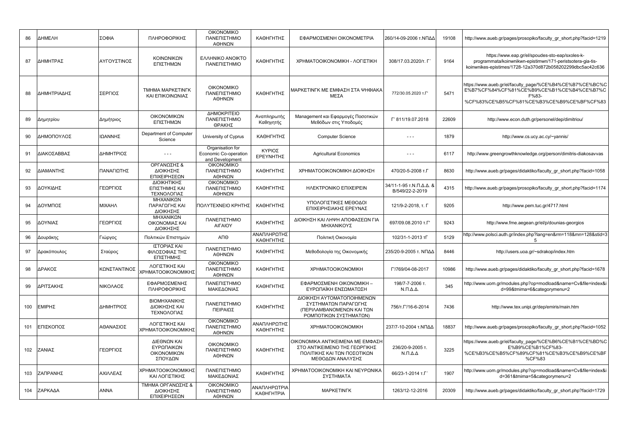| 86  | ΔΗΜΕΛΗ      | ΣΟΦΙΑ        | ΠΛΗΡΟΦΟΡΙΚΗΣ                                          | <b>OIKONOMIKO</b><br>ΠΑΝΕΠΙΣΤΗΜΙΟ<br>ΑΘΗΝΩΝ                  | ΚΑΘΗΓΗΤΗΣ                          | ΕΦΑΡΜΟΣΜΕΝΗ ΟΙΚΟΝΟΜΕΤΡΙΑ                                                                                             | 260/14-09-2006 τ.ΝΠΔΔ                      | 19108 | http://www.aueb.gr/pages/prosopiko/faculty_gr_short.php?facid=1219                                                                                                          |
|-----|-------------|--------------|-------------------------------------------------------|--------------------------------------------------------------|------------------------------------|----------------------------------------------------------------------------------------------------------------------|--------------------------------------------|-------|-----------------------------------------------------------------------------------------------------------------------------------------------------------------------------|
| 87  | ΔΗΜΗΤΡΑΣ    | ΑΥΓΟΥΣΤΙΝΟΣ  | ΚΟΙΝΩΝΙΚΩΝ<br>ΕΠΙΣΤΗΜΩΝ                               | <b>EAAHNIKO ANOIKTO</b><br>ΠΑΝΕΠΙΣΤΗΜΙΟ                      | ΚΑΘΗΓΗΤΗΣ                          | ΧΡΗΜΑΤΟΟΙΚΟΝΟΜΙΚΗ - ΛΟΓΙΣΤΙΚΗ                                                                                        | 308/17.03.2020/т. Г                        | 9164  | https://www.eap.gr/el/spoudes-sto-eap/sxoles-k-<br>programmata/koinwnikwn-epistimwn/171-peristsotera-gia-tis-<br>koinwnikes-epistimes/1728-12a370d872b058202299dbc5ac42c636 |
| 88  | ΔΗΜΗΤΡΙΑΔΗΣ | ΣΕΡΓΙΟΣ      | <b>TMHMA MAPKETINFK</b><br>ΚΑΙ ΕΠΙΚΟΙΝΩΝΙΑΣ           | <b>OIKONOMIKO</b><br>ΠΑΝΕΠΙΣΤΗΜΙΟ<br>ΑΘΗΝΩΝ                  | ΚΑΘΗΓΗΤΗΣ                          | ΜΑΡΚΕΤΙΝΓΚ ΜΕ ΕΜΦΑΣΗ ΣΤΑ ΨΗΦΙΑΚΑ<br>ΜΕΣΑ                                                                             | 772/30.05.2020 T.F                         | 5471  | nttps://www.aueb.gr/el/faculty_page/%CE%B4%CE%B7%CE%BC%C<br>E%B7%CF%84%CF%81%CE%B9%CE%B1%CE%B4%CE%B7%C<br>F%83-<br>%CF%83%CE%B5%CF%81%CE%B3%CE%B9%CE%BF%CF%83               |
| 89  | Δημητρίου   | Δημήτριος    | ΟΙΚΟΝΟΜΙΚΩΝ<br>ΕΠΙΣΤΗΜΩΝ                              | ΔΗΜΟΚΡΙΤΕΙΟ<br>ΠΑΝΕΠΙΣΤΗΜΙΟ<br>ΘΡΑΚΗΣ                        | Αναπληρωτής<br>Καθηγητής           | Management και Εφαρμογές Ποσοτικών<br>Μεθόδων στις Υποδομές                                                          | Г' 811/19.07.2018                          | 22609 | http://www.econ.duth.gr/personel/dep/dimitriou/                                                                                                                             |
| 90  | ΔΗΜΟΠΟΥΛΟΣ  | ΙΩΑΝΝΗΣ      | Department of Computer<br>Science                     | University of Cyprus                                         | ΚΑΘΗΓΗΤΗΣ                          | <b>Computer Science</b>                                                                                              | $- - -$                                    | 1879  | http://www.cs.ucy.ac.cy/~yannis/                                                                                                                                            |
| 91  | ΔΙΑΚΟΣΑΒΒΑΣ | ΔΗΜΗΤΡΙΟΣ    | $- - -$                                               | Organisation for<br>Economic Co-operation<br>and Development | ΚΥΡΙΟΣ<br>ΕΡΕΥΝΗΤΗΣ                | <b>Agricultural Economics</b>                                                                                        | $ -$                                       | 6117  | http://www.greengrowthknowledge.org/person/dimitris-diakosavvas                                                                                                             |
| 92  | ΔΙΑΜΑΝΤΗΣ   | ΠΑΝΑΓΙΩΤΗΣ   | ΟΡΓΑΝΩΣΗΣ &<br>ΔΙΟΙΚΗΣΗΣ<br>ΕΠΙΧΕΙΡΗΣΕΩΝ              | <b>OIKONOMIKO</b><br>ΠΑΝΕΠΙΣΤΗΜΙΟ<br>ΑΘΗΝΩΝ                  | ΚΑΘΗΓΗΤΗΣ                          | ΧΡΗΜΑΤΟΟΙΚΟΝΟΜΙΚΗ ΔΙΟΙΚΗΣΗ                                                                                           | 470/20-5-2008 т.Г                          | 8630  | http://www.aueb.gr/pages/didaktiko/faculty_gr_short.php?facid=1058                                                                                                          |
| 93  | ΔΟΥΚΙΔΗΣ    | ΓΕΩΡΓΙΟΣ     | ΔΙΟΙΚΗΤΙΚΗΣ<br>ΕΠΙΣΤΗΜΗΣ ΚΑΙ<br>ΤΕΧΝΟΛΟΓΙΑΣ           | <b>OIKONOMIKO</b><br>ΠΑΝΕΠΙΣΤΗΜΙΟ<br>ΑΘΗΝΩΝ                  | ΚΑΘΗΓΗΤΗΣ                          | HAEKTPONIKO EΠIXEIPEIN                                                                                               | 34/11-1-95 τ.Ν.Π.Δ.Δ. &<br>B/549/22-2-2019 | 4315  | http://www.aueb.gr/pages/prosopiko/faculty gr short.php?facid=1174                                                                                                          |
| 94  | ΔΟΥΜΠΟΣ     | ΜΙΧΑΗΛ       | ΜΗΧΑΝΙΚΩΝ<br>ΠΑΡΑΓΩΓΗΣ ΚΑΙ<br>ΔΙΟΙΚΗΣΗΣ               | ΠΟΛΥΤΕΧΝΕΙΟ ΚΡΗΤΗΣ                                           | ΚΑΘΗΓΗΤΗΣ                          | ΥΠΟΛΟΓΙΣΤΙΚΕΣ ΜΕΘΟΔΟΙ<br>ΕΠΙΧΕΙΡΗΣΙΑΚΗΣ ΕΡΕΥΝΑΣ                                                                      | 121/9-2-2018, т. Г                         | 9205  | http://www.pem.tuc.gr/4717.html                                                                                                                                             |
| 95  | ΔΟΥΝΙΑΣ     | ΓΕΩΡΓΙΟΣ     | ΜΗΧΑΝΙΚΩΝ<br>ΟΙΚΟΝΟΜΙΑΣ ΚΑΙ<br>ΔΙΟΙΚΗΣΗΣ              | ΠΑΝΕΠΙΣΤΗΜΙΟ<br>ΑΙΓΑΙΟΥ                                      | ΚΑΘΗΓΗΤΗΣ                          | ΔΙΟΙΚΗΣΗ ΚΑΙ ΛΗΨΗ ΑΠΟΦΑΣΕΩΝ ΓΙΑ<br>ΜΗΧΑΝΙΚΟΥΣ                                                                        | 697/09.08.2010 т.Г                         | 9243  | http://www.fme.aegean.gr/el/p/dounias-georgios                                                                                                                              |
| 96  | Δουράκης    | Γιώργος      | Πολιτικών Επιστημών                                   | АПО                                                          | ΑΝΑΠΛΗΡΩΤΗΣ<br>ΚΑΘΗΓΗΤΗΣ           | Πολιτική Οικονομία                                                                                                   | 102/31-1-2013 TD                           | 5129  | http://www.polsci.auth.gr/index.php?lang=en&rm=118&mn=128&stid=3<br>5                                                                                                       |
| 97  | Δρακόπουλος | Σταύρος      | ΙΣΤΟΡΙΑΣ ΚΑΙ<br>ΦΙΛΟΣΟΦΙΑΣ ΤΗΣ<br>ΕΠΙΣΤΗΜΗΣ           | ΠΑΝΕΠΙΣΤΗΜΙΟ<br>ΑΘΗΝΩΝ                                       | ΚΑΘΗΓΗΤΗΣ                          | Μεθοδολογία της Οικονομικής                                                                                          | 235/20-9-2005 τ. ΝΠΔΔ                      | 8446  | http://users.uoa.gr/~sdrakop/index.htm                                                                                                                                      |
| 98  | ΔΡΑΚΟΣ      | ΚΩΝΣΤΑΝΤΙΝΟΣ | ΛΟΓΙΣΤΙΚΗΣ ΚΑΙ<br>ΧΡΗΜΑΤΟΟΙΚΟΝΟΜΙΚΗΣ                  | <b>OIKONOMIKO</b><br>ΠΑΝΕΠΙΣΤΗΜΙΟ<br>ΑΘΗΝΩΝ                  | ΚΑΘΗΓΗΤΗΣ                          | <b>XPHMATOOIKONOMIKH</b>                                                                                             | Г'/769/04-08-2017                          | 10986 | http://www.aueb.gr/pages/didaktiko/faculty gr short.php?facid=1678                                                                                                          |
| 99  | ΔΡΙΤΣΑΚΗΣ   | ΝΙΚΟΛΑΟΣ     | ΕΦΑΡΜΟΣΜΕΝΗΣ<br>ΠΛΗΡΟΦΟΡΙΚΗΣ                          | ΠΑΝΕΠΙΣΤΗΜΙΟ<br>ΜΑΚΕΔΟΝΙΑΣ                                   | ΚΑΘΗΓΗΤΗΣ                          | ΕΦΑΡΜΟΣΜΕΝΗ ΟΙΚΟΝΟΜΙΚΗ -<br>ΕΥΡΩΠΑΪΚΗ ΕΝΣΩΜΑΤΩΣΗ                                                                     | 198/7-7-2006 т.<br>$N.\Pi.\Delta.\Delta.$  | 345   | http://www.uom.gr/modules.php?op=modload&name=Cv&file=index&i<br>d=99&tmima=6&categorymenu=2                                                                                |
| 100 | ΕΜΙΡΗΣ      | ΔΗΜΗΤΡΙΟΣ    | ΒΙΟΜΗΧΑΝΙΚΗΣ<br>ΔΙΟΙΚΗΣΗΣ ΚΑΙ<br>ΤΕΧΝΟΛΟΓΙΑΣ          | ΠΑΝΕΠΙΣΤΗΜΙΟ<br>ΠΕΙΡΑΙΩΣ                                     | ΚΑΘΗΓΗΤΗΣ                          | ΔΙΟΙΚΗΣΗ ΑΥΤΟΜΑΤΟΠΟΙΗΜΕΝΩΝ<br>ΣΥΣΤΗΜΑΤΩΝ ΠΑΡΑΓΩΓΗΣ<br>(ΠΕΡΙΛΑΜΒΑΝΟΜΕΝΩΝ ΚΑΙ ΤΩΝ<br>ΡΟΜΠΟΤΙΚΩΝ ΣΥΣΤΗΜΑΤΩΝ)            | 756/T. 1/16-6-2014                         | 7436  | http://www.tex.unipi.gr/dep/emiris/main.htm                                                                                                                                 |
| 101 | ΕΠΙΣΚΟΠΟΣ   | ΑΘΑΝΑΣΙΟΣ    | ΛΟΓΙΣΤΙΚΗΣ ΚΑΙ<br>ΧΡΗΜΑΤΟΟΙΚΟΝΟΜΙΚΗΣ                  | <b>OIKONOMIKO</b><br>ΠΑΝΕΠΙΣΤΗΜΙΟ<br>ΑΘΗΝΩΝ                  | ΑΝΑΠΛΗΡΩΤΗΣ<br>ΚΑΘΗΓΗΤΗΣ           | <b>XPHMATOOIKONOMIKH</b>                                                                                             | 237/7-10-2004 τ.ΝΠΔΔ                       | 18837 | http://www.aueb.gr/pages/prosopiko/faculty_gr_short.php?facid=1052                                                                                                          |
| 102 | ΖΑΝΙΑΣ      | ΓΕΩΡΓΙΟΣ     | ΔΙΕΘΝΩΝ ΚΑΙ<br>ΕΥΡΩΠΑΙΚΩΝ<br>ΟΙΚΟΝΟΜΙΚΩΝ<br>ΣΠΟΥΔΩΝ   | <b>OIKONOMIKO</b><br>ΠΑΝΕΠΙΣΤΗΜΙΟ<br>ΑΘΗΝΩΝ                  | ΚΑΘΗΓΗΤΗΣ                          | ΟΙΚΟΝΟΜΙΚΑ ΑΝΤΙΚΕΙΜΕΝΑ ΜΕ ΕΜΦΑΣΗ<br>ΣΤΟ ΑΝΤΙΚΕΙΜΕΝΟ ΤΗΣ ΓΕΩΡΓΙΚΗΣ<br>ΠΟΛΙΤΙΚΗΣ ΚΑΙ ΤΩΝ ΠΟΣΟΤΙΚΩΝ<br>ΜΕΘΟΔΩΝ ΑΝΑΛΥΣΗΣ | 236/20-9-2005 т.<br>$N.\Pi.\Delta.\Delta$  | 3225  | https://www.aueb.gr/el/faculty_page/%CE%B6%CE%B1%CE%BD%C<br>E%B9%CE%B1%CF%83-<br>%CE%B3%CE%B5%CF%89%CF%81%CE%B3%CE%B9%CE%BF<br>%CF%83                                       |
| 103 | ΖΑΠΡΑΝΗΣ    | ΑΧΙΛΛΕΑΣ     | ΧΡΗΜΑΤΟΟΙΚΟΝΟΜΙΚΗΣ<br>ΚΑΙ ΛΟΓΙΣΤΙΚΗΣ                  | ΠΑΝΕΠΙΣΤΗΜΙΟ<br>ΜΑΚΕΔΟΝΙΑΣ                                   | ΚΑΘΗΓΗΤΗΣ                          | ΧΡΗΜΑΤΟΟΙΚΟΝΟΜΙΚΗ ΚΑΙ ΝΕΥΡΩΝΙΚΑ<br>ΣΥΣΤΗΜΑΤΑ                                                                         | 66/23-1-2014 т.Г                           | 1907  | http://www.uom.gr/modules.php?op=modload&name=Cv&file=index&i<br>d=361&tmima=5&categorymenu=2                                                                               |
| 104 | ΖΑΡΚΑΔΑ     | <b>ANNA</b>  | ΤΜΗΜΑ ΟΡΓΑΝΩΣΗΣ &<br><b>ΔΙΟΙΚΗΣΗΣ</b><br>ΕΠΙΧΕΙΡΗΣΕΩΝ | <b>OIKONOMIKO</b><br>ΠΑΝΕΠΙΣΤΗΜΙΟ<br>ΑΘΗΝΩΝ                  | ΑΝΑΠΛΗΡΩΤΡΙΑ<br><b>КА</b> ӨНГНТРІА | <b>MAPKETINFK</b>                                                                                                    | 1263/12-12-2016                            | 20309 | http://www.aueb.gr/pages/didaktiko/faculty gr short.php?facid=1729                                                                                                          |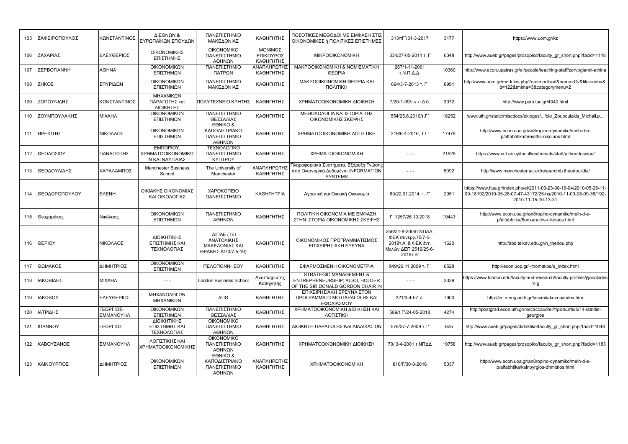| 105 | ΖΑΦΕΙΡΟΠΟΥΛΟΣ | ΚΩΝΣΤΑΝΤΙΝΟΣ                  | ΔΙΕΘΝΩΝ &<br>ΕΥΡΩΠΑΪΚΩΝ ΣΠΟΥΔΩΝ                   | ΠΑΝΕΠΙΣΤΗΜΙΟ<br>ΜΑΚΕΔΟΝΙΑΣ                                        | ΚΑΘΗΓΗΤΗΣ                         | ΠΟΣΟΤΙΚΕΣ ΜΕΘΟΔΟΙ ΜΕ ΕΜΦΑΣΗ ΣΤΙΣ<br>ΟΙΚΟΝΟΜΙΚΕΣ ή ΠΟΛΙΤΙΚΕΣ ΕΠΙΣΤΗΜΕΣ                                    | 313/TT7/31-3-2017                                                                                      | 3177  | https://www.uom.gr/kz                                                                                                                                      |
|-----|---------------|-------------------------------|---------------------------------------------------|-------------------------------------------------------------------|-----------------------------------|----------------------------------------------------------------------------------------------------------|--------------------------------------------------------------------------------------------------------|-------|------------------------------------------------------------------------------------------------------------------------------------------------------------|
| 106 | ΖΑΧΑΡΙΑΣ      | ΕΛΕΥΘΕΡΙΟΣ                    | ΟΙΚΟΝΟΜΙΚΗΣ<br>ΕΠΙΣΤΗΜΗΣ                          | <b>OIKONOMIKO</b><br>ΠΑΝΕΠΙΣΤΗΜΙΟ<br>ΑΘΗΝΩΝ                       | ΜΟΝΙΜΟΣ<br>ΕΠΙΚΟΥΡΟΣ<br>ΚΑΘΗΓΗΤΗΣ | <b>MIKPOOIKONOMIKH</b>                                                                                   | 334/27-05-2011 T. L'                                                                                   | 6348  | http://www.aueb.gr/pages/prosopiko/faculty gr short.php?facid=1118                                                                                         |
| 107 | ZEPBOFIANNH   | <b>AOHNA</b>                  | ΟΙΚΟΝΟΜΙΚΩΝ<br>ΕΠΙΣΤΗΜΩΝ                          | ΠΑΝΕΠΙΣΤΗΜΙΟ<br>ΠΑΤΡΩΝ                                            | ΑΝΑΠΛΗΡΩΤΗΣ<br>ΚΑΘΗΓΗΤΗΣ          | ΜΑΚΡΟΟΙΚΟΝΟΜΙΚΗ & ΝΟΜΙΣΜΑΤΙΚΗ<br>ΘΕΩΡΙΑ                                                                  | 267/1-11-2001<br>Τ.Ν.Π.Δ.Δ.                                                                            | 10360 | http://www.econ.upatras.gr/el/people/teaching-staff/zervogianni-athina                                                                                     |
| 108 | ΖΗΚΟΣ         | ΣΠΥΡΙΔΩΝ                      | ΟΙΚΟΝΟΜΙΚΩΝ<br>ΕΠΙΣΤΗΜΩΝ                          | ΠΑΝΕΠΙΣΤΗΜΙΟ<br>ΜΑΚΕΔΟΝΙΑΣ                                        | ΚΑΘΗΓΗΤΗΣ                         | ΜΑΚΡΟΟΙΚΟΝΟΜΙΚΗ ΘΕΩΡΙΑ ΚΑΙ<br><b><i><u>NOVILIKH</u></i></b>                                              | 694/3-7-2013 т. Г                                                                                      | 8991  | http://www.uom.gr/modules.php?op=modload&name=Cv&file=index&i<br>d=122&tmima=3&categorymenu=2                                                              |
| 109 | ΖΟΠΟΥΝΙΔΗΣ    | ΚΩΝΣΤΑΝΤΙΝΟΣ                  | ΜΗΧΑΝΙΚΩΝ<br>ΠΑΡΑΓΩΓΗΣ και<br>ΔΙΟΙΚΗΣΗΣ           | ΠΟΛΥΤΕΧΝΕΙΟ ΚΡΗΤΗΣ                                                | ΚΑΘΗΓΗΤΗΣ                         | ΧΡΗΜΑΤΟΟΙΚΟΝΟΜΙΚΗ ΔΙΟΙΚΗΣΗ                                                                               | $7/20 - 1 - 99/1. v \cdot \pi \cdot \delta \cdot \delta$                                               | 3072  | http://www.pem.tuc.gr/4340.html                                                                                                                            |
| 110 | ΖΟΥΜΠΟΥΛΑΚΗΣ  | ΜΙΧΑΗΛ                        | ΟΙΚΟΝΟΜΙΚΩΝ<br>ΕΠΙΣΤΗΜΩΝ                          | ΠΑΝΕΠΙΣΤΗΜΙΟ<br>ΘΕΣΣΑΛΙΑΣ                                         | ΚΑΘΗΓΗΤΗΣ                         | ΜΕΘΟΔΟΛΟΓΙΑ ΚΑΙ ΙΣΤΟΡΙΑ ΤΗΣ<br>ΟΙΚΟΝΟΜΙΚΗΣ ΣΚΕΨΗΣ                                                        | 554/25.6.2010/T.F                                                                                      | 18252 | www.uth.gr/static/miscdocs/ekloges//bio Zouboulakis Michail.p                                                                                              |
| 111 | ΗΡΕΙΩΤΗΣ      | ΝΙΚΟΛΑΟΣ                      | ΟΙΚΟΝΟΜΙΚΩΝ<br>ΕΠΙΣΤΗΜΩΝ                          | EONIKO &<br>ΚΑΠΟΔΙΣΤΡΙΑΚΟ<br>ΠΑΝΕΠΙΣΤΗΜΙΟ<br>ΑΘΗΝΩΝ               | ΚΑΘΗΓΗΤΗΣ                         | ΧΡΗΜΑΤΟΟΙΚΟΝΟΜΙΚΗ ΛΟΓΙΣΤΙΚΗ                                                                              | 316/6-4-2016, T.F'                                                                                     | 17479 | http://www.econ.uoa.gr/an8ropino-dynamiko/melh-d-e-<br>p/alfabhtika/hreioths-nikolaos.html                                                                 |
| 112 | ΘΕΟΔΟΣΙΟΥ     | ΠΑΝΑΓΙΩΤΗΣ                    | EMNOPIOY,<br>ΧΡΗΜΑΤΟΟΙΚΟΝΟΜΙΚΩ<br>Ν ΚΑΙ ΝΑΥΤΙΛΙΑΣ | ΤΕΧΝΟΛΟΓΙΚΟ<br>ΠΑΝΕΠΙΣΤΗΜΙΟ<br><b>KYNTPOY</b>                     | ΚΑΘΗΓΗΤΗΣ                         | <b>XPHMATOOIKONOMIKH</b>                                                                                 | $  -$                                                                                                  | 21525 | https://www.cut.ac.cy/faculties/fme/cfs/staff/p.theodossiou/                                                                                               |
| 113 | ΘΕΟΔΟΥΛΙΔΗΣ   | ΧΑΡΑΛΑΜΠΟΣ                    | <b>Manchester Business</b><br>School              | The University of<br>Manchester                                   | ΑΝΑΠΛΗΡΩΤΗΣ<br>ΚΑΘΗΓΗΤΗΣ          | Πληροφοριακά Συστήματα, Εξόρυξη Γνώσης<br>από Οικονομικά Δεδομένα- INFORMATION<br><b>SYSTEMS</b>         | $- - -$                                                                                                | 5092  | http://www.manchester.ac.uk/research/b.theodoulidis/                                                                                                       |
| 114 | ΘΕΟΔΩΡΟΠΟΥΛΟΥ | <b>EAENH</b>                  | ΟΙΚΙΑΚΗΣ ΟΙΚΟΝΟΜΙΑΣ<br>ΚΑΙ ΟΙΚΟΛΟΓΙΑΣ             | ΧΑΡΟΚΟΠΕΙΟ<br>ΠΑΝΕΠΙΣΤΗΜΙΟ                                        | <b>КАӨНГНТРІА</b>                 | Αγροτική και Οικιακή Οικονομία                                                                           | 60/22.01.2014, т. Г'                                                                                   | 2951  | https://www.hua.gr/index.php/el/2011-03-23-08-16-04/2010-05-26-11<br>09-18192/2010-05-28-07-47-43172/25-hs/2010-11-03-08-09-38/192-<br>2010-11-15-10-13-31 |
| 115 | Θεοχαράκης    | Νικόλαος                      | ΟΙΚΟΝΟΜΙΚΩΝ<br>ΕΠΙΣΤΗΜΩΝ                          | ΠΑΝΕΠΙΣΤΗΜΙΟ<br>ΑΘΗΝΩΝ                                            | ΚΑΘΗΓΗΤΗΣ                         | ΠΟΛΙΤΙΚΗ ΟΙΚΟΝΟΜΙΑ ΜΕ ΕΜΦΑΣΗ<br>ΣΤΗΝ ΙΣΤΟΡΙΑ ΟΙΚΟΝΟΜΙΚΗΣ ΣΚΕΨΗΣ                                          | Г' 1257/26.10.2018                                                                                     | 19443 | http://www.econ.uoa.gr/an8ropino-dynamiko/melh-d-e-<br>p/alfabhtika/8eoxarakhs-nikolaos.html                                                               |
| 116 | <b>OEPIOY</b> | ΝΙΚΟΛΑΟΣ                      | ΔΙΟΙΚΗΤΙΚΗΣ<br>ΕΠΙΣΤΗΜΗΣ ΚΑΙ<br>ΤΕΧΝΟΛΟΓΙΑΣ       | ΔΙΠΑΕ (TEI<br>ΑΝΑΤΟΛΙΚΗΣ<br>ΜΑΚΕΔΟΝΙΑΣ ΚΑΙ<br>ΘΡΑΚΗΣ Α/70/7-5-19) | ΚΑΘΗΓΗΤΗΣ                         | ΟΙΚΟΝΟΜΙΚΟΣ ΠΡΟΓΡΑΜΜΑΤΙΣΜΟΣ<br>ΕΠΙΧΕΙΡΗΣΙΑΚΗ ΕΡΕΥΝΑ                                                      | 256/31-8-2006τ.ΝΠΔΔ.<br>ΦΕΚ συνέργ.70/7-5-<br>2019 T.A' & ΦΕΚ έντ.<br>Μελών ΔΕΠ 2516/25-6-<br>2019T.B' | 1620  | http://abd.teikav.edu.gr/n theriou.php                                                                                                                     |
| 117 | ΘΩΜΑΚΟΣ       | ΔΗΜΗΤΡΙΟΣ                     | ΟΙΚΟΝΟΜΙΚΩΝ<br>ΕΠΙΣΤΗΜΩΝ                          | ΠΕΛΟΠΟΝΝΗΣΟΥ                                                      | ΚΑΘΗΓΗΤΗΣ                         | ΕΦΑΡΜΟΣΜΕΝΗ ΟΙΚΟΝΟΜΕΤΡΙΑ                                                                                 | 949/26.11.2009 т. Г                                                                                    | 6528  | http://econ.uop.gr/~thomakos/e index.html                                                                                                                  |
| 118 | ΙΑΚΩΒΙΔΗΣ     | ΜΙΧΑΗΛ                        | $\sim$ $\sim$ $\sim$                              | <b>London Business School</b>                                     | Αναπληρωτής<br>Καθηγητής          | <b>STRATEGIC MANAGEMENT &amp;</b><br>ENTREPRENEURSHIP; ALSO, HOLDER<br>OF THE SIR DONALD GORDON CHAIR IN | $\sim$ $\sim$ $\sim$                                                                                   | 2329  | https://www.london.edu/faculty-and-research/faculty-profiles/j/jacobides<br>m-q                                                                            |
| 119 | ΙΑΚΩΒΟΥ       | ΕΛΕΥΘΕΡΙΟΣ                    | ΜΗΧΑΝΟΛΟΓΩΝ<br>ΜΗΧΑΝΙΚΩΝ                          | ΑΠΘ                                                               | ΚΑΘΗΓΗΤΗΣ                         | ΕΠΙΧΕΙΡΗΣΙΑΚΗ ΕΡΕΥΝΑ ΣΤΟΝ<br>ΠΡΟΓΡΑΜΜΑΤΙΣΜΟ ΠΑΡΑΓΩΓΗΣ ΚΑΙ<br>ΕΦΟΔΙΑΣΜΟΥ                                  | 221/3-4-07 тГ                                                                                          | 7900  | http://im.meng.auth.gr/lascm/iakovou/index.htm                                                                                                             |
| 120 | ΙΑΤΡΙΔΗΣ      | ΓΕΩΡΓΙΟΣ-<br><b>EMMANOYHA</b> | ΟΙΚΟΝΟΜΙΚΩΝ<br>ΕΠΙΣΤΗΜΩΝ                          | ΠΑΝΕΠΙΣΤΗΜΙΟ<br>ΘΕΣΣΑΛΙΑΣ                                         | ΚΑΘΗΓΗΤΗΣ                         | ΧΡΗΜΑΤΟΟΙΚΟΝΟΜΙΚΗ ΔΙΟΙΚΗΣΗ ΚΑΙ<br>ΛΟΓΙΣΤΙΚΗ                                                              | 589/т.Г'/24-05-2018                                                                                    | 4274  | http://postgrad.econ.uth.gr/mscaccaud/el/προσωπικό/14-iatridis-<br>georgios                                                                                |
| 121 | ΙΩΑΝΝΟΥ       | ΓΕΩΡΓΙΟΣ                      | ΔΙΟΙΚΗΤΙΚΗΣ<br>ΕΠΙΣΤΗΜΗΣ ΚΑΙ<br>ΤΕΧΝΟΛΟΓΙΑΣ       | <b>OIKONOMIKO</b><br>ΠΑΝΕΠΙΣΤΗΜΙΟ<br>ΑΘΗΝΩΝ                       | ΚΑΘΗΓΗΤΗΣ                         | ΔΙΟΙΚΗΣΗ ΠΑΡΑΓΩΓΗΣ ΚΑΙ ΔΙΑΔΙΚΑΣΙΩΝ                                                                       | 578/27-7-2009 T.F'                                                                                     | 625   | http://www.aueb.gr/pages/didaktiko/faculty gr short.php?facid=1048                                                                                         |
| 122 | ΚΑΒΟΥΣΑΝΟΣ    | <b>EMMANOYHA</b>              | ΛΟΓΙΣΤΙΚΗΣ ΚΑΙ<br>ΧΡΗΜΑΤΟΟΙΚΟΝΟΜΙΚΗΣ              | <b>OIKONOMIKO</b><br>ΠΑΝΕΠΙΣΤΗΜΙΟ<br>ΑΘΗΝΩΝ                       | ΚΑΘΗΓΗΤΗΣ                         | ΧΡΗΜΑΤΟΟΙΚΟΝΟΜΙΚΗ ΔΙΟΙΚΗΣΗ                                                                               | 70/3-4-2001 τ.ΝΠΔΔ                                                                                     | 19758 | http://www.aueb.gr/pages/prosopiko/faculty gr short.php?facid=1183                                                                                         |
| 123 | ΚΑΙΝΟΥΡΓΙΟΣ   | ΔΗΜΗΤΡΙΟΣ                     | ΟΙΚΟΝΟΜΙΚΩΝ<br>ΕΠΙΣΤΗΜΩΝ                          | EONIKO &<br>ΚΑΠΟΔΙΣΤΡΙΑΚΟ<br>ΠΑΝΕΠΙΣΤΗΜΙΟ<br>ΑΘΗΝΩΝ               | ΑΝΑΠΛΗΡΩΤΗΣ<br>ΚΑΘΗΓΗΤΗΣ          | <b>XPHMATOOIKONOMIKH</b>                                                                                 | 810/Г/30-8-2016                                                                                        | 5037  | http://www.econ.uoa.gr/an8ropino-dynamiko/melh-d-e-<br>p/alfabhtika/kainoyrgios-dhmitrios.html                                                             |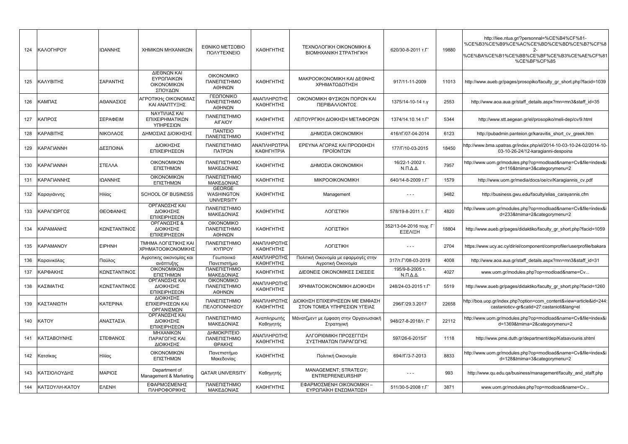| 124 | ΚΑΛΟΓΗΡΟΥ         | ΙΩΑΝΝΗΣ         | ΧΗΜΙΚΩΝ ΜΗΧΑΝΙΚΩΝ                                   | ΕΘΝΙΚΟ ΜΕΤΣΟΒΙΟ<br>ΠΟΛΥΤΕΧΝΕΙΟ                   | ΚΑΘΗΓΗΤΗΣ                         | <b>TEXNOAOFIKH OIKONOMIKH &amp;</b><br>ΒΙΟΜΗΧΑΝΙΚΗ ΣΤΡΑΤΗΓΙΚΗ  | 620/30-8-2011 т.Г                         | 19880 | http://liee.ntua.gr/?personnal=%CE%B4%CF%81-<br>%CE%B3%CE%B9%CE%AC%CE%BD%CE%BD%CE%B7%CF%8<br>2-<br>%CE%BA%CE%B1%CE%BB%CE%BF%CE%B3%CE%AE%CF%81<br>%CE%BF%CF%85 |
|-----|-------------------|-----------------|-----------------------------------------------------|--------------------------------------------------|-----------------------------------|----------------------------------------------------------------|-------------------------------------------|-------|---------------------------------------------------------------------------------------------------------------------------------------------------------------|
| 125 | ΚΑΛΥΒΙΤΗΣ         | ΣΑΡΑΝΤΗΣ        | ΔΙΕΘΝΩΝ ΚΑΙ<br>ΕΥΡΩΠΑΙΚΩΝ<br>ΟΙΚΟΝΟΜΙΚΩΝ<br>ΣΠΟΥΔΩΝ | <b>OIKONOMIKO</b><br>ΠΑΝΕΠΙΣΤΗΜΙΟ<br>ΑΘΗΝΩΝ      | ΚΑΘΗΓΗΤΗΣ                         | ΜΑΚΡΟΟΙΚΟΝΟΜΙΚΗ ΚΑΙ ΔΕΘΝΗΣ<br>ΧΡΗΜΑΤΟΔΟΤΗΣΗ                    | 917/11-11-2009                            | 11013 | http://www.aueb.gr/pages/prosopiko/faculty gr short.php?facid=1039                                                                                            |
| 126 | ΚΑΜΠΑΣ            | ΑΘΑΝΑΣΙΟΣ       | ΑΓΡΟΤΙΚΗς ΟΙΚΟΝΟΜΙΑΣ<br>ΚΑΙ ΑΝΑΠΤΥΞΗΣ               | ΓΕΩΠΟΝΙΚΟ<br>ΠΑΝΕΠΙΣΤΗΜΙΟ<br>ΑΘΗΝΩΝ              | ΑΝΑΠΛΗΡΩΤΗΣ<br>ΚΑΘΗΓΗΤΗΣ          | ΟΙΚΟΝΟΜΙΚΗ ΦΥΣΙΚΩΝ ΠΟΡΩΝ ΚΑΙ<br>ΠΕΡΙΒΑΛΛΟΝΤΟΣ                  | 1375/14-10-14 т.у                         | 2553  | http://www.aoa.aua.gr/staff details.aspx?mn=mn3&staff id=35                                                                                                   |
| 127 | ΚΑΠΡΟΣ            | ΣΕΡΑΦΕΙΜ        | ΝΑΥΤΙΛΙΑΣ ΚΑΙ<br>ΕΠΙΧΕΙΡΗΜΑΤΙΚΩΝ<br>ΥΠΗΡΕΣΙΩΝ       | ΠΑΝΕΠΙΣΤΗΜΙΟ<br><b>AIFAIOY</b>                   | ΚΑΘΗΓΗΤΗΣ                         | ΛΕΙΤΟΥΡΓΙΚΗ ΔΙΟΙΚΗΣΗ ΜΕΤΑΦΟΡΩΝ                                 | 1374/14.10.14 T.F'                        | 5344  | http://www.stt.aegean.gr/el/prosopiko/meli-dep/cv/9.html                                                                                                      |
| 128 | ΚΑΡΑΒΙΤΗΣ         | ΝΙΚΟΛΑΟΣ        | ΔΗΜΟΣΙΑΣ ΔΙΟΙΚΗΣΗΣ                                  | <b><i><u>ITANTEIO</u></i></b><br>ΠΑΝΕΠΙΣΤΗΜΙΟ    | ΚΑΘΗΓΗΤΗΣ                         | ΔΗΜΟΣΙΑ ΟΙΚΟΝΟΜΙΚΗ                                             | 416/тГ/07-04-2014                         | 6123  | http://pubadmin.panteion.gr/karavitis short cv greek.htm                                                                                                      |
| 129 | <b>KAPAFIANNH</b> | ΔΕΣΠΟΙΝΑ        | <b>ΔΙΟΙΚΗΣΗΣ</b><br>ΕΠΙΧΕΙΡΗΣΕΩΝ                    | ΠΑΝΕΠΙΣΤΗΜΙΟ<br>ΠΑΤΡΩΝ                           | ΑΝΑΠΛΗΡΩΤΡΙΑ<br><b>КАӨНГНТРІА</b> | ΕΡΕΥΝΑ ΑΓΟΡΑΣ ΚΑΙ ΠΡΟΩΘΗΣΗ<br>ΠΡΟΪΟΝΤΩΝ                        | 177/Г/10-03-2015                          | 18450 | http://www.bma.upatras.gr/index.php/el/2014-10-03-10-24-02/2014-10-<br>03-10-26-24/12-karagianni-despoina                                                     |
| 130 | <b>KAPAFIANNH</b> | ΣΤΕΛΛΑ          | ΟΙΚΟΝΟΜΙΚΩΝ<br>ΕΠΙΣΤΗΜΩΝ                            | ΠΑΝΕΠΙΣΤΗΜΙΟ<br>ΜΑΚΕΔΟΝΙΑΣ                       | ΚΑΘΗΓΗΤΗΣ                         | ΔΗΜΟΣΙΑ ΟΙΚΟΝΟΜΙΚΗ                                             | 16/22-1-2002 т.<br>$N.\Pi.\Delta.\Delta.$ | 7957  | http://www.uom.gr/modules.php?op=modload&name=Cv&file=index&i<br>d=116&tmima=3&categorymenu=2                                                                 |
| 131 | ΚΑΡΑΓΙΑΝΝΗΣ       | ΙΩΑΝΝΗΣ         | ΟΙΚΟΝΟΜΙΚΩΝ<br>ΕΠΙΣΤΗΜΩΝ                            | ΠΑΝΕΠΙΣΤΗΜΙΟ<br>ΜΑΚΕΔΟΝΙΑΣ                       | ΚΑΘΗΓΗΤΗΣ                         | <b>MIKPOOIKONOMIKH</b>                                         | 640/14-8-2009 т.Г                         | 1579  | http://www.uom.gr/media/docs/oe/cv/Karagiannis cv.pdf                                                                                                         |
| 132 | Καραγιάννης       | Ηλίας           | <b>SCHOOL OF BUSINESS</b>                           | <b>GEORGE</b><br>WASHINGTON<br><b>UNIVERSITY</b> | ΚΑΘΗΓΗΤΗΣ                         | Management                                                     | $- - -$                                   | 9482  | http://business.gwu.edu/faculty/elias_carayannis.cfm                                                                                                          |
| 133 | ΚΑΡΑΓΙΩΡΓΟΣ       | ΘΕΟΦΑΝΗΣ        | ΟΡΓΑΝΩΣΗΣ ΚΑΙ<br>ΔΙΟΙΚΗΣΗΣ<br>ΕΠΙΧΕΙΡΗΣΕΩΝ          | ΠΑΝΕΠΙΣΤΗΜΙΟ<br>ΜΑΚΕΔΟΝΙΑΣ                       | ΚΑΘΗΓΗΤΗΣ                         | ΛΟΓΙΣΤΙΚΗ                                                      | 578/19-8-2011 т. Г                        | 4820  | http://www.uom.gr/modules.php?op=modload&name=Cv&file=index&i<br>d=233&tmima=2&categorymenu=2                                                                 |
| 134 | ΚΑΡΑΜΑΝΗΣ         | ΚΩΝΣΤΑΝΤΙΝΟΣ    | ΟΡΓΑΝΩΣΗΣ &<br><b>ΔΙΟΙΚΗΣΗΣ</b><br>ΕΠΙΧΕΙΡΗΣΕΩΝ     | <b>OIKONOMIKO</b><br>ΠΑΝΕΠΙΣΤΗΜΙΟ<br>ΑΘΗΝΩΝ      | ΚΑΘΗΓΗΤΗΣ                         | ΛΟΓΙΣΤΙΚΗ                                                      | 352/13-04-2016 τευχ. Γ<br>EEEAIEH         | 18804 | http://www.aueb.gr/pages/didaktiko/faculty gr short.php?facid=1059                                                                                            |
| 135 | KAPAMANOY         | <b>EIPHNH</b>   | ΤΜΗΜΑ ΛΟΓΙΣΤΙΚΗΣ ΚΑΙ<br>ΧΡΗΜΑΤΟΟΙΚΟΝΟΜΙΚΗΣ          | ΠΑΝΕΠΙΣΤΗΜΙΟ<br><b>KYNPOY</b>                    | ΑΝΑΠΛΗΡΩΤΗΣ<br>ΚΑΘΗΓΗΤΗΣ          | ΛΟΓΙΣΤΙΚΗ                                                      | $\sim$ $\sim$ $\sim$                      | 2704  | https://www.ucy.ac.cy/dir/el/component/comprofiler/userprofile/bakara                                                                                         |
| 136 | Καρανικόλας       | Παύλος          | Αγροτικης οικονομίας και<br>ανάπτυξης               | Γεωπονικό<br>Πανεπιστήμιο                        | ΑΝΑΠΛΗΡΩΤΗΣ<br>ΚΑΘΗΓΗΤΗΣ          | Πολιτική Οικονομία με εφαρμογές στην<br>Αγροτική Οικονομία     | 317/T. ['/08-03-2019                      | 4008  | http://www.aoa.aua.gr/staff details.aspx?mn=mn3&staff id=31                                                                                                   |
| 137 | ΚΑΡΦΑΚΗΣ          | ΚΩΝΣΤΑΝΤΙΝΟΣ    | ΟΙΚΟΝΟΜΙΚΩΝ<br>ΕΠΙΣΤΗΜΩΝ                            | ΠΑΝΕΠΙΣΤΗΜΙΟ<br>ΜΑΚΕΔΟΝΙΑΣ                       | ΚΑΘΗΓΗΤΗΣ                         | ΔΙΕΘΝΕΙΣ ΟΙΚΟΝΟΜΙΚΕΣ ΣΧΕΣΕΙΣ                                   | 195/9-8-2005 т.<br>$N.\Pi.\Delta.\Delta.$ | 4027  | www.uom.gr/modules.php?op=modload&name=Cv                                                                                                                     |
| 138 | ΚΑΣΙΜΑΤΗΣ         | ΚΩΝΣΤΑΝΤΙΝΟΣ    | ΟΡΓΑΝΩΣΗΣ ΚΑΙ<br>ΔΙΟΙΚΗΣΗΣ<br>ΕΠΙΧΕΙΡΗΣΕΩΝ          | <b>OIKONOMIKO</b><br>ΠΑΝΕΠΙΣΤΗΜΙΟ<br>ΑΘΗΝΩΝ      | ΑΝΑΠΛΗΡΩΤΗΣ<br>ΚΑΘΗΓΗΤΗΣ          | ΧΡΗΜΑΤΟΟΙΚΟΝΟΜΙΚΗ ΔΙΟΙΚΗΣΗ                                     | 248/24-03-2015 T.F'                       | 5519  | http://www.aueb.gr/pages/didaktiko/faculty gr short.php?facid=1260                                                                                            |
| 139 | ΚΑΣΤΑΝΙΩΤΗ        | <b>KATEPINA</b> | <b>ΔΙΟΙΚΗΣΗΣ</b><br>ΕΠΙΧΕΙΡΗΣΕΩΝ ΚΑΙ<br>ΟΡΓΑΝΙΣΜΩΝ  | ΠΑΝΕΠΙΣΤΗΜΙΟ<br>ΠΕΛΟΠΟΝΝΗΣΟΥ                     | ΑΝΑΠΛΗΡΩΤΗΣ<br>ΚΑΘΗΓΗΤΗΣ          | ΔΙΟΙΚΗΣΗ ΕΠΙΧΕΙΡΗΣΕΩΝ ΜΕ ΕΜΦΑΣΗ<br>ΣΤΟΝ ΤΟΜΕΑ ΥΠΗΡΕΣΙΩΝ ΥΓΕΙΑΣ | 296/Г/29.3.2017                           | 22658 | http://boa.uop.gr/index.php?option=com content&view=article&id=244:<br>castanioticv-gr&catid=27:castanioti⟨=el                                                |
| 140 | KATOY             | ΑΝΑΣΤΑΣΙΑ       | ΟΡΓΑΝΩΣΗΣ ΚΑΙ<br>ΔΙΟΙΚΗΣΗΣ<br>ΕΠΙΧΕΙΡΗΣΕΩΝ          | ΠΑΝΕΠΙΣΤΗΜΙΟ<br>ΜΑΚΕΔΟΝΙΑΣ                       | Αναπληρωτής<br>Καθηγητής          | Μάνατζμεντ με έμφαση στην Οργανωσιακή<br>Στρατηγική            | 948/27-8-2018/т. Г                        | 22112 | http://www.uom.gr/modules.php?op=modload&name=Cv&file=index&i<br>d=1369&tmima=2&categorymenu=2                                                                |
| 141 | ΚΑΤΣΑΒΟΥΝΗΣ       | ΣΤΕΦΑΝΟΣ        | ΜΗΧΑΝΙΚΩΝ<br>ΠΑΡΑΓΩΓΗΣ ΚΑΙ<br>ΔΙΟΙΚΗΣΗΣ             | ΔΗΜΟΚΡΙΤΕΙΟ<br>ΠΑΝΕΠΙΣΤΗΜΙΟ<br>ΘΡΑΚΗΣ            | ΑΝΑΠΛΗΡΩΤΗΣ<br>ΚΑΘΗΓΗΤΗΣ          | ΑΛΓΟΡΙΘΜΙΚΗ ΠΡΟΣΕΓΓΙΣΗ<br>ΣΥΣΤΗΜΑΤΩΝ ΠΑΡΑΓΩΓΗΣ                 | 597/26-6-2015/F                           | 1118  | http://www.pme.duth.gr/department/dep/Katsavounis.shtml                                                                                                       |
| 142 | Κατσίκας          | Ηλίας           | ΟΙΚΟΝΟΜΙΚΩΝ<br>ΕΠΙΣΤΗΜΩΝ                            | Πανεπιστήμιο<br>Μακεδονίας                       | ΚΑΘΗΓΗΤΗΣ                         | Πολιτική Οικονομία                                             | 694//Г/3-7-2013                           | 8833  | http://www.uom.gr/modules.php?op=modload&name=Cv&file=index&i<br>d=128&tmima=3&categorymenu=2                                                                 |
| 143 | ΚΑΤΣΙΟΛΟΥΔΗΣ      | ΜΑΡΙΟΣ          | Department of<br>Management & Marketing             | <b>QATAR UNIVERSITY</b>                          | Καθηγητής                         | MANAGEMENT; STRATEGY;<br><b>ENTREPRENEURSHIP</b>               |                                           | 993   | http://www.qu.edu.qa/business/management/faculty and staff.php                                                                                                |
| 144 | ΚΑΤΣΟΥΛΗ-ΚΑΤΟΥ    | <b>EAENH</b>    | ΕΦΑΡΜΟΣΜΕΝΗΣ<br>ΠΛΗΡΟΦΟΡΙΚΗΣ                        | ΠΑΝΕΠΙΣΤΗΜΙΟ<br>ΜΑΚΕΔΟΝΙΑΣ                       | ΚΑΘΗΓΗΤΗΣ                         | ΕΦΑΡΜΟΣΜΕΝΗ ΟΙΚΟΝΟΜΙΚΗ -<br>ΕΥΡΩΠΑΪΚΗ ΕΝΣΩΜΑΤΩΣΗ               | 511/30-5-2008 т.Г                         | 3871  | www.uom.gr/modules.php?op=modload&name=Cv                                                                                                                     |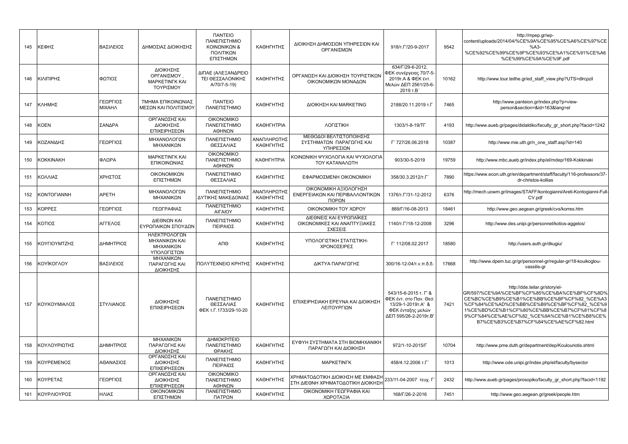| 145 | ΚΕΦΗΣ        | ΒΑΣΙΛΕΙΟΣ                 | ΔΗΜΟΣΙΑΣ ΔΙΟΙΚΗΣΗΣ                                             | <b><i><u>ITANTEIO</u></i></b><br>ΠΑΝΕΠΙΣΤΗΜΙΟ<br>ΚΟΙΝΩΝΙΚΩΝ &<br>ΠΟΛΙΤΙΚΩΝ<br>ΕΠΙΣΤΗΜΩΝ | ΚΑΘΗΓΗΤΗΣ                | ΔΙΟΙΚΗΣΗ ΔΗΜΟΣΙΩΝ ΥΠΗΡΕΣΙΩΝ ΚΑΙ<br>ΟΡΓΑΝΙΣΜΩΝ                         | 918/T. ['/20-9-2017                                                                                                  | 9542  | http://mpep.gr/wp-<br>content/uploads/2014/04/%CE%9A%CE%95%CE%A6%CE%97%CE<br>%AA3<br>%CE%92%CE%99%CE%9F%CE%93%CE%A1%CE%91%CE%A6<br>%CE%99%CE%9A%CE%9F.pdf                                                                                                                                                       |
|-----|--------------|---------------------------|----------------------------------------------------------------|-----------------------------------------------------------------------------------------|--------------------------|-----------------------------------------------------------------------|----------------------------------------------------------------------------------------------------------------------|-------|-----------------------------------------------------------------------------------------------------------------------------------------------------------------------------------------------------------------------------------------------------------------------------------------------------------------|
| 146 | ΚΙΛΙΠΙΡΗΣ    | ΦΩΤΙΟΣ                    | ΔΙΟΙΚΗΣΗΣ<br>ΟΡΓΑΝΙΣΜΟΥ.<br><b>MAPKETINFK KAI</b><br>ΤΟΥΡΙΣΜΟΥ | ΔΙΠΑΕ (ΑΛΕΞΑΝΔΡΕΙΟ<br>ΤΕΙ ΘΕΣΣΑΛΟΝΙΚΗΣ<br>A/70/7-5-19)                                  | ΚΑΘΗΓΗΤΗΣ                | ΟΡΓΑΝΩΣΗ ΚΑΙ ΔΙΟΙΚΗΣΗ ΤΟΥΡΙΣΤΙΚΩΝ<br>ΟΙΚΟΝΟΜΙΚΩΝ ΜΟΝΑΔΩΝ              | 634/Г/29-6-2012,<br>ΦΕΚ συνέργειας 70/7-5-<br>2019τ. Α & ΦΕΚ έντ.<br>Μελών ΔΕΠ 2561/25-6-<br>2019 T.B                | 10162 | http://www.tour.teithe.gr/ed staff view.php?UTS=dlrcpzil                                                                                                                                                                                                                                                        |
| 147 | ΚΛΗΜΗΣ       | ΓΕΩΡΓΙΟΣ<br><b>MIXAHA</b> | ΤΜΗΜΑ ΕΠΙΚΟΙΝΩΝΙΑΣ<br>ΜΕΣΩΝ ΚΑΙ ΠΟΛΙΤΙΣΜΟΥ                     | <b><i><u>ITANTEIO</u></i></b><br>ΠΑΝΕΠΙΣΤΗΜΙΟ                                           | ΚΑΘΗΓΗΤΗΣ                | ΔΙΟΙΚΗΣΗ ΚΑΙ ΜΑRΚΕΤΙΝG                                                | 2188/20.11.2019 т.Г                                                                                                  | 7465  | http://www.panteion.gr/index.php?p=view-<br>person&section=&id=163⟨=el                                                                                                                                                                                                                                          |
| 148 | <b>KOEN</b>  | ΣΑΝΔΡΑ                    | ΟΡΓΑΝΩΣΗΣ ΚΑΙ<br>ΔΙΟΙΚΗΣΗΣ<br>ΕΠΙΧΕΙΡΗΣΕΩΝ                     | <b>OIKONOMIKO</b><br>ΠΑΝΕΠΙΣΤΗΜΙΟ<br>ΑΘΗΝΩΝ                                             | <b>КА</b> ӨНГНТРІА       | ΛΟΓΙΣΤΙΚΗ                                                             | 1303/1-8-19/TF                                                                                                       | 4193  | http://www.aueb.gr/pages/didaktiko/faculty gr short.php?facid=1242                                                                                                                                                                                                                                              |
| 149 | ΚΟΖΑΝΙΔΗΣ    | ΓΕΩΡΓΙΟΣ                  | ΜΗΧΑΝΟΛΟΓΩΝ<br>ΜΗΧΑΝΙΚΩΝ                                       | ΠΑΝΕΠΙΣΤΗΜΙΟ<br>ΘΕΣΣΑΛΙΑΣ                                                               | ΑΝΑΠΛΗΡΩΤΗΣ<br>ΚΑΘΗΓΗΤΗΣ | ΜΕΘΟΔΟΙ ΒΕΛΤΙΣΤΟΠΟΙΗΣΗΣ<br>ΣΥΣΤΗΜΑΤΩΝ ΠΑΡΑΓΩΓΗΣ ΚΑΙ<br>ΥΠΗΡΕΣΙΩΝ      | T' 727/26.06.2018                                                                                                    | 10387 | http://www.mie.uth.gr/n one staff.asp?id=140                                                                                                                                                                                                                                                                    |
| 150 | KOKKINAKH    | ΦΛΩΡΑ                     | <b>MAPKETINFK KAI</b><br>ΕΠΙΚΟΙΝΩΝΙΑΣ                          | <b>OIKONOMIKO</b><br>ΠΑΝΕΠΙΣΤΗΜΙΟ<br>ΑΘΗΝΩΝ                                             | <b>КА</b> ӨНГНТРІА       | ΚΟΙΝΩΝΙΚΗ ΨΥΧΟΛΟΓΙΑ ΚΑΙ ΨΥΧΟΛΟΓΙΑ<br>ΤΟΥ ΚΑΤΑΝΑΛΩΤΗ                   | 903/30-5-2019                                                                                                        | 19759 | http://www.mbc.aueb.gr/index.php/el/mdep/169-Kokkinaki                                                                                                                                                                                                                                                          |
| 151 | ΚΟΛΛΙΑΣ      | ΧΡΗΣΤΟΣ                   | ΟΙΚΟΝΟΜΙΚΩΝ<br>ΕΠΙΣΤΗΜΩΝ                                       | ΠΑΝΕΠΙΣΤΗΜΙΟ<br>ΘΕΣΣΑΛΙΑΣ                                                               | ΚΑΘΗΓΗΤΗΣ                | ΕΦΑΡΜΟΣΜΕΝΗ ΟΙΚΟΝΟΜΙΚΗ                                                | 358/30.3.2012/т.Г                                                                                                    | 7890  | https://www.econ.uth.gr/en/department/staff/faculty/116-professors/37-<br>dr-christos-kollias                                                                                                                                                                                                                   |
| 152 | KONTOFIANNH  | <b>APETH</b>              | ΜΗΧΑΝΟΛΟΓΩΝ<br>ΜΗΧΑΝΙΚΩΝ                                       | ΠΑΝΕΠΙΣΤΗΜΙΟ<br>ΔΥΤΙΚΗΣ ΜΑΚΕΔΟΝΙΑΣ                                                      | ΑΝΑΠΛΗΡΩΤΗΣ<br>ΚΑΘΗΓΗΤΗΣ | ΟΙΚΟΝΟΜΙΚΗ ΑΞΙΟΛΟΓΗΣΗ<br>ΕΝΕΡΓΕΙΑΚΩΝ ΚΑΙ ΠΕΡΙΒΑΛΛΟΝΤΙΚΩΝ<br>ΠΟΡΩΝ     | 1376/T. T/31-12-2012                                                                                                 | 6376  | http://mech.uowm.gr/images/STAFF/kontogianni/Areti-Kontogianni-Full-<br>CV.pdf                                                                                                                                                                                                                                  |
| 153 | ΚΟΡΡΕΣ       | ΓΕΩΡΓΙΟΣ                  | ΓΕΩΓΡΑΦΙΑΣ                                                     | ΠΑΝΕΠΙΣΤΗΜΙΟ<br>ΑΙΓΑΙΟΥ                                                                 | ΚΑΘΗΓΗΤΗΣ                | ΟΙΚΟΝΟΜΙΚΗ ΤΟΥ ΧΩΡΟΥ                                                  | 889/Г/16-08-2013                                                                                                     | 18461 | http://www.geo.aegean.gr/greek/cvs/korres.htm                                                                                                                                                                                                                                                                   |
| 154 | ΚΟΤΙΟΣ       | ΑΓΓΕΛΟΣ                   | ΔΙΕΘΝΩΝ ΚΑΙ<br>ΕΥΡΩΠΑΙΚΩΝ ΣΠΟΥΔΩΝ                              | ΠΑΝΕΠΙΣΤΗΜΙΟ<br>ΠΕΙΡΑΙΩΣ                                                                | ΚΑΘΗΓΗΤΗΣ                | ΔΙΕΘΝΕΙΣ ΚΑΙ ΕΥΡΩΠΑΪΚΕΣ<br>ΟΙΚΟΝΟΜΙΚΕΣ ΚΑΙ ΑΝΑΠΤΥΞΙΑΚΕΣ<br>ΣΧΕΣΕΙΣ    | 1140/т.Г'/18-12-2008                                                                                                 | 3296  | http://www.des.unipi.gr/personnel/kotios-aggelos/                                                                                                                                                                                                                                                               |
| 155 | ΚΟΥΓΙΟΥΜΤΖΗΣ | ΔΗΜΗΤΡΙΟΣ                 | ΗΛΕΚΤΡΟΛΟΓΩΝ<br>ΜΗΧΑΝΙΚΩΝ ΚΑΙ<br>ΜΗΧΑΝΙΚΩΝ<br>ΥΠΟΛΟΓΙΣΤΩΝ      | ΑΠΘ                                                                                     | ΚΑΘΗΓΗΤΗΣ                | ΥΠΟΛΟΓΙΣΤΙΚΗ ΣΤΑΤΙΣΤΙΚΗ-<br>ΧΡΟΝΟΣΕΙΡΕΣ                               | Г' 112/08.02.2017                                                                                                    | 18580 | http://users.auth.gr/dkugiu/                                                                                                                                                                                                                                                                                    |
| 156 | ΚΟΥΪΚΟΓΛΟΥ   | ΒΑΣΙΛΕΙΟΣ                 | ΜΗΧΑΝΙΚΩΝ<br>ΠΑΡΑΓΩΓΗΣ ΚΑΙ<br>ΔΙΟΙΚΗΣΗΣ                        | ΠΟΛΥΤΕΧΝΕΙΟ ΚΡΗΤΗΣ                                                                      | ΚΑΘΗΓΗΤΗΣ                | ΔΙΚΤΥΑ ΠΑΡΑΓΩΓΗΣ                                                      | 300/16-12-04/τ.ν.π.δ.δ                                                                                               | 17668 | http://www.dpem.tuc.gr/gr/personnel-gr/regular-gr/18-kouikoglou-<br>vassilis-gr                                                                                                                                                                                                                                 |
| 157 | ΚΟΥΚΟΥΜΙΑΛΟΣ | ΣΤΥΛΙΑΝΟΣ                 | ΔΙΟΙΚΗΣΗΣ<br>ΕΠΙΧΕΙΡΗΣΕΩΝ                                      | ΠΑΝΕΠΙΣΤΗΜΙΟ<br>ΘΕΣΣΑΛΙΑΣ<br>ФЕК т.Г.1733/29-10-20                                      | ΚΑΘΗΓΗΤΗΣ                | ΕΠΙΧΕΙΡΗΣΙΑΚΗ ΕΡΕΥΝΑ ΚΑΙ ΔΙΟΙΚΗΣΗ<br>ΛΕΙΤΟΥΡΓΙΩΝ                      | 543/15-6-2015 т. Г' &<br>ΦΕΚ έντ. στο Παν. Θεσ.<br>13/29-1-2019 T.A' &<br>ΦΕΚ ένταξης μελών<br>∆ЕП 595/26-2-2019т.В' | 7421  | http://dde.teilar.gr/story/el-<br>GR/597/%CE%9A%CE%BF%CF%85%CE%BA%CE%BF%CF%8D%<br>CE%BC%CE%B9%CE%B1%CE%BB%CE%BF%CF%82_%CE%A3<br>%CF%84%CE%AD%CE%BB%CE%B9%CE%BF%CF%82 %CE%9<br>1%CE%BD%CE%B1%CF%80%CE%BB%CE%B7%CF%81%CF%8<br>9%CF%84%CE%AE%CF%82 %CE%9A%CE%B1%CE%B8%CE%<br>B7%CE%B3%CE%B7%CF%84%CE%AE%CF%82.html |
| 158 | ΚΟΥΛΟΥΡΙΩΤΗΣ | ΔΗΜΗΤΡΙΟΣ                 | ΜΗΧΑΝΙΚΩΝ<br>ΠΑΡΑΓΩΓΗΣ ΚΑΙ<br>ΔΙΟΙΚΗΣΗΣ                        | ΔΗΜΟΚΡΙΤΕΙΟ<br>ΠΑΝΕΠΙΣΤΗΜΙΟ<br>ΘΡΑΚΗΣ                                                   | ΚΑΘΗΓΗΤΗΣ                | ΕΥΦΥΗ ΣΥΣΤΗΜΑΤΑ ΣΤΗ ΒΙΟΜΗΧΑΝΙΚΗ<br>ΠΑΡΑΓΩΓΗ ΚΑΙ ΔΙΟΙΚΗΣΗ              | 972/1-10-2015/F                                                                                                      | 10704 | http://www.pme.duth.gr/department/dep/Koulouriotis.shtml                                                                                                                                                                                                                                                        |
| 159 | ΚΟΥΡΕΜΕΝΟΣ   | ΑΘΑΝΑΣΙΟΣ                 | ΟΡΓΑΝΩΣΗΣ ΚΑΙ<br>ΔΙΟΙΚΗΣΗΣ<br>ΕΠΙΧΕΙΡΗΣΕΩΝ                     | ΠΑΝΕΠΙΣΤΗΜΙΟ<br>ΠΕΙΡΑΙΩΣ                                                                | ΚΑΘΗΓΗΤΗΣ                | <b>MAPKETINFK</b>                                                     | 458/4.12.2006 т.Г                                                                                                    | 1013  | http://www.ode.unipi.gr/index.php/el/faculty/bysector                                                                                                                                                                                                                                                           |
| 160 | ΚΟΥΡΕΤΑΣ     | ΓΕΩΡΓΙΟΣ                  | ΟΡΓΑΝΩΣΗΣ ΚΑΙ<br>ΔΙΟΙΚΗΣΗΣ<br>ΕΠΙΧΕΙΡΗΣΕΩΝ                     | <b>OIKONOMIKO</b><br>ΠΑΝΕΠΙΣΤΗΜΙΟ<br>ΑΘΗΝΩΝ                                             | ΚΑΘΗΓΗΤΗΣ                | ΧΡΗΜΑΤΟΔΟΤΙΚΗ ΔΙΟΙΚΗΣΗ ΜΕ ΕΜΦΑΣΗ<br>ΣΤΗ ΔΙΕΘΝΗ ΧΡΗΜΑΤΟΔΟΤΙΚΗ ΔΙΟΙΚΗΣΗ | 233/11-04-2007 τευχ. Γ                                                                                               | 2432  | http://www.aueb.gr/pages/prosopiko/faculty_gr_short.php?facid=1192                                                                                                                                                                                                                                              |
| 161 | ΚΟΥΡΛΙΟΥΡΟΣ  | ΗΛΙΑΣ                     | ΟΙΚΟΝΟΜΙΚΩΝ<br>ΕΠΙΣΤΗΜΩΝ                                       | ΠΑΝΕΠΙΣΤΗΜΙΟ<br>ΠΑΤΡΩΝ                                                                  | ΚΑΘΗΓΗΤΗΣ                | ΟΙΚΟΝΟΜΙΚΗ ΓΕΩΓΡΑΦΙΑ ΚΑΙ<br>ΧΩΡΟΤΑΞΙΑ                                 | 168/F/26-2-2016                                                                                                      | 7451  | http://www.geo.aegean.gr/greek/people.htm                                                                                                                                                                                                                                                                       |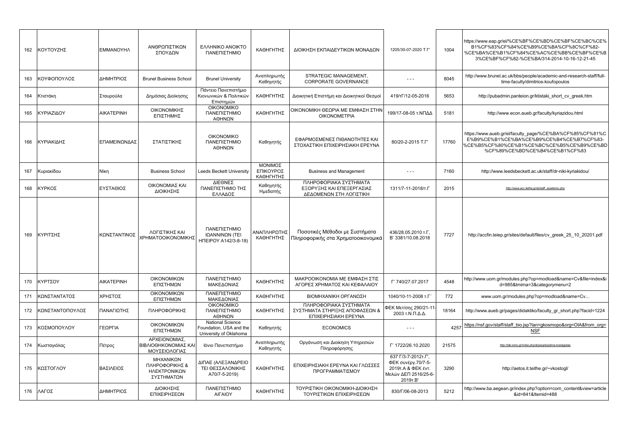| 162 | ΚΟΥΤΟΥΖΗΣ       | <b>EMMANOYHA</b>  | ΑΝΘΡΩΠΙΣΤΙΚΩΝ<br>ΣΠΟΥΔΩΝ                                  | <b>EAAHNIKO ANOIKTO</b><br>ΠΑΝΕΠΙΣΤΗΜΙΟ                                      | ΚΑΘΗΓΗΤΗΣ                         | ΔΙΟΙΚΗΣΗ ΕΚΠΑΙΔΕΥΤΙΚΩΝ ΜΟΝΑΔΩΝ                                                   | 1205/30-07-2020 T.F'                                                                                | 1004  | https://www.eap.gr/el/%CE%BF%CE%BD%CE%BF%CE%BC%CE%<br>B1%CF%83%CF%84%CE%B9%CE%BA%CF%8C%CF%82-<br>%CE%BA%CE%B1%CF%84%CE%AC%CE%BB%CE%BF%CE%B<br>3%CE%BF%CF%82-%CE%BA/314-2014-10-16-12-21-45 |
|-----|-----------------|-------------------|-----------------------------------------------------------|------------------------------------------------------------------------------|-----------------------------------|----------------------------------------------------------------------------------|-----------------------------------------------------------------------------------------------------|-------|--------------------------------------------------------------------------------------------------------------------------------------------------------------------------------------------|
| 163 | ΚΟΥΦΟΠΟΥΛΟΣ     | ΔΗΜΗΤΡΙΟΣ         | <b>Brunel Business School</b>                             | <b>Brunel University</b>                                                     | Αναπληρωτής<br>Καθηγητής          | STRATEGIC MANAGEMENT,<br>CORPORATE GOVERNANCE                                    | $\cdots$                                                                                            | 8045  | http://www.brunel.ac.uk/bbs/people/academic-and-research-staff/full-<br>time-faculty/dimitrios-koufopoulos                                                                                 |
| 164 | Κτιστάκη        | Σταυρούλα         | Δημόσιας Διοίκησης                                        | Πάντειο Πανεπιστήμιο<br>Κιονωνικών & Πολιτικών<br>Επιστημών                  | ΚΑΘΗΓΗΤΗΣ                         | Διοικητική Επιστήμη και Διοικητικοί Θεσμοί                                       | 419/тГ/12-05-2016                                                                                   | 5653  | http://pubadmin.panteion.gr/ktistaki short cv greek.htm                                                                                                                                    |
| 165 | ΚΥΡΙΑΖΙΔΟΥ      | <b>AIKATEPINH</b> | ΟΙΚΟΝΟΜΙΚΗΣ<br>ΕΠΙΣΤΗΜΗΣ                                  | <b>OIKONOMIKO</b><br>ΠΑΝΕΠΙΣΤΗΜΙΟ<br>ΑΘΗΝΩΝ                                  | ΚΑΘΗΓΗΤΗΣ                         | ΟΙΚΟΝΟΜΙΚΗ ΘΕΩΡΙΑ ΜΕ ΕΜΦΑΣΗ ΣΤΗΝ<br><b>OIKONOMETPIA</b>                          | 199/17-08-05 τ.ΝΠΔΔ                                                                                 | 5181  | http://www.econ.aueb.gr/faculty/kyriazidou.html                                                                                                                                            |
| 166 | ΚΥΡΙΑΚΙΔΗΣ      | ΕΠΑΜΕΙΝΩΝΔΑΣ      | ΣΤΑΤΙΣΤΙΚΗΣ                                               | <b>OIKONOMIKO</b><br>ΠΑΝΕΠΙΣΤΗΜΙΟ<br>ΑΘΗΝΩΝ                                  | Καθηγητής                         | ΕΦΑΡΜΟΣΜΕΝΕΣ ΠΙΘΑΝΟΤΗΤΕΣ ΚΑΙ<br>ΣΤΟΧΑΣΤΙΚΗ ΕΠΙΧΕΙΡΗΣΙΑΚΗ ΕΡΕΥΝΑ                  | 80/20-2-2015 T.F                                                                                    | 17760 | https://www.aueb.gr/el/faculty_page/%CE%BA%CF%85%CF%81%C<br>E%B9%CE%B1%CE%BA%CE%B9%CE%B4%CE%B7%CF%83-<br>%CE%B5%CF%80%CE%B1%CE%BC%CE%B5%CE%B9%CE%BD<br>%CF%89%CE%BD%CE%B4%CE%B1%CF%83      |
| 167 | Κυριακίδου      | Níkn              | <b>Business School</b>                                    | <b>Leeds Beckett University</b>                                              | ΜΟΝΙΜΟΣ<br>ΕΠΙΚΟΥΡΟΣ<br>ΚΑΘΗΓΗΤΗΣ | <b>Business and Management</b>                                                   | $\sim$ $\sim$ $\sim$                                                                                | 7160  | http://www.leedsbeckett.ac.uk/staff/dr-niki-kyriakidou/                                                                                                                                    |
| 168 | ΚΥΡΚΟΣ          | ΕΥΣΤΑΘΙΟΣ         | ΟΙΚΟΝΟΜΙΑΣ ΚΑΙ<br>ΔΙΟΙΚΗΣΗΣ                               | ΔΙΕΘΝΕΣ<br>ΠΑΝΕΠΙΣΤΗΜΙΟ ΤΗΣ<br>ΕΛΛΑΔΟΣ                                       | Καθηγητής<br>Ημεδαπής             | ΠΛΗΡΟΦΟΡΙΑΚΑ ΣΥΣΤΗΜΑΤΑ<br>ΕΞΟΡΥΞΗΣ ΚΑΙ ΕΠΕΞΕΡΓΑΣΙΑΣ<br>ΔΕΔΟΜΕΝΩΝ ΣΤΗ ΛΟΓΙΣΤΙΚΗ   | 1311/7-11-2018/T.F                                                                                  | 2015  | http://www.acc.teithe.gr/el/staff_academic.php                                                                                                                                             |
| 169 | ΚΥΡΙΤΣΗΣ        | ΚΩΝΣΤΑΝΤΙΝΟΣ      | ΛΟΓΙΣΤΙΚΗΣ ΚΑΙ<br>ΧΡΗΜΑΤΟΟΙΚΟΝΟΜΙΚΗΣ                      | ΠΑΝΕΠΙΣΤΗΜΙΟ<br>ΙΩΑΝΝΙΝΩΝ (ΤΕΙ<br>НПЕІРОҮ А142/3-8-18)                       | ΑΝΑΠΛΗΡΩΤΗΣ<br>ΚΑΘΗΓΗΤΗΣ          | Ποσοτικές Μέθοδοι με Συστήματα<br>Πληροφορικής στα Χρηματοοικονομικά             | 436/28.05.2010 т.Г.<br>B' 3381/10.08.2018                                                           | 7727  | http://accfin.teiep.gr/sites/default/files/cv_greek_25_10_20201.pdf                                                                                                                        |
| 170 | ΚΥΡΤΣΟΥ         | <b>AIKATEPINH</b> | ΟΙΚΟΝΟΜΙΚΩΝ<br>ΕΠΙΣΤΗΜΩΝ                                  | ΠΑΝΕΠΙΣΤΗΜΙΟ<br>ΜΑΚΕΔΟΝΙΑΣ                                                   | ΚΑΘΗΓΗΤΗΣ                         | ΜΑΚΡΟΟΙΚΟΝΟΜΙΑ ΜΕ ΕΜΦΑΣΗ ΣΤΙΣ<br>ΑΓΟΡΕΣ ΧΡΗΜΑΤΟΣ ΚΑΙ ΚΕΦΑΛΑΙΟΥ                   | Г' 740/27.07.2017                                                                                   | 4548  | http://www.uom.gr/modules.php?op=modload&name=Cv&file=index&i<br>d=985&tmima=3&categorymenu=2                                                                                              |
| 171 | ΚΩΝΣΤΑΝΤΑΤΟΣ    | ΧΡΗΣΤΟΣ           | ΟΙΚΟΝΟΜΙΚΩΝ<br>ΕΠΙΣΤΗΜΩΝ                                  | ΠΑΝΕΠΙΣΤΗΜΙΟ<br>ΜΑΚΕΔΟΝΙΑΣ                                                   | ΚΑΘΗΓΗΤΗΣ                         | ΒΙΟΜΗΧΑΝΙΚΗ ΟΡΓΑΝΩΣΗ                                                             | 1040/10-11-2008 т.Г'                                                                                | 772   | www.uom.gr/modules.php?op=modload&name=Cv                                                                                                                                                  |
| 172 | ΚΩΝΣΤΑΝΤΟΠΟΥΛΟΣ | ΠΑΝΑΓΙΩΤΗΣ        | ΠΛΗΡΟΦΟΡΙΚΗΣ                                              | <b>OIKONOMIKO</b><br>ΠΑΝΕΠΙΣΤΗΜΙΟ<br>ΑΘΗΝΩΝ                                  | ΚΑΘΗΓΗΤΗΣ                         | ΠΛΗΡΟΦΟΡΙΑΚΑ ΣΥΣΤΗΜΑΤΑ<br>ΣΥΣΤΗΜΑΤΑ ΣΤΗΡΙΞΗΣ ΑΠΟΦΑΣΕΩΝ &<br>ΕΠΙΧΕΙΡΗΣΙΑΚΗ ΕΡΕΥΝΑ | ΦΕΚ Μετ/σης 290/21-11<br>2003 τ.Ν.Π.Δ.Δ.                                                            | 18164 | http://www.aueb.gr/pages/didaktiko/faculty gr short.php?facid=1224                                                                                                                         |
| 173 | ΚΟΣΜΟΠΟΥΛΟΥ     | ΓΕΩΡΓΙΑ           | ΟΙΚΟΝΟΜΙΚΩΝ<br>ΕΠΙΣΤΗΜΩΝ                                  | <b>National Science</b><br>Foundation, USA and the<br>University of Oklahoma | Καθηγητής                         | <b>ECONOMICS</b>                                                                 | $\sim$ $\sim$ $\sim$                                                                                | 4257  | https://nsf.gov/staff/staff bio.jsp?lan=gkosmopo&org=OIA&from org=<br><b>NSF</b>                                                                                                           |
| 174 | Κωσταγιόλας     | Πέτρος            | ΑΡΧΕΙΟΝΟΜΙΑΣ.<br>ΒΙΒΛΙΟΘΗΚΟΝΟΜΙΑΣ ΚΑΙ<br>ΜΟΥΣΕΙΟΛΟΓΙΑΣ    | Ιόνιο Πανεπιστήμιο                                                           | Αναπληρωτής<br>Καθηγητής          | Οργάνωση και Διοίκηση Υπηρεσιών<br>Πληροφόρησης                                  | T' 1722/26.10.2020                                                                                  | 21575 | http://tab.ionio.gr/index.php/el/people/petros-kostagiolas                                                                                                                                 |
| 175 | ΚΩΣΤΟΓΛΟΥ       | ΒΑΣΙΛΕΙΟΣ         | ΜΗΧΑΝΙΚΩΝ<br>ΠΛΗΡΟΦΟΡΙΚΗΣ &<br>ΗΛΕΚΤΡΟΝΙΚΩΝ<br>ΣΥΣΤΗΜΑΤΩΝ | ΔΙΠΑΕ (ΑΛΕΞΑΝΔΡΕΙΟ<br>ΤΕΙ ΘΕΣΣΑΛΟΝΙΚΗΣ<br>A70/7-5-2019)                      | ΚΑΘΗΓΗΤΗΣ                         | ΕΠΙΧΕΙΡΗΣΙΑΚΗ ΕΡΕΥΝΑ ΚΑΙ ΓΛΩΣΣΕΣ<br>ΠΡΟΓΡΑΜΜΑΤΙΣΜΟΥ                              | 637 Г/3-7-2012т.Г',<br>ΦΕΚ συνέργ.70/7-5-<br>2019τ.Α & ΦΕΚ έντ.<br>Μελών ΔΕΠ 2516/25-6-<br>2019T.B' | 3290  | http://aetos.it.teithe.gr/~vkostogl/                                                                                                                                                       |
| 176 | ΛΑΓΟΣ           | ΔΗΜΗΤΡΙΟΣ         | <b>ΔΙΟΙΚΗΣΗΣ</b><br>ΕΠΙΧΕΙΡΗΣΕΩΝ                          | ΠΑΝΕΠΙΣΤΗΜΙΟ<br>ΑΙΓΑΙΟΥ                                                      | ΚΑΘΗΓΗΤΗΣ                         | ΤΟΥΡΙΣΤΙΚΗ ΟΙΚΟΝΟΜΙΚΗ-ΔΙΟΙΚΗΣΗ<br>ΤΟΥΡΙΣΤΙΚΩΝ ΕΠΙΧΕΙΡΗΣΕΩΝ                       | 830/Г/06-08-2013                                                                                    | 5212  | http://www.ba.aegean.gr/index.php?option=com content&view=article<br>&id=841&Itemid=488                                                                                                    |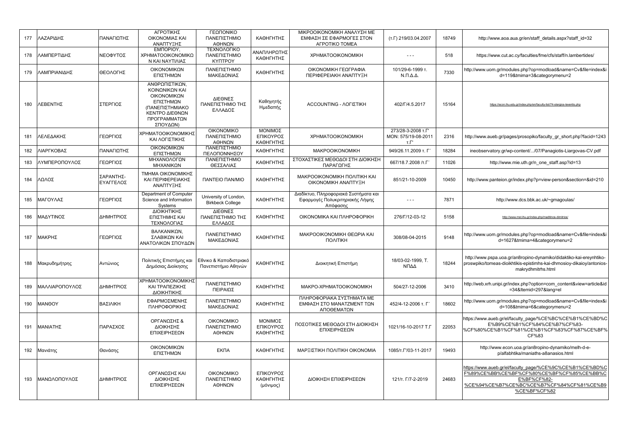| 177 | ΛΑΖΑΡΙΔΗΣ      | ΠΑΝΑΓΙΩΤΗΣ             | ΑΓΡΟΤΙΚΗΣ<br>ΟΙΚΟΝΟΜΙΑΣ ΚΑΙ<br>ΑΝΑΠΤΥΞΗΣ                                                                                      | ΓΕΩΠΟΝΙΚΟ<br>ΠΑΝΕΠΙΣΤΗΜΙΟ<br>ΑΘΗΝΩΝ              | ΚΑΘΗΓΗΤΗΣ                           | ΜΙΚΡΟΟΙΚΟΝΟΜΙΚΗ ΑΝΑΛΥΣΗ ΜΕ<br>ΕΜΦΑΣΗ ΣΕ ΕΦΑΡΜΟΓΕΣ ΣΤΟΝ<br>AFPOTIKO TOMEA             | $(T.\Gamma)$ 219/03.04.2007                              | 18749 | http://www.aoa.aua.gr/en/staff_details.aspx?staff_id=32                                                                                                                             |
|-----|----------------|------------------------|-------------------------------------------------------------------------------------------------------------------------------|--------------------------------------------------|-------------------------------------|--------------------------------------------------------------------------------------|----------------------------------------------------------|-------|-------------------------------------------------------------------------------------------------------------------------------------------------------------------------------------|
| 178 | ΛΑΜΠΕΡΤΙΔΗΣ    | ΝΕΟΦΥΤΟΣ               | EMNOPIOY,<br>ΧΡΗΜΑΤΟΟΙΚΟΝΟΜΙΚΩ<br>Ν ΚΑΙ ΝΑΥΤΙΛΙΑΣ                                                                             | ΤΕΧΝΟΛΟΓΙΚΟ<br>ΠΑΝΕΠΙΣΤΗΜΙΟ<br><b>KYNTPOY</b>    | ΑΝΑΠΛΗΡΩΤΗΣ<br>ΚΑΘΗΓΗΤΗΣ            | <b>XPHMATOOIKONOMIKH</b>                                                             | $\sim$ $\sim$ $\sim$                                     | 518   | https://www.cut.ac.cy/faculties/fme/cfs/staff/n.lambertides/                                                                                                                        |
| 179 | ΛΑΜΠΡΙΑΝΙΔΗΣ   | ΘΕΟΛΟΓΗΣ               | ΟΙΚΟΝΟΜΙΚΩΝ<br>ΕΠΙΣΤΗΜΩΝ                                                                                                      | ΠΑΝΕΠΙΣΤΗΜΙΟ<br>ΜΑΚΕΔΟΝΙΑΣ                       | ΚΑΘΗΓΗΤΗΣ                           | ΟΙΚΟΝΟΜΙΚΗ ΓΕΩΓΡΑΦΙΑ<br>ΠΕΡΙΦΕΡΕΙΑΚΗ ΑΝΑΠΤΥΞΗ                                        | 101/29-6-1999 т.<br>$N.\Pi.\Delta.\Delta.$               | 7330  | http://www.uom.gr/modules.php?op=modload&name=Cv&file=index&i<br>d=119&tmima=3&categorymenu=2                                                                                       |
| 180 | ΛΕΒΕΝΤΗΣ       | ΣΤΕΡΓΙΟΣ               | ΑΝΘΡΩΠΙΣΤΙΚΩΝ.<br>ΚΟΙΝΩΝΙΚΩΝ ΚΑΙ<br>ΟΙΚΟΝΟΜΙΚΩΝ<br>ΕΠΙΣΤΗΜΩΝ<br>(ΠΑΝΕΠΙΣΤΗΜΙΑΚΟ<br>ΚΕΝΤΡΟ ΔΙΕΘΝΩΝ<br>ΠΡΟΓΡΑΜΜΑΤΩΝ<br>ΣΠΟΥΔΩΝ) | ΔΙΕΘΝΕΣ<br>ΠΑΝΕΠΙΣΤΗΜΙΟ ΤΗΣ<br>ΕΛΛΑΔΟΣ           | Καθηγητής<br>Ημεδαπής               | <b>ACCOUNTING - ΛΟΓΙΣΤΙΚΗ</b>                                                        | 402/Г/4.5.2017                                           | 15164 | https://econ.ihu.edu.gr/index.php/en/faculty-list/74-stergios-leventis.php                                                                                                          |
| 181 | ΛΕΛΕΔΑΚΗΣ      | ΓΕΩΡΓΙΟΣ               | ΧΡΗΜΑΤΟΟΙΚΟΝΟΜΙΚΗΣ<br>ΚΑΙ ΛΟΓΙΣΤΙΚΗΣ                                                                                          | <b>OIKONOMIKO</b><br>ΠΑΝΕΠΙΣΤΗΜΙΟ<br>ΑΘΗΝΩΝ      | ΜΟΝΙΜΟΣ<br>ΕΠΙΚΟΥΡΟΣ<br>ΚΑΘΗΓΗΤΗΣ   | <b>XPHMATOOIKONOMIKH</b>                                                             | 273/28-3-2008 т.Г'<br>MON: 575/19-08-2011<br>$T.\Gamma'$ | 2316  | http://www.aueb.gr/pages/prosopiko/faculty_gr_short.php?facid=1243                                                                                                                  |
| 182 | ΛΙΑΡΓΚΟΒΑΣ     | ΠΑΝΑΓΙΩΤΗΣ             | ΟΙΚΟΝΟΜΙΚΩΝ<br>ΕΠΙΣΤΗΜΩΝ                                                                                                      | ΠΑΝΕΠΙΣΤΗΜΙΟ<br>ΠΕΛΟΠΟΝΝΗΣΟΥ                     | ΚΑΘΗΓΗΤΗΣ                           | MAKPOOIKONOMIKH                                                                      | 949/26.11.2009 т. Г'                                     | 18284 | ineobservatory.gr/wp-content//07/Panagiotis-Liargovas-CV.pdf                                                                                                                        |
| 183 | ΛΥΜΠΕΡΟΠΟΥΛΟΣ  | ΓΕΩΡΓΙΟΣ               | ΜΗΧΑΝΟΛΟΓΩΝ<br>ΜΗΧΑΝΙΚΩΝ                                                                                                      | ΠΑΝΕΠΙΣΤΗΜΙΟ<br>ΘΕΣΣΑΛΙΑΣ                        | ΚΑΘΗΓΗΤΗΣ                           | ΣΤΟΧΑΣΤΙΚΕΣ ΜΕΘΟΔΟΙ ΣΤΗ ΔΙΟΙΚΗΣΗ<br>ΠΑΡΑΓΩΓΗΣ                                        | 667/18.7.2008 /T.F                                       | 11026 | http://www.mie.uth.gr/n one staff.asp?id=13                                                                                                                                         |
| 184 | ΛΩΛΟΣ          | ΣΑΡΑΝΤΗΣ-<br>ΕΥΑΓΓΕΛΟΣ | ΤΜΗΜΑ ΟΙΚΟΝΟΜΙΚΗΣ<br>ΚΑΙ ΠΕΡΙΦΕΡΕΙΑΚΗΣ<br>ΑΝΑΠΤΥΞΗΣ                                                                           | <b><i>ΠΑΝΤΕΙΟ ΠΑΝ/ΜΙΟ</i></b>                    | ΚΑΘΗΓΗΤΗΣ                           | <b>MAKPOOIKONOMIKH ΠΟΛΙΤΙΚΗ ΚΑΙ</b><br>ΟΙΚΟΝΟΜΙΚΗ ΑΝΑΠΤΥΞΗ                           | 851/21-10-2009                                           | 10450 | http://www.panteion.gr/index.php?p=view-person&section=&id=210                                                                                                                      |
| 185 | ΜΑΓΟΥΛΑΣ       | ΓΕΩΡΓΙΟΣ               | Department of Computer<br>Science and Information<br>Systems                                                                  | University of London,<br><b>Birkbeck College</b> | ΚΑΘΗΓΗΤΗΣ                           | Διαδίκτυο, Πληροφοριακά Συστήματα και<br>Εφαρμογές Πολυκριτηριακής Λήψης<br>Απόφασης | $- - -$                                                  | 7871  | http://www.dcs.bbk.ac.uk/~gmagoulas/                                                                                                                                                |
| 186 | ΜΑΔΥΤΙΝΟΣ      | ΔΗΜΗΤΡΙΟΣ              | ΔΙΟΙΚΗΤΙΚΗΣ<br>ΕΠΙΣΤΗΜΗΣ ΚΑΙ<br>ΤΕΧΝΟΛΟΓΙΑΣ                                                                                   | ΔΙΕΘΝΕΣ<br>ΠΑΝΕΠΙΣΤΗΜΙΟ ΤΗΣ<br>ΕΛΛΑΔΟΣ           | ΚΑΘΗΓΗΤΗΣ                           | ΟΙΚΟΝΟΜΙΚΑ ΚΑΙ ΠΛΗΡΟΦΟΡΙΚΗ                                                           | 276/Г/12-03-12                                           | 5158  | http://www.mst.ihu.gr/index.php/maditinos-dimitrios/                                                                                                                                |
| 187 | ΜΑΚΡΗΣ         | ΓΕΩΡΓΙΟΣ               | ΒΑΛΚΑΝΙΚΩΝ,<br>ΣΛΑΒΙΚΩΝ ΚΑΙ<br>ΑΝΑΤΟΛΙΚΩΝ ΣΠΟΥΔΩΝ                                                                             | ΠΑΝΕΠΙΣΤΗΜΙΟ<br>ΜΑΚΕΔΟΝΙΑΣ                       | ΚΑΘΗΓΗΤΗΣ                           | ΜΑΚΡΟΟΙΚΟΝΟΜΙΚΗ ΘΕΩΡΙΑ ΚΑΙ<br>ΠΟΛΙΤΙΚΗ                                               | 308/08-04-2015                                           | 9148  | http://www.uom.gr/modules.php?op=modload&name=Cv&file=index&i<br>d=1627&tmima=4&categorymenu=2                                                                                      |
| 188 | Μακρυδημήτρης  | Αντώνιος               | Πολιτικής Επιστήμης και<br>Δημόσιας Διοίκησης                                                                                 | Εθνικο & Καποδιστριακό<br>Πανεπιστήμιο Αθηνών    | ΚΑΘΗΓΗΤΗΣ                           | Διοικητική Επιστήμη                                                                  | 18/03-02-1999. T.<br>ΝΠΔΔ                                | 18244 | http://www.pspa.uoa.gr/an8ropino-dynamiko/didaktiko-kai-ereynhtiko-<br>proswpiko/tomeas-dioikhtikis-epistimhs-kai-dhmosioy-dikaioy/antonios-<br>makrydhmitrhs.html                  |
| 189 | ΜΑΛΛΙΑΡΟΠΟΥΛΟΣ | ΔΗΜΗΤΡΙΟΣ              | ΧΡΗΜΑΤΟΟΙΚΟΝΟΜΙΚΗΣ<br>ΚΑΙ ΤΡΑΠΕΖΙΚΗΣ<br>ΔΙΟΙΚΗΤΙΚΗΣ                                                                           | ΠΑΝΕΠΙΣΤΗΜΙΟ<br>ΠΕΙΡΑΙΩΣ                         | ΚΑΘΗΓΗΤΗΣ                           | MAKPO-XPHMATOOIKONOMIKH                                                              | 504/27-12-2006                                           | 3410  | http://web.xrh.unipi.gr/index.php?option=com content&view=article&id<br>=34&Itemid=297⟨=el                                                                                          |
| 190 | <b>MANOOY</b>  | ΒΑΣΙΛΙΚΗ               | ΕΦΑΡΜΟΣΜΕΝΗΣ<br>ΠΛΗΡΟΦΟΡΙΚΗΣ                                                                                                  | ΠΑΝΕΠΙΣΤΗΜΙΟ<br>ΜΑΚΕΔΟΝΙΑΣ                       | ΚΑΘΗΓΗΤΗΣ                           | ΠΛΗΡΟΦΟΡΙΑΚΑ ΣΥΣΤΗΜΑΤΑ ΜΕ<br>ΕΜΦΑΣΗ ΣΤΟ ΜΑΝΑΤΖΜΕΝΤ ΤΩΝ<br>ΑΠΟΘΕΜΑΤΩΝ                 | 452/4-12-2006 т. Г                                       | 18602 | http://www.uom.gr/modules.php?op=modload&name=Cv&file=index&i<br>d=108&tmima=6&categorymenu=2                                                                                       |
| 191 | ΜΑΝΙΑΤΗΣ       | ΠΑΡΑΣΧΟΣ               | ΟΡΓΑΝΩΣΗΣ &<br>ΔΙΟΙΚΗΣΗΣ<br>ΕΠΙΧΕΙΡΗΣΕΩΝ                                                                                      | <b>OIKONOMIKO</b><br>ΠΑΝΕΠΙΣΤΗΜΙΟ<br>ΑΘΗΝΩΝ      | ΜΟΝΙΜΟΣ<br>ΕΠΙΚΟΥΡΟΣ<br>ΚΑΘΗΓΗΤΗΣ   | ΠΟΣΟΤΙΚΕΣ ΜΕΘΟΔΟΙ ΣΤΗ ΔΙΟΙΚΗΣΗ<br>ΕΠΙΧΕΙΡΗΣΕΩΝ                                       | 1021/16-10-2017 T.F                                      | 22053 | https://www.aueb.gr/el/faculty_page/%CE%BC%CE%B1%CE%BD%C<br>E%B9%CE%B1%CF%84%CE%B7%CF%83-<br>%CF%80%CE%B1%CF%81%CE%B1%CF%83%CF%87%CE%BF%<br>CF%83                                   |
| 192 | Μανιάτης       | Θανάσης                | ΟΙΚΟΝΟΜΙΚΩΝ<br>ΕΠΙΣΤΗΜΩΝ                                                                                                      | <b>EKNA</b>                                      | ΚΑΘΗΓΗΤΗΣ                           | ΜΑΡΞΙΣΤΙΚΗ ΠΟΛΙΤΙΚΗ ΟΙΚΟΝΟΜΙΑ                                                        | 1085/T. ['/03-11-2017                                    | 19493 | http://www.econ.uoa.gr/an8ropino-dynamiko/melh-d-e-<br>p/alfabhtika/maniaths-a8anasios.html                                                                                         |
| 193 | ΜΑΝΩΛΟΠΟΥΛΟΣ   | ΔΗΜΗΤΡΙΟΣ              | ΟΡΓΑΝΩΣΗΣ ΚΑΙ<br>ΔΙΟΙΚΗΣΗΣ<br>ΕΠΙΧΕΙΡΗΣΕΩΝ                                                                                    | <b>OIKONOMIKO</b><br>ΠΑΝΕΠΙΣΤΗΜΙΟ<br>ΑΘΗΝΩΝ      | ΕΠΙΚΟΥΡΟΣ<br>ΚΑΘΗΓΗΤΗΣ<br>(μόνιμος) | ΔΙΟΙΚΗΣΗ ΕΠΙΧΕΙΡΗΣΕΩΝ                                                                | 121/T. $\Gamma$ /7-2-2019                                | 24683 | https://www.aueb.gr/el/faculty_page/%CE%9C%CE%B1%CE%BD%C<br>F%89%CE%BB%CE%BF%CF%80%CE%BF%CF%85%CE%BB%C<br>E%BF%CF%82-<br>%CE%94%CE%B7%CE%BC%CE%B7%CF%84%CF%81%CE%B9<br>%CE%BF%CF%82 |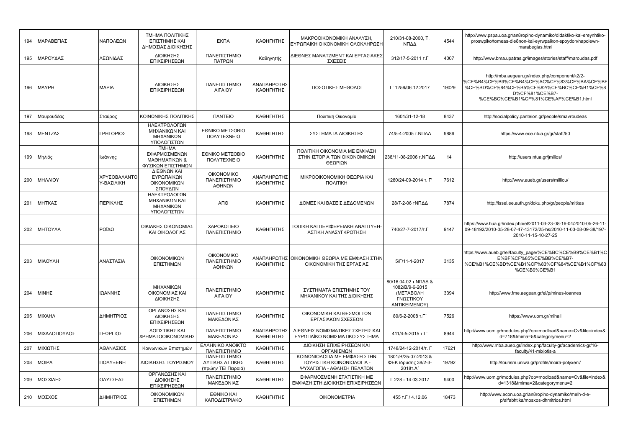| 194 | ΜΑΡΑΒΕΓΙΑΣ    | ΝΑΠΟΛΕΩΝ                   | ΤΜΗΜΑ ΠΟΛΙΤΙΚΗΣ<br>ΕΠΙΣΤΗΜΗΣ ΚΑΙ<br>ΔΗΜΟΣΙΑΣ ΔΙΟΙΚΗΣΗΣ             | <b>EKNA</b>                                            | ΚΑΘΗΓΗΤΗΣ                | ΜΑΚΡΟΟΙΚΟΝΟΜΙΚΗ ΑΝΑΛΥΣΗ.<br>ΕΥΡΩΠΑΪΚΗ ΟΙΚΟΝΟΜΙΚΗ ΟΛΟΚΛΗΡΩΣΗ                              | 210/31-08-2000. T.<br>ΝΠΔΔ                                                                | 4544  | http://www.pspa.uoa.gr/an8ropino-dynamiko/didaktiko-kai-ereynhtiko-<br>proswpiko/tomeas-die8non-kai-eyrwpaikon-spoydon/napolewn-<br>marabegias.html                                                 |
|-----|---------------|----------------------------|--------------------------------------------------------------------|--------------------------------------------------------|--------------------------|------------------------------------------------------------------------------------------|-------------------------------------------------------------------------------------------|-------|-----------------------------------------------------------------------------------------------------------------------------------------------------------------------------------------------------|
| 195 | ΜΑΡΟΥΔΑΣ      | ΛΕΩΝΙΔΑΣ                   | ΔΙΟΙΚΗΣΗΣ<br>ΕΠΙΧΕΙΡΗΣΕΩΝ                                          | ΠΑΝΕΠΙΣΤΗΜΙΟ<br>ΠΑΤΡΩΝ                                 | Καθηγητής                | ΔΙΕΘΝΕΣ ΜΑΝΑΤΖΜΕΝΤ ΚΑΙ ΕΡΓΑΣΙΑΚΕΣ<br>ΣΧΕΣΕΙΣ                                             | 312/17-5-2011 т.Г                                                                         | 4007  | http://www.bma.upatras.gr/images/stories/staff/maroudas.pdf                                                                                                                                         |
| 196 | <b>MAYPH</b>  | <b>MAPIA</b>               | ΔΙΟΙΚΗΣΗΣ<br>ΕΠΙΧΕΙΡΗΣΕΩΝ                                          | ΠΑΝΕΠΙΣΤΗΜΙΟ<br>ΑΙΓΑΙΟΥ                                | ΑΝΑΠΛΗΡΩΤΗΣ<br>ΚΑΘΗΓΗΤΗΣ | ΠΟΣΟΤΙΚΕΣ ΜΕΘΟΔΟΙ                                                                        | T' 1259/06.12.2017                                                                        | 19029 | http://mba.aegean.gr/index.php/component/k2/2-<br>%CE%B4%CE%B9%CE%B4%CE%AC%CF%83%CE%BA%CE%BF<br>%CE%BD%CF%84%CE%B5%CF%82/%CE%BC%CE%B1%CF%8<br>D%CF%81%CE%B7-<br>%CE%BC%CE%B1%CF%81%CE%AF%CE%B1.html |
| 197 | Μαυρουδέας    | Σταύρος                    | ΚΟΙΝΩΝΙΚΗΣ ΠΟΛΙΤΙΚΗΣ                                               | <b><i><u>ITANTEIO</u></i></b>                          | ΚΑΘΗΓΗΤΗΣ                | Πολιτική Οικονομία                                                                       | 1601/31-12-18                                                                             | 8437  | http://socialpolicy.panteion.gr/people/smavroudeas                                                                                                                                                  |
| 198 | ΜΕΝΤΖΑΣ       | ΓΡΗΓΟΡΙΟΣ                  | ΗΛΕΚΤΡΟΛΟΓΩΝ<br>ΜΗΧΑΝΙΚΩΝ ΚΑΙ<br>ΜΗΧΑΝΙΚΩΝ<br>ΥΠΟΛΟΓΙΣΤΩΝ          | ΕΘΝΙΚΟ ΜΕΤΣΟΒΙΟ<br>ΠΟΛΥΤΕΧΝΕΙΟ                         | ΚΑΘΗΓΗΤΗΣ                | ΣΥΣΤΗΜΑΤΑ ΔΙΟΙΚΗΣΗΣ                                                                      | 74/5-4-2005 τ.ΝΠΔΔ                                                                        | 9886  | https://www.ece.ntua.gr/gr/staff/50                                                                                                                                                                 |
| 199 | Μηλιός        | Ιωάννης                    | <b>TMHMA</b><br>ΕΦΑΡΜΟΣΜΕΝΩΝ<br>ΜΑΘΗΜΑΤΙΚΩΝ &<br>ΦΥΣΙΚΩΝ ΕΠΙΣΤΗΜΩΝ | ΕΘΝΙΚΟ ΜΕΤΣΟΒΙΟ<br><b><i>NOAYTEXNEIO</i></b>           | ΚΑΘΗΓΗΤΗΣ                | ΠΟΛΙΤΙΚΗ ΟΙΚΟΝΟΜΙΑ ΜΕ ΕΜΦΑΣΗ<br>ΣΤΗΝ ΙΣΤΟΡΙΑ ΤΩΝ ΟΙΚΟΝΟΜΙΚΩΝ<br>ΘΕΩΡΙΩΝ                  | 238/11-08-2006 τ.ΝΠΔΔ                                                                     | 14    | http://users.ntua.gr/jmilios/                                                                                                                                                                       |
| 200 | ΜΗΛΛΙΟΥ       | ΧΡΥΣΟΒΑΛΑΝΤΟ<br>Υ-ΒΑΣΙΛΙΚΗ | ΔΙΕΘΝΩΝ ΚΑΙ<br>ΕΥΡΩΠΑΙΚΩΝ<br>ΟΙΚΟΝΟΜΙΚΩΝ<br>ΣΠΟΥΔΩΝ                | <b>OIKONOMIKO</b><br>ΠΑΝΕΠΙΣΤΗΜΙΟ<br>ΑΘΗΝΩΝ            | ΑΝΑΠΛΗΡΩΤΗΣ<br>ΚΑΘΗΓΗΤΗΣ | ΜΙΚΡΟΟΙΚΟΝΟΜΙΚΗ ΘΕΩΡΙΑ ΚΑΙ<br>ΠΟΛΙΤΙΚΗ                                                   | 1280/24-09-2014 т. Г                                                                      | 7612  | http://www.aueb.gr/users/milliou/                                                                                                                                                                   |
| 201 | ΜΗΤΚΑΣ        | ΠΕΡΙΚΛΗΣ                   | ΗΛΕΚΤΡΟΛΟΓΩΝ<br>ΜΗΧΑΝΙΚΩΝ ΚΑΙ<br>ΜΗΧΑΝΙΚΩΝ<br>ΥΠΟΛΟΓΙΣΤΩΝ          | ΑΠΘ                                                    | ΚΑΘΗΓΗΤΗΣ                | ΔΟΜΕΣ ΚΑΙ ΒΑΣΕΙΣ ΔΕΔΟΜΕΝΩΝ                                                               | 28/7-2-06 ΤΝΠΔΔ                                                                           | 7874  | http://issel.ee.auth.gr/doku.php/gr/people/mitkas                                                                                                                                                   |
| 202 | ΜΗΤΟΥΛΑ       | ΡΟΪΔΩ                      | ΟΙΚΙΑΚΗΣ ΟΙΚΟΝΟΜΙΑΣ<br>ΚΑΙ ΟΙΚΟΛΟΓΙΑΣ                              | ΧΑΡΟΚΟΠΕΙΟ<br>ΠΑΝΕΠΙΣΤΗΜΙΟ                             | ΚΑΘΗΓΗΤΗΣ                | ΤΟΠΙΚΗ ΚΑΙ ΠΕΡΙΦΕΡΕΙΑΚΗ ΑΝΑΠΤΥΞΗ-<br>ΑΣΤΙΚΗ ΑΝΑΣΥΓΚΡΟΤΗΣΗ                                | 740/27-7-2017/т.Г                                                                         | 9147  | https://www.hua.gr/index.php/el/2011-03-23-08-16-04/2010-05-26-11-<br>09-18192/2010-05-28-07-47-43172/25-hs/2010-11-03-08-09-38/197-<br>2010-11-15-10-27-25                                         |
| 203 | ΜΙΑΟΥΛΗ       | ΑΝΑΣΤΑΣΙΑ                  | ΟΙΚΟΝΟΜΙΚΩΝ<br>ΕΠΙΣΤΗΜΩΝ                                           | <b>OIKONOMIKO</b><br>ΠΑΝΕΠΙΣΤΗΜΙΟ<br>ΑΘΗΝΩΝ            | ΚΑΘΗΓΗΤΗΣ                | ΑΝΑΠΛΗΡΩΤΗΣ  ΟΙΚΟΝΟΜΙΚΗ ΘΕΩΡΙΑ ΜΕ ΕΜΦΑΣΗ ΣΤΗΝ<br>ΟΙΚΟΝΟΜΙΚΗ ΤΗΣ ΕΡΓΑΣΙΑΣ                 | 5/Г/11-1-2017                                                                             | 3135  | https://www.aueb.gr/el/faculty_page/%CE%BC%CE%B9%CE%B1%C<br>E%BF%CF%85%CE%BB%CE%B7-<br>%CE%B1%CE%BD%CE%B1%CF%83%CF%84%CE%B1%CF%83<br>%CE%B9%CE%B1                                                   |
| 204 | ΜΙΝΗΣ         | ΙΩΑΝΝΗΣ                    | ΜΗΧΑΝΙΚΩΝ<br>ΟΙΚΟΝΟΜΙΑΣ ΚΑΙ<br>ΔΙΟΙΚΗΣΗΣ                           | ΠΑΝΕΠΙΣΤΗΜΙΟ<br><b>AIFAIOY</b>                         | ΚΑΘΗΓΗΤΗΣ                | ΣΥΣΤΗΜΑΤΑ ΕΠΙΣΤΗΜΗΣ ΤΟΥ<br>ΜΗΧΑΝΙΚΟΥ ΚΑΙ ΤΗΣ ΔΙΟΙΚΗΣΗΣ                                   | 80/16.04.02 τ.ΝΠΔΔ &<br>1082/B/9-6-2015<br>(METABOAH<br>ΓΝΩΣΤΙΚΟΥ<br><b>ANTIKEIMENOY)</b> | 3394  | http://www.fme.aegean.gr/el/p/mines-ioannes                                                                                                                                                         |
| 205 | <b>MIXAHA</b> | ΔΗΜΗΤΡΙΟΣ                  | ΟΡΓΑΝΩΣΗΣ ΚΑΙ<br><b>ΔΙΟΙΚΗΣΗΣ</b><br>ΕΠΙΧΕΙΡΗΣΕΩΝ                  | ΠΑΝΕΠΙΣΤΗΜΙΟ<br>ΜΑΚΕΔΟΝΙΑΣ                             | ΚΑΘΗΓΗΤΗΣ                | ΟΙΚΟΝΟΜΙΚΗ ΚΑΙ ΘΕΣΜΟΙ ΤΩΝ<br>ΕΡΓΑΣΙΑΚΩΝ ΣΧΕΣΕΩΝ                                          | 89/6-2-2008 т.Г'                                                                          | 7526  | https://www.uom.gr/mihail                                                                                                                                                                           |
| 206 | ΜΙΧΑΛΟΠΟΥΛΟΣ  | ΓΕΩΡΓΙΟΣ                   | ΛΟΓΙΣΤΙΚΗΣ ΚΑΙ<br>ΧΡΗΜΑΤΟΟΙΚΟΝΟΜΙΚΗΣ                               | ΠΑΝΕΠΙΣΤΗΜΙΟ<br>ΜΑΚΕΔΟΝΙΑΣ                             | ΑΝΑΠΛΗΡΩΤΗΣ<br>ΚΑΘΗΓΗΤΗΣ | ΔΙΕΘΝΕΙΣ ΝΟΜΙΣΜΑΤΙΚΕΣ ΣΧΕΣΕΙΣ ΚΑΙ<br>ΕΥΡΩΠΑΪΚΟ ΝΟΜΙΣΜΑΤΙΚΟ ΣΥΣΤΗΜΑ                       | 411/4-5-2015 т.Г                                                                          | 8944  | http://www.uom.gr/modules.php?op=modload&name=Cv&file=index&i<br>d=718&tmima=5&categorymenu=2                                                                                                       |
| 207 | ΜΙΧΙΩΤΗΣ      | ΑΘΑΝΑΣΙΟΣ                  | Κοινωνικών Επιστημών                                               | <b>EAAHNIKO ANOIKTO</b><br>ΠΑΝΕΠΙΣΤΗΜΙΟ                | ΚΑΘΗΓΗΤΗΣ                | ΔΙΟΙΚΗΣΗ ΕΠΙΧΕΙΡΗΣΕΩΝ ΚΑΙ<br>ΟΡΓΑΝΙΣΜΩΝ                                                  | 1748/24-12-2014/т. Г                                                                      | 17621 | http://www.mba.aueb.gr/index.php/faculty-gr/academics-gr/16-<br>faculty/41-mixiotis-a                                                                                                               |
| 208 | <b>MOIPA</b>  | ΠΟΛΥΞΕΝΗ                   | ΔΙΟΙΚΗΣΗΣ ΤΟΥΡΙΣΜΟΥ                                                | ΠΑΝΕΠΙΣΤΗΜΙΟ<br>ΔΥΤΙΚΗΣ ΑΤΤΙΚΗΣ<br>(πρώην ΤΕΙ Πειραιά) | ΚΑΘΗΓΗΤΗΣ                | ΚΟΙΝΩΝΙΟΛΟΓΙΑ ΜΕ ΕΜΦΑΣΗ ΣΤΗΝ<br>ΤΟΥΡΙΣΤΙΚΗ ΚΟΙΝΩΝΙΟΛΟΓΙΑ -<br>ΨΥΧΑΓΩΓΙΑ - ΑΘΛΗΣΗ ΠΕΛΑΤΩΝ | 1801/B/25-07-2013 &<br>ΦΕΚ ίδρυσης 38/2-3-<br>2018T.A                                     | 19792 | http://tourism.uniwa.gr/profile/moira-polyxeni/                                                                                                                                                     |
| 209 | ΝΟΣΧΙΔΗΣ      | ΟΔΥΣΣΕΑΣ                   | ΟΡΓΑΝΩΣΗΣ ΚΑΙ<br>ΔΙΟΙΚΗΣΗΣ<br>ΕΠΙΧΕΙΡΗΣΕΩΝ                         | ΠΑΝΕΠΙΣΤΗΜΙΟ<br>ΜΑΚΕΔΟΝΙΑΣ                             | ΚΑΘΗΓΗΤΗΣ                | ΕΦΑΡΜΟΣΜΕΝΗ ΣΤΑΤΙΣΤΙΚΗ ΜΕ<br>ΕΜΦΑΣΗ ΣΤΗ ΔΙΟΙΚΗΣΗ ΕΠΙΧΕΙΡΗΣΕΩΝ                            | Г 228 - 14.03.2017                                                                        | 9400  | http://www.uom.gr/modules.php?op=modload&name=Cv&file=index&i<br>d=1318&tmima=2&categorymenu=2                                                                                                      |
| 210 | ΜΟΣΧΟΣ        | ΔΗΜΗΤΡΙΟΣ                  | ΟΙΚΟΝΟΜΙΚΩΝ<br>ΕΠΙΣΤΗΜΩΝ                                           | <b>EONIKO KAI</b><br>ΚΑΠΟΔΙΣΤΡΙΑΚΟ                     | ΚΑΘΗΓΗΤΗΣ                | <b>OIKONOMETPIA</b>                                                                      | 455 т.Г / 4.12.06                                                                         | 18473 | http://www.econ.uoa.gr/an8ropino-dynamiko/melh-d-e-<br>p/alfabhtika/mosxos-dhmitrios.html                                                                                                           |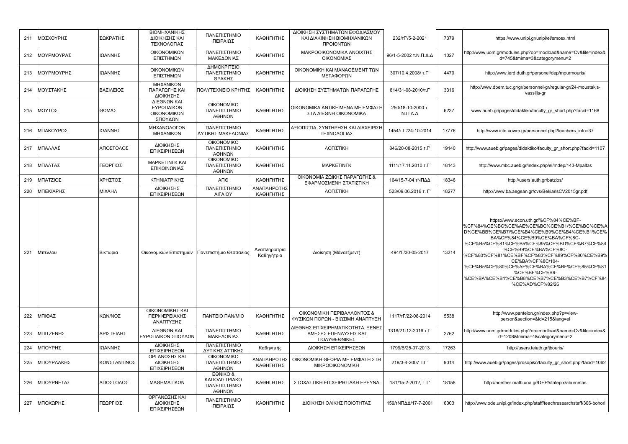| 211 | ΜΟΣΧΟΥΡΗΣ  | ΣΩΚΡΑΤΗΣ      | ΒΙΟΜΗΧΑΝΙΚΗΣ<br>ΔΙΟΙΚΗΣΗΣ ΚΑΙ<br>ΤΕΧΝΟΛΟΓΙΑΣ        | ΠΑΝΕΠΙΣΤΗΜΙΟ<br>ΠΕΙΡΑΙΩΣ                            | ΚΑΘΗΓΗΤΗΣ                  | ΔΙΟΙΚΗΣΗ ΣΥΣΤΗΜΑΤΩΝ ΕΦΟΔΙΑΣΜΟΥ<br>ΚΑΙ ΔΙΑΚΙΝΗΣΗ ΒΙΟΜΗΧΑΝΙΚΩΝ<br>ΠΡΟΪΟΝΤΩΝ  | 232/TF'/5-2-2021                           | 7379  | https://www.unipi.gr/unipi/el/smosx.html                                                                                                                                                                                                                                                                                                                                                                                                 |
|-----|------------|---------------|-----------------------------------------------------|-----------------------------------------------------|----------------------------|----------------------------------------------------------------------------|--------------------------------------------|-------|------------------------------------------------------------------------------------------------------------------------------------------------------------------------------------------------------------------------------------------------------------------------------------------------------------------------------------------------------------------------------------------------------------------------------------------|
| 212 | ΜΟΥΡΜΟΥΡΑΣ | ΙΩΑΝΝΗΣ       | ΟΙΚΟΝΟΜΙΚΩΝ<br>ΕΠΙΣΤΗΜΩΝ                            | ΠΑΝΕΠΙΣΤΗΜΙΟ<br>ΜΑΚΕΔΟΝΙΑΣ                          | ΚΑΘΗΓΗΤΗΣ                  | ΜΑΚΡΟΟΙΚΟΝΟΜΙΚΑ ΑΝΟΙΧΤΗΣ<br>ΟΙΚΟΝΟΜΙΑΣ                                     | 96/1-5-2002 τ.Ν.Π.Δ.Δ                      | 1027  | http://www.uom.gr/modules.php?op=modload&name=Cv&file=index&i<br>d=745&tmima=3&categorymenu=2                                                                                                                                                                                                                                                                                                                                            |
| 213 | ΜΟΥΡΜΟΥΡΗΣ | ΙΩΑΝΝΗΣ       | ΟΙΚΟΝΟΜΙΚΩΝ<br>ΕΠΙΣΤΗΜΩΝ                            | ΔΗΜΟΚΡΙΤΕΙΟ<br>ΠΑΝΕΠΙΣΤΗΜΙΟ<br>ΘΡΑΚΗΣ               | ΚΑΘΗΓΗΤΗΣ                  | ΟΙΚΟΝΟΜΙΚΗ ΚΑΙ ΜΑΝΑGEMENT ΤΩΝ<br>ΜΕΤΑΦΟΡΩΝ                                 | 307/10.4.2008/ т.Г                         | 4470  | http://www.ierd.duth.gr/personel/dep/mourmouris/                                                                                                                                                                                                                                                                                                                                                                                         |
| 214 | ΜΟΥΣΤΑΚΗΣ  | ΒΑΣΙΛΕΙΟΣ     | ΜΗΧΑΝΙΚΩΝ<br>ΠΑΡΑΓΩΓΗΣ ΚΑΙ<br>ΔΙΟΙΚΗΣΗΣ             | ΠΟΛΥΤΕΧΝΕΙΟ ΚΡΗΤΗΣ                                  | ΚΑΘΗΓΗΤΗΣ                  | ΔΙΟΙΚΗΣΗ ΣΥΣΤΗΜΑΤΩΝ ΠΑΡΑΓΩΓΗΣ                                              | 814/31-08-2010/т.Г                         | 3316  | http://www.dpem.tuc.gr/gr/personnel-gr/regular-gr/24-moustakis-<br>vassilis-gr                                                                                                                                                                                                                                                                                                                                                           |
| 215 | ΜΟΥΤΟΣ     | ΘΩΜΑΣ         | ΔΙΕΘΝΩΝ ΚΑΙ<br>ΕΥΡΩΠΑΙΚΩΝ<br>ΟΙΚΟΝΟΜΙΚΩΝ<br>ΣΠΟΥΔΩΝ | <b>OIKONOMIKO</b><br>ΠΑΝΕΠΙΣΤΗΜΙΟ<br>ΑΘΗΝΩΝ         | ΚΑΘΗΓΗΤΗΣ                  | ΟΙΚΟΝΟΜΙΚΑ ΑΝΤΙΚΕΙΜΕΝΑ ΜΕ ΕΜΦΑΣΗ<br>ΣΤΑ ΔΙΕΘΝΗ ΟΙΚΟΝΟΜΙΚΑ                  | 250/18-10-2000 т.<br>$N.\Pi.\Delta.\Delta$ | 6237  | www.aueb.gr/pages/didaktiko/faculty_gr_short.php?facid=1168                                                                                                                                                                                                                                                                                                                                                                              |
| 216 | ΜΠΑΚΟΥΡΟΣ  | ΙΩΑΝΝΗΣ       | ΜΗΧΑΝΟΛΟΓΩΝ<br>ΜΗΧΑΝΙΚΩΝ                            | ΠΑΝΕΠΙΣΤΗΜΙΟ<br>ΔΥΤΙΚΗΣ ΜΑΚΕΔΟΝΙΑΣ                  | ΚΑΘΗΓΗΤΗΣ                  | ΑΞΙΟΠΙΣΤΙΑ. ΣΥΝΤΗΡΗΣΗ ΚΑΙ ΔΙΑΧΕΙΡΙΣΗ<br>ΤΕΧΝΟΛΟΓΙΑΣ                        | 1454/T. T/24-10-2014                       | 17776 | http://www.icte.uowm.gr/personnel.php?teachers_info=37                                                                                                                                                                                                                                                                                                                                                                                   |
| 217 | ΜΠΑΛΛΑΣ    | ΑΠΟΣΤΟΛΟΣ     | ΔΙΟΙΚΗΣΗΣ<br>ΕΠΙΧΕΙΡΗΣΕΩΝ                           | <b>OIKONOMIKO</b><br>ΠΑΝΕΠΙΣΤΗΜΙΟ<br>ΑΘΗΝΩΝ         | ΚΑΘΗΓΗΤΗΣ                  | ΛΟΓΙΣΤΙΚΗ                                                                  | 846/20-08-2015 т.Г'                        | 19140 | http://www.aueb.gr/pages/didaktiko/faculty gr short.php?facid=1107                                                                                                                                                                                                                                                                                                                                                                       |
| 218 | ΜΠΑΛΤΑΣ    | ΓΕΩΡΓΙΟΣ      | <b>MAPKETINFK KAI</b><br>ΕΠΙΚΟΙΝΩΝΙΑΣ               | <b>OIKONOMIKO</b><br>ΠΑΝΕΠΙΣΤΗΜΙΟ<br>ΑΘΗΝΩΝ         | ΚΑΘΗΓΗΤΗΣ                  | <b>MAPKETINFK</b>                                                          | 1111/17.11.2010 T.F                        | 18143 | http://www.mbc.aueb.gr/index.php/el/mdep/143-Mpaltas                                                                                                                                                                                                                                                                                                                                                                                     |
| 219 | ΜΠΑΤΖΙΟΣ   | ΧΡΗΣΤΟΣ       | ΚΤΗΝΙΑΤΡΙΚΗΣ                                        | ΑΠΘ                                                 | ΚΑΘΗΓΗΤΗΣ                  | ΟΙΚΟΝΟΜΙΑ ΖΩΙΚΗΣ ΠΑΡΑΓΩΓΗΣ &<br>ΕΦΑΡΜΟΣΜΕΝΗ ΣΤΑΤΙΣΤΙΚΗ                     | 164/15-7-04 τΝΠΔΔ                          | 18346 | http://users.auth.gr/batzios/                                                                                                                                                                                                                                                                                                                                                                                                            |
| 220 | ΜΠΕΚΙΑΡΗΣ  | <b>MIXAHA</b> | ΔΙΟΙΚΗΣΗΣ<br>ΕΠΙΧΕΙΡΗΣΕΩΝ                           | ΠΑΝΕΠΙΣΤΗΜΙΟ<br>ΑΙΓΑΙΟΥ                             | ΑΝΑΠΛΗΡΩΤΗΣ<br>ΚΑΘΗΓΗΤΗΣ   | ΛΟΓΙΣΤΙΚΗ                                                                  | 523/09.06.2016 т. Г'                       | 18277 | http://www.ba.aegean.gr/cvs/BekiarisCV2015gr.pdf                                                                                                                                                                                                                                                                                                                                                                                         |
| 221 | Μπέλλου    | Βικτωρια      | Οικονομικών Επιστημών   Πανεπιστήμιο Θεσσαλίας      |                                                     | Αναπληρώτρια<br>Καθηγήτρια | Διοίκηση (Μάνατζμεντ)                                                      | 494/'F/30-05-2017                          | 13214 | https://www.econ.uth.gr/%CF%84%CE%BF-<br>%CF%84%CE%BC%CE%AE%CE%BC%CE%B1/%CE%BC%CE%A<br>D%CE%BB%CE%B7/%CE%B4%CE%B9%CE%B4%CE%B1%CE%<br>BA%CF%84%CE%B9%CE%BA%CF%8C-<br>%CE%B5%CF%81%CE%B5%CF%85%CE%BD%CE%B7%CF%84<br>%CE%B9%CE%BA%CF%8C-<br>%CF%80%CF%81%CE%BF%CF%83%CF%89%CF%80%CE%B9%<br>CE%BA%CF%8C/104-<br>%CE%B5%CF%80%CE%AF%CE%BA%CE%BF%CF%85%CF%81<br>%CE%BF%CE%B9-<br>%CE%BA%CE%B1%CE%B8%CE%B7%CE%B3%CE%B7%CF%84<br>%CE%AD%CF%82/26 |
| 222 | ΜΠΙΘΑΣ     | ΚΩΝ/ΝΟΣ       | ΟΙΚΟΝΟΜΙΚΗΣ ΚΑΙ<br>ΠΕΡΙΦΕΡΕΙΑΚΗΣ<br>ΑΝΑΠΤΥΞΗΣ       | <b><i><u>TANTEIO TAN/MIO</u></i></b>                | ΚΑΘΗΓΗΤΗΣ                  | ΟΙΚΟΝΟΜΙΚΗ ΠΕΡΙΒΑΛΛΟΝΤΟΣ &<br>ΦΥΣΙΚΩΝ ΠΟΡΩΝ - ΒΙΩΣΙΜΗ ΑΝΑΠΤΥΞΗ             | 1117/TF/22-08-2014                         | 5538  | http://www.panteion.gr/index.php?p=view-<br>person&section=&id=215⟨=el                                                                                                                                                                                                                                                                                                                                                                   |
| 223 | ΜΠΙΤΖΕΝΗΣ  | ΑΡΙΣΤΕΙΔΗΣ    | ΔΙΕΘΝΩΝ ΚΑΙ<br>ΕΥΡΩΠΑΙΚΩΝ ΣΠΟΥΔΩΝ                   | ΠΑΝΕΠΙΣΤΗΜΙΟ<br>ΜΑΚΕΔΟΝΙΑΣ                          | ΚΑΘΗΓΗΤΗΣ                  | ΔΙΕΘΝΗΣ ΕΠΙΧΕΙΡΗΜΑΤΙΚΟΤΗΤΑ, ΞΕΝΕΣ<br>ΑΜΕΣΕΣ ΕΠΕΝΔΥΣΕΙΣ ΚΑΙ<br>ΠΟΛΥΘΕΘΝΙΚΕΣ | 1318/21-12-2016 т.Г                        | 2762  | http://www.uom.gr/modules.php?op=modload&name=Cv&file=index&i<br>d=1208&tmima=4&categorymenu=2                                                                                                                                                                                                                                                                                                                                           |
| 224 | ΜΠΟΥΡΗΣ    | ΙΩΑΝΝΗΣ       | ΔΙΟΙΚΗΣΗΣ<br>ΕΠΙΧΕΙΡΗΣΕΩΝ                           | ΠΑΝΕΠΙΣΤΗΜΙΟ<br>ΔΥΤΙΚΗΣ ΑΤΤΙΚΗΣ                     | Καθηγητής                  | ΔΙΟΙΚΗΣΗ ΕΠΙΧΕΙΡΗΣΕΩΝ                                                      | 1799/B/25-07-2013                          | 17263 | http://users.teiath.gr/jbouris/                                                                                                                                                                                                                                                                                                                                                                                                          |
| 225 | ΜΠΟΥΡΛΑΚΗΣ | ΚΩΝΣΤΑΝΤΙΝΟΣ  | ΟΡΓΑΝΩΣΗΣ ΚΑΙ<br>ΔΙΟΙΚΗΣΗΣ<br>ΕΠΙΧΕΙΡΗΣΕΩΝ          | <b>OIKONOMIKO</b><br>ΠΑΝΕΠΙΣΤΗΜΙΟ<br>ΑΘΗΝΩΝ         | ΑΝΑΠΛΗΡΩΤΗΣ<br>ΚΑΘΗΓΗΤΗΣ   | ΟΙΚΟΝΟΜΙΚΗ ΘΕΩΡΙΑ ΜΕ ΕΜΦΑΣΗ ΣΤΗ<br><b>MIKPOOIKONOMIKH</b>                  | 219/3-4-2007 T.F                           | 9014  | http://www.aueb.gr/pages/prosopiko/faculty gr short.php?facid=1062                                                                                                                                                                                                                                                                                                                                                                       |
| 226 | ΜΠΟΥΡΝΕΤΑΣ | ΑΠΟΣΤΟΛΟΣ     | ΜΑΘΗΜΑΤΙΚΩΝ                                         | EONIKO &<br>ΚΑΠΟΔΙΣΤΡΙΑΚΟ<br>ΠΑΝΕΠΙΣΤΗΜΙΟ<br>ΑΘΗΝΩΝ | ΚΑΘΗΓΗΤΗΣ                  | ΣΤΟΧΑΣΤΙΚΗ ΕΠΙΧΕΙΡΗΣΙΑΚΗ ΕΡΕΥΝΑ                                            | 181/15-2-2012, T.F'                        | 18158 | http://noether.math.uoa.gr/DEP/statepix/aburnetas                                                                                                                                                                                                                                                                                                                                                                                        |
| 227 | ΜΠΟΧΩΡΗΣ   | ΓΕΩΡΓΙΟΣ      | ΟΡΓΑΝΩΣΗΣ ΚΑΙ<br>ΔΙΟΙΚΗΣΗΣ<br>ΕΠΙΧΕΙΡΗΣΕΩΝ          | ΠΑΝΕΠΙΣΤΗΜΙΟ<br>ΠΕΙΡΑΙΩΣ                            | ΚΑΘΗΓΗΤΗΣ                  | ΔΙΟΙΚΗΣΗ ΟΛΙΚΗΣ ΠΟΙΟΤΗΤΑΣ                                                  | 159/TNΠΔΔ/17-7-2001                        | 6003  | http://www.ode.unipi.gr/index.php/staff/teachresearchstaff/306-bohori                                                                                                                                                                                                                                                                                                                                                                    |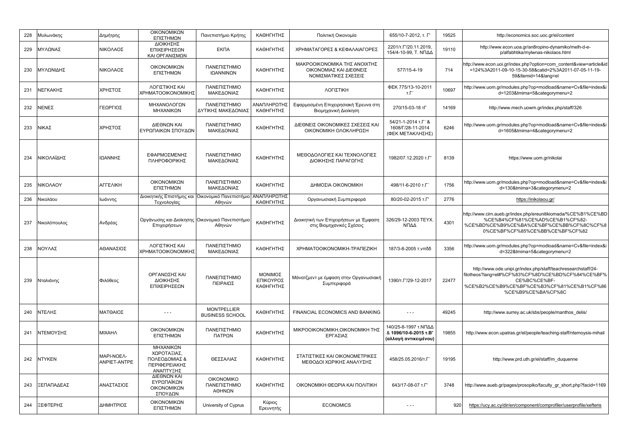| 228 | Μυλωνάκης     | Δημήτρης                   | ΟΙΚΟΝΟΜΙΚΩΝ<br>ΕΠΙΣΤΗΜΩΝ                                                | Πανεπιστήμιο Κρήτης                          | ΚΑΘΗΓΗΤΗΣ                         | Πολιτική Οικονομία                                                              | 655/10-7-2012, т. Г'                                                   | 19525 | http://economics.soc.uoc.gr/el/content                                                                                                                                                                  |
|-----|---------------|----------------------------|-------------------------------------------------------------------------|----------------------------------------------|-----------------------------------|---------------------------------------------------------------------------------|------------------------------------------------------------------------|-------|---------------------------------------------------------------------------------------------------------------------------------------------------------------------------------------------------------|
| 229 | ΜΥΛΩΝΑΣ       | ΝΙΚΟΛΑΟΣ                   | ΔΙΟΙΚΗΣΗΣ<br>ΕΠΙΧΕΙΡΗΣΕΩΝ<br>ΚΑΙ ΟΡΓΑΝΙΣΜΩΝ                             | <b>EKNA</b>                                  | ΚΑΘΗΓΗΤΗΣ                         | ΧΡΗΜΑΤΑΓΟΡΕΣ & ΚΕΦΑΛΑΙΑΓΟΡΕΣ                                                    | 2201/T.F/20.11.2019.<br>154/4-10-99. Τ. ΝΠΔΔ                           | 19110 | http://www.econ.uoa.gr/an8ropino-dynamiko/melh-d-e-<br>p/alfabhtika/mylwnas-nikolaos.html                                                                                                               |
| 230 | ΜΥΛΩΝΙΔΗΣ     | ΝΙΚΟΛΑΟΣ                   | ΟΙΚΟΝΟΜΙΚΩΝ<br>ΕΠΙΣΤΗΜΩΝ                                                | ΠΑΝΕΠΙΣΤΗΜΙΟ<br>ΙΩΑΝΝΙΝΩΝ                    | ΚΑΘΗΓΗΤΗΣ                         | ΜΑΚΡΟΟΙΚΟΝΟΜΙΚΑ ΤΗΣ ΑΝΟΙΧΤΗΣ<br>ΟΙΚΟΝΟΜΙΑΣ ΚΑΙ ΔΙΕΘΝΕΙΣ<br>ΝΟΜΙΣΜΑΤΙΚΕΣ ΣΧΕΣΕΙΣ | 577/15-4-19                                                            | 714   | http://www.econ.uoi.gr/index.php?option=com_content&view=article&id<br>=124%3A2011-09-10-15-30-58&catid=2%3A2011-07-05-11-19-<br>59&Itemid=14⟨=el                                                       |
| 231 | ΝΕΓΚΑΚΗΣ      | ΧΡΗΣΤΟΣ                    | ΛΟΓΙΣΤΙΚΗΣ ΚΑΙ<br>ΚΡΗΜΑΤΟΟΙΚΟΝΟΜΙΚΗΣ                                    | ΠΑΝΕΠΙΣΤΗΜΙΟ<br>ΜΑΚΕΔΟΝΙΑΣ                   | ΚΑΘΗΓΗΤΗΣ                         | ΛΟΓΙΣΤΙΚΗ                                                                       | ФЕК 775/13-10-2011<br>т.Г′                                             | 10697 | http://www.uom.gr/modules.php?op=modload&name=Cv&file=index&i<br>d=1203&tmima=5&categorymenu=2                                                                                                          |
| 232 | ΝΕΝΕΣ         | ΓΕΩΡΓΙΟΣ                   | ΜΗΧΑΝΟΛΟΓΩΝ<br>ΜΗΧΑΝΙΚΩΝ                                                | ΠΑΝΕΠΙΣΤΗΜΙΟ<br>ΔΥΤΙΚΗΣ ΜΑΚΕΔΟΝΙΑΣ           | ΑΝΑΠΛΗΡΩΤΗΣ<br>ΚΑΘΗΓΗΤΗΣ          | Εφαρμοσμένη Επιχειρησιακή Έρευνα στη<br>Βιομηχανική Διοίκηση                    | 270/15-03-18 тГ                                                        | 14169 | http://www.mech.uowm.gr/index.php/staff/326                                                                                                                                                             |
| 233 | ΝΙΚΑΣ         | ΧΡΗΣΤΟΣ                    | ΔΙΕΘΝΩΝ ΚΑΙ<br>ΕΥΡΩΠΑΙΚΩΝ ΣΠΟΥΔΩΝ                                       | ΠΑΝΕΠΙΣΤΗΜΙΟ<br>ΜΑΚΕΔΟΝΙΑΣ                   | ΚΑΘΗΓΗΤΗΣ                         | ΔΙΕΘΝΕΙΣ ΟΙΚΟΝΟΜΙΚΕΣ ΣΧΕΣΕΙΣ ΚΑΙ<br>ΟΙΚΟΝΟΜΙΚΗ ΟΛΟΚΛΗΡΩΣΗ                       | 54/21-1-2014 т.Г' &<br>1608/F/28-11-2014<br>(ΦΕΚ ΜΕΤΑΚΛΗΣΗΣ)           | 6246  | http://www.uom.gr/modules.php?op=modload&name=Cv&file=index&i<br>d=1605&tmima=4&categorymenu=2                                                                                                          |
| 234 | ΝΙΚΟΛΑΪΔΗΣ    | ΙΩΑΝΝΗΣ                    | ΕΦΑΡΜΟΣΜΕΝΗΣ<br>ΠΛΗΡΟΦΟΡΙΚΗΣ                                            | ΠΑΝΕΠΙΣΤΗΜΙΟ<br>ΜΑΚΕΔΟΝΙΑΣ                   | ΚΑΘΗΓΗΤΗΣ                         | ΜΕΘΟΔΟΛΟΓΙΕΣ ΚΑΙ ΤΕΧΝΟΛΟΓΙΕΣ<br>ΔΙΟΙΚΗΣΗΣ ΠΑΡΑΓΩΓΗΣ                             | 1982/07.12.2020 т.Г                                                    | 8139  | https://www.uom.gr/nikolai                                                                                                                                                                              |
| 235 | ΝΙΚΟΛΑΟΥ      | ΑΓΓΕΛΙΚΗ                   | ΟΙΚΟΝΟΜΙΚΩΝ<br>ΕΠΙΣΤΗΜΩΝ                                                | ΠΑΝΕΠΙΣΤΗΜΙΟ<br>ΜΑΚΕΔΟΝΙΑΣ                   | ΚΑΘΗΓΗΤΗΣ                         | ΔΗΜΟΣΙΑ ΟΙΚΟΝΟΜΙΚΗ                                                              | 498/11-6-2010 т.Г                                                      | 1756  | http://www.uom.gr/modules.php?op=modload&name=Cv&file=index&i<br>d=130&tmima=3&categorymenu=2                                                                                                           |
| 236 | Νικολάου      | Ιωάννης                    | Διοικητικής Επιστήμης και<br>Τεχνολογίας                                | Οικονομικό Πανεπιστήμιο<br>Αθηνών            | ΑΝΑΠΛΗΡΩΤΗΣ<br>ΚΑΘΗΓΗΤΗΣ          | Οργανωσιακή Συμπεριφορά                                                         | 80/20-02-2015 т.Г'                                                     | 2776  | https://inikolaou.gr/                                                                                                                                                                                   |
| 237 | Νικολόπουλος  | Ανδρέας                    | Οργάνωσης και Διοίκησης Οικονομικό Πανεπιστήμιο<br>Επιχειρήσεων         | Αθηνών                                       | ΚΑΘΗΓΗΤΗΣ                         | Διοικητική των Επιχειρήσεων με Έμφαση<br>στις Βιομηχανικές Σχέσεις              | 326/29-12-2003 TEYX.<br>ΝΠΔΔ                                           | 4301  | http://www.cirn.aueb.gr/index.php/ereunitikiomada/%CE%B1%CE%BD<br>%CE%B4%CF%81%CE%AD%CE%B1%CF%82-<br>%CE%BD%CE%B9%CE%BA%CE%BF%CE%BB%CF%8C%CF%8<br>0%CE%BF%CF%85%CE%BB%CE%BF%CF%82                       |
| 238 | ΝΟΥΛΑΣ        | ΑΘΑΝΑΣΙΟΣ                  | ΛΟΓΙΣΤΙΚΗΣ ΚΑΙ<br>ΧΡΗΜΑΤΟΟΙΚΟΝΟΜΙΚΗΣ                                    | ΠΑΝΕΠΙΣΤΗΜΙΟ<br>ΜΑΚΕΔΟΝΙΑΣ                   | ΚΑΘΗΓΗΤΗΣ                         | XPHMATOOIKONOMIKH-TPANEZIKH                                                     | 187/3-8-2005 τ. νπδδ                                                   | 3356  | http://www.uom.gr/modules.php?op=modload&name=Cv&file=index&i<br>d=322&tmima=5&categorymenu=2                                                                                                           |
| 239 | Νταλιάνης     | Φιλόθεος                   | ΟΡΓΑΝΩΣΗΣ ΚΑΙ<br>ΔΙΟΙΚΗΣΗΣ<br>ΕΠΙΧΕΙΡΗΣΕΩΝ                              | ΠΑΝΕΠΙΣΤΗΜΙΟ<br>ΠΕΙΡΑΙΩΣ                     | ΜΟΝΙΜΟΣ<br>ΕΠΙΚΟΥΡΟΣ<br>ΚΑΘΗΓΗΤΗΣ | Μάνατζμεντ με έμφαση στην Οργανωσιακή<br>Συμπεριφορά                            | 1390/T. $\Gamma$ /29-12-2017                                           | 22477 | http://www.ode.unipi.gr/index.php/staff/teachresearchstaff/24-<br>filotheos?lang=el#%CF%83%CF%8D%CE%BD%CF%84%CE%BF%<br>CE%BC%CE%BF-<br>%CE%B2%CE%B9%CE%BF%CE%B3%CF%81%CE%B1%CF%86<br>%CE%B9%CE%BA%CF%8C |
| 240 | ΝΤΕΛΗΣ        | <b>ΜΑΤΘΑΙΟΣ</b>            | $- - -$                                                                 | <b>MONTPELLIER</b><br><b>BUSINESS SCHOOL</b> | ΚΑΘΗΓΗΤΗΣ                         | FINANCIAL ECONOMICS AND BANKING                                                 | $\sim$ $\sim$ $\sim$                                                   | 49245 | http://www.surrey.ac.uk/sbs/people/manthos_delis/                                                                                                                                                       |
| 241 | ΝΤΕΜΟΥΣΗΣ     | <b>MIXAHA</b>              | ΟΙΚΟΝΟΜΙΚΩΝ<br>ΕΠΙΣΤΗΜΩΝ                                                | ΠΑΝΕΠΙΣΤΗΜΙΟ<br>ΠΑΤΡΩΝ                       | ΚΑΘΗΓΗΤΗΣ                         | ΜΙΚΡΟΟΙΚΟΝΟΜΙΚΗ, ΟΙΚΟΝΟΜΙΚΗ ΤΗΣ<br>ΕΡΓΑΣΙΑΣ                                     | 140/25-8-1997 τ.ΝΠΔΔ<br>& 1096/10-6-2015 т.В'<br>(αλλαγή αντικειμένου) | 19855 | http://www.econ.upatras.gr/el/people/teaching-staff/ntemoysis-mihail                                                                                                                                    |
| 242 | <b>NTYKEN</b> | MAPI-NOEA-<br>ANPIET-ANTPE | ΜΗΧΑΝΙΚΩΝ<br>ΧΩΡΟΤΑΞΙΑΣ.<br>ΠΟΛΕΟΔΟΜΙΑΣ &<br>ΠΕΡΙΦΕΡΕΙΑΚΗΣ<br>ΑΝΑΠΤΥΞΗΣ | ΘΕΣΣΑΛΙΑΣ                                    | ΚΑΘΗΓΗΤΗΣ                         | ΣΤΑΤΙΣΤΙΚΕΣ ΚΑΙ ΟΙΚΟΝΟΜΕΤΡΙΚΕΣ<br>ΜΕΘΟΔΟΙ ΧΩΡΙΚΗΣ ΑΝΑΛΥΣΗΣ                      | 458/25.05.2016/т.Г                                                     | 19195 | http://www.prd.uth.gr/el/staff/m duquenne                                                                                                                                                               |
| 243 | ΞΕΠΑΠΑΔΕΑΣ    | ΑΝΑΣΤΑΣΙΟΣ                 | ΔΙΕΘΝΩΝ ΚΑΙ<br>ΕΥΡΩΠΑΪΚΩΝ<br>ΟΙΚΟΝΟΜΙΚΩΝ<br>ΣΠΟΥΔΩΝ                     | <b>OIKONOMIKO</b><br>ΠΑΝΕΠΙΣΤΗΜΙΟ<br>ΑΘΗΝΩΝ  | ΚΑΘΗΓΗΤΗΣ                         | ΟΙΚΟΝΟΜΙΚΗ ΘΕΩΡΙΑ ΚΑΙ ΠΟΛΙΤΙΚΗ                                                  | 643/17-08-07 T.F'                                                      | 3748  | http://www.aueb.gr/pages/prosopiko/faculty gr short.php?facid=1169                                                                                                                                      |
| 244 | ΞΕΦΤΕΡΗΣ      | ΔΗΜΗΤΡΙΟΣ                  | ΟΙΚΟΝΟΜΙΚΩΝ<br>ΕΠΙΣΤΗΜΩΝ                                                | University of Cyprus                         | Κύριος<br>Ερευνητής               | <b>ECONOMICS</b>                                                                | $- - -$                                                                | 920   | https://ucy.ac.cy/dir/en/component/comprofiler/userprofile/xefteris                                                                                                                                     |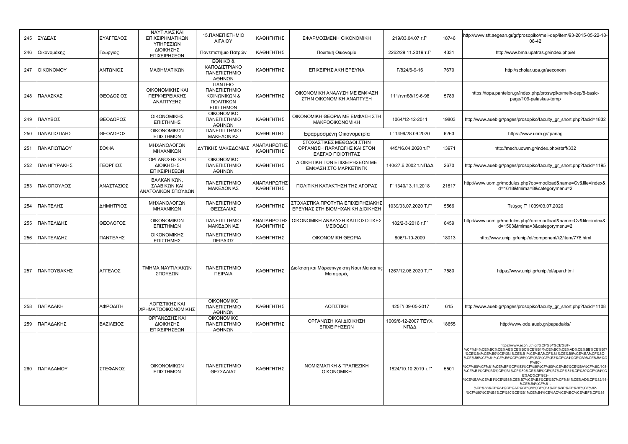| 245 | ΞΥΔΕΑΣ       | ΕΥΑΓΓΕΛΟΣ  | ΝΑΥΤΙΛΙΑΣ ΚΑΙ<br>ΕΠΙΧΕΙΡΗΜΑΤΙΚΩΝ<br>ΥΠΗΡΕΣΙΩΝ     | 15. ΠΑΝΕΠΙΣΤΗΜΙΟ<br><b>AIFAIOY</b>                                                      | ΚΑΘΗΓΗΤΗΣ                | ΕΦΑΡΜΟΣΜΕΝΗ ΟΙΚΟΝΟΜΙΚΗ                                                      | 219/03.04.07 T.F'            | 18746 | http://www.stt.aegean.gr/gr/prosopiko/meli-dep/item/93-2015-05-22-18-<br>08-42                                                                                                                                                                                                                                                                                                                                                                                                                                                                                            |
|-----|--------------|------------|---------------------------------------------------|-----------------------------------------------------------------------------------------|--------------------------|-----------------------------------------------------------------------------|------------------------------|-------|---------------------------------------------------------------------------------------------------------------------------------------------------------------------------------------------------------------------------------------------------------------------------------------------------------------------------------------------------------------------------------------------------------------------------------------------------------------------------------------------------------------------------------------------------------------------------|
| 246 | Οικονομάκης  | Γεώργιος   | <b>ΔΙΟΙΚΗΣΗΣ</b><br>ΕΠΙΧΕΙΡΗΣΕΩΝ                  | Πανεπιστήμιο Πατρών                                                                     | ΚΑΘΗΓΗΤΗΣ                | Πολιτική Οικονομία                                                          | 2262/29.11.2019 T.F'         | 4331  | http://www.bma.upatras.gr/index.php/el                                                                                                                                                                                                                                                                                                                                                                                                                                                                                                                                    |
| 247 | OIKONOMOY    | ΑΝΤΩΝΙΟΣ   | ΜΑΘΗΜΑΤΙΚΩΝ                                       | EONIKO &<br>ΚΑΠΟΔΙΣΤΡΙΑΚΟ<br>ΠΑΝΕΠΙΣΤΗΜΙΟ<br>ΑΘΗΝΩΝ                                     | ΚΑΘΗΓΗΤΗΣ                | ΕΠΙΧΕΙΡΗΣΙΑΚΗ ΕΡΕΥΝΑ                                                        | Г/824/6-9-16                 | 7670  | http://scholar.uoa.gr/aeconom                                                                                                                                                                                                                                                                                                                                                                                                                                                                                                                                             |
| 248 | ΠΑΛΑΣΚΑΣ     | ΘΕΟΔΟΣΙΟΣ  | ΟΙΚΟΝΟΜΙΚΗΣ ΚΑΙ<br>ΠΕΡΙΦΕΡΕΙΑΚΗΣ<br>ΑΝΑΠΤΥΞΗΣ     | <b><i><u>ITANTEIO</u></i></b><br>ΠΑΝΕΠΙΣΤΗΜΙΟ<br>ΚΟΙΝΩΝΙΚΩΝ &<br>ΠΟΛΙΤΙΚΩΝ<br>ΕΠΙΣΤΗΜΩΝ | ΚΑΘΗΓΗΤΗΣ                | ΟΙΚΟΝΟΜΙΚΗ ΑΝΑΛΥΣΗ ΜΕ ΕΜΦΑΣΗ<br>ΣΤΗΝ ΟΙΚΟΝΟΜΙΚΗ ΑΝΑΠΤΥΞΗ                    | 111/τνπδδ/19-6-98            | 5789  | https://topa.panteion.gr/index.php/proswpiko/melh-dep/8-basic-<br>page/109-palaskas-temp                                                                                                                                                                                                                                                                                                                                                                                                                                                                                  |
| 249 | ΠΑΛΥΒΟΣ      | ΘΕΟΔΩΡΟΣ   | ΟΙΚΟΝΟΜΙΚΗΣ<br>ΕΠΙΣΤΗΜΗΣ                          | <b>OIKONOMIKO</b><br>ΠΑΝΕΠΙΣΤΗΜΙΟ<br>ΑΘΗΝΩΝ                                             | ΚΑΘΗΓΗΤΗΣ                | ΟΙΚΟΝΟΜΙΚΗ ΘΕΩΡΙΑ ΜΕ ΕΜΦΑΣΗ ΣΤΗ<br>MAKPOOIKONOMIKH                          | 1064/12-12-2011              | 19803 | http://www.aueb.gr/pages/prosopiko/faculty gr short.php?facid=1832                                                                                                                                                                                                                                                                                                                                                                                                                                                                                                        |
| 250 | ΤΑΝΑΓΙΩΤΙΔΗΣ | ΘΕΟΔΩΡΟΣ   | ΟΙΚΟΝΟΜΙΚΩΝ<br>ΕΠΙΣΤΗΜΩΝ                          | ΠΑΝΕΠΙΣΤΗΜΙΟ<br>ΜΑΚΕΔΟΝΙΑΣ                                                              | ΚΑΘΗΓΗΤΗΣ                | Εφαρμοσμένη Οικονομετρία                                                    | Г' 1499/28.09.2020           | 6263  | https://www.uom.gr/tpanag                                                                                                                                                                                                                                                                                                                                                                                                                                                                                                                                                 |
| 251 | ΠΑΝΑΓΙΩΤΙΔΟΥ | ΣΟΦΙΑ      | ΜΗΧΑΝΟΛΟΓΩΝ<br>ΜΗΧΑΝΙΚΩΝ                          | ΔΥΤΙΚΗΣ ΜΑΚΕΔΟΝΙΑΣ                                                                      | ΑΝΑΠΛΗΡΩΤΗΣ<br>ΚΑΘΗΓΗΤΗΣ | ΣΤΟΧΑΣΤΙΚΕΣ ΜΕΘΟΔΟΙ ΣΤΗΝ<br>ΟΡΓΑΝΩΣΗ ΠΑΡΑΓΩΓΗΣ ΚΑΙ ΣΤΟΝ<br>ΕΛΕΓΧΟ ΠΟΙΟΤΗΤΑΣ | 445/16.04.2020 T.F'          | 13971 | http://mech.uowm.gr/index.php/staff/332                                                                                                                                                                                                                                                                                                                                                                                                                                                                                                                                   |
| 252 | ΠΑΝΗΓΥΡΑΚΗΣ  | ΓΕΩΡΓΙΟΣ   | ΟΡΓΑΝΩΣΗΣ ΚΑΙ<br>ΔΙΟΙΚΗΣΗΣ<br>ΕΠΙΧΕΙΡΗΣΕΩΝ        | <b>OIKONOMIKO</b><br>ΠΑΝΕΠΙΣΤΗΜΙΟ<br>ΑΘΗΝΩΝ                                             | ΚΑΘΗΓΗΤΗΣ                | ΔΙΟΙΚΗΤΙΚΗ ΤΩΝ ΕΠΙΧΕΙΡΗΣΕΩΝ ΜΕ<br>ΕΜΦΑΣΗ ΣΤΟ ΜΑΡΚΕΤΙΝΓΚ                     | 140/27.6.2002 τ.ΝΠΔΔ         | 2670  | http://www.aueb.gr/pages/prosopiko/faculty gr short.php?facid=1195                                                                                                                                                                                                                                                                                                                                                                                                                                                                                                        |
| 253 | ΠΑΝΟΠΟΥΛΟΣ   | ΑΝΑΣΤΑΣΙΟΣ | ΒΑΛΚΑΝΙΚΩΝ,<br>ΣΛΑΒΙΚΩΝ ΚΑΙ<br>ΑΝΑΤΟΛΙΚΩΝ ΣΠΟΥΔΩΝ | ΠΑΝΕΠΙΣΤΗΜΙΟ<br>ΜΑΚΕΔΟΝΙΑΣ                                                              | ΑΝΑΠΛΗΡΩΤΗΣ<br>ΚΑΘΗΓΗΤΗΣ | ΠΟΛΙΤΙΚΗ ΚΑΤΑΚΤΗΣΗ ΤΗΣ ΑΓΟΡΑΣ                                               | Г' 1340/13.11.2018           | 21617 | http://www.uom.gr/modules.php?op=modload&name=Cv&file=index&i<br>d=1618&tmima=8&categorymenu=2                                                                                                                                                                                                                                                                                                                                                                                                                                                                            |
| 254 | ΤΑΝΤΕΛΗΣ     | ΔΗΜΗΤΡΙΟΣ  | ΜΗΧΑΝΟΛΟΓΩΝ<br>ΜΗΧΑΝΙΚΩΝ                          | ΠΑΝΕΠΙΣΤΗΜΙΟ<br>ΘΕΣΣΑΛΙΑΣ                                                               | ΚΑΘΗΓΗΤΗΣ                | ΣΤΟΧΑΣΤΙΚΑ ΠΡΟΤΥΠΑ ΕΠΙΧΕΙΡΗΣΙΑΚΗΣ<br>ΕΡΕΥΝΑΣ ΣΤΗ ΒΙΟΜΗΧΑΝΙΚΗ ΔΙΟΙΚΗΣΗ       | 1039/03.07.2020 T.F          | 5566  | Τεύχος Γ' 1039/03.07.2020                                                                                                                                                                                                                                                                                                                                                                                                                                                                                                                                                 |
| 255 | ΠΑΝΤΕΛΙΔΗΣ   | ΘΕΟΛΟΓΟΣ   | ΟΙΚΟΝΟΜΙΚΩΝ<br>ΕΠΙΣΤΗΜΩΝ                          | ΠΑΝΕΠΙΣΤΗΜΙΟ<br>ΜΑΚΕΔΟΝΙΑΣ                                                              | ΑΝΑΠΛΗΡΩΤΗΣ<br>ΚΑΘΗΓΗΤΗΣ | ΟΙΚΟΝΟΜΙΚΗ ΑΝΑΛΥΣΗ ΚΑΙ ΠΟΣΟΤΙΚΕΣ<br>ΜΕΘΟΔΟΙ                                 | 182/2-3-2016 т.Г             | 6459  | http://www.uom.gr/modules.php?op=modload&name=Cv&file=index&i<br>d=1503&tmima=3&categorymenu=2                                                                                                                                                                                                                                                                                                                                                                                                                                                                            |
| 256 | ΠΑΝΤΕΛΙΔΗΣ   | ΠΑΝΤΕΛΗΣ   | ΟΙΚΟΝΟΜΙΚΗΣ<br>ΕΠΙΣΤΗΜΗΣ                          | ΠΑΝΕΠΙΣΤΗΜΙΟ<br>ΠΕΙΡΑΙΩΣ                                                                | ΚΑΘΗΓΗΤΗΣ                | ΟΙΚΟΝΟΜΙΚΗ ΘΕΩΡΙΑ                                                           | 806/1-10-2009                | 18013 | http://www.unipi.gr/unipi/el/component/k2/item/778.html                                                                                                                                                                                                                                                                                                                                                                                                                                                                                                                   |
| 257 | ΠΑΝΤΟΥΒΑΚΗΣ  | ΑΓΓΕΛΟΣ    | ΤΜΗΜΑ ΝΑΥΤΙΛΙΑΚΩΝ<br>ΣΠΟΥΔΩΝ                      | ΠΑΝΕΠΙΣΤΗΜΙΟ<br><b><i><u>TEIPAIA</u></i></b>                                            | ΚΑΘΗΓΗΤΗΣ                | Διοίκηση και Μάρκετινγκ στη Ναυτιλία και τις<br>Μεταφορές                   | 1267/12.08.2020 T.F          | 7580  | https://www.unipi.gr/unipi/el/apan.html                                                                                                                                                                                                                                                                                                                                                                                                                                                                                                                                   |
| 258 | ПАПАДАКН     | ΑΦΡΟΔΙΤΗ   | ΛΟΓΙΣΤΙΚΗΣ ΚΑΙ<br>ΧΡΗΜΑΤΟΟΙΚΟΝΟΜΙΚΗΣ              | <b>OIKONOMIKO</b><br>ΠΑΝΕΠΙΣΤΗΜΙΟ<br>ΑΘΗΝΩΝ                                             | ΚΑΘΗΓΗΤΗΣ                | ΛΟΓΙΣΤΙΚΗ                                                                   | 425F'/09-05-2017             | 615   | http://www.aueb.gr/pages/prosopiko/faculty gr short.php?facid=1108                                                                                                                                                                                                                                                                                                                                                                                                                                                                                                        |
| 259 | ΠΑΠΑΔΑΚΗΣ    | ΒΑΣΙΛΕΙΟΣ  | ΟΡΓΑΝΩΣΗΣ ΚΑΙ<br>ΔΙΟΙΚΗΣΗΣ<br>ΕΠΙΧΕΙΡΗΣΕΩΝ        | <b>OIKONOMIKO</b><br>ΠΑΝΕΠΙΣΤΗΜΙΟ<br>ΑΘΗΝΩΝ                                             | ΚΑΘΗΓΗΤΗΣ                | ΟΡΓΑΝΩΣΗ ΚΑΙ ΔΙΟΙΚΗΣΗ<br>ΕΠΙΧΕΙΡΗΣΕΩΝ                                       | 1009/6-12-2007 TEYX.<br>ΝΠΔΔ | 18655 | http://www.ode.aueb.gr/papadakis/                                                                                                                                                                                                                                                                                                                                                                                                                                                                                                                                         |
| 260 | ΠΑΠΑΔΑΜΟΥ    | ΣΤΕΦΑΝΟΣ   | ΟΙΚΟΝΟΜΙΚΩΝ<br>ΕΠΙΣΤΗΜΩΝ                          | ΠΑΝΕΠΙΣΤΗΜΙΟ<br>ΘΕΣΣΑΛΙΑΣ                                                               | ΚΑΘΗΓΗΤΗΣ                | ΝΟΜΙΣΜΑΤΙΚΗ & ΤΡΑΠΕΖΙΚΗ<br><b>OIKONOMIKH</b>                                | 1824/10.10.2019 т.Г          | 5501  | https://www.econ.uth.gr/%CF%84%CE%BF-<br>%CF%84%CE%BC%CE%AE%CE%BC%CE%B1/%CE%BC%CE%AD%CE%BB%CE%B7/<br>%CE%B4%CE%B9%CE%B4%CE%B1%CE%BA%CF%84%CE%B9%CE%BA%CF%8C-<br>%CE%B5%CF%81%CE%B5%CF%85%CE%BD%CE%B7%CF%84%CE%B9%CE%BA%C<br>F%8C-<br>6CF%80%CF%81%CE%BF%CF%83%CF%89%CF%80%CE%B9%CE%BA%CF%8C/103-<br>%CE%B1%CE%BD%CE%B1%CF%80%CE%BB%CE%B7%CF%81%CF%89%CF%84%C<br>E%AD%CF%82-<br>%CE%BA%CE%B1%CE%B8%CE%B7%CE%B3%CE%B7%CF%84%CE%AD%CF%82/44-<br>%CE%B4%CF%81-<br>%CF%83%CF%84%CE%AD%CF%86%CE%B1%CE%BD%CE%BF%CF%82-<br>%CF%80%CE%B1%CF%80%CE%B1%CE%B4%CE%AC%CE%BC%CE%BF%CF%85 |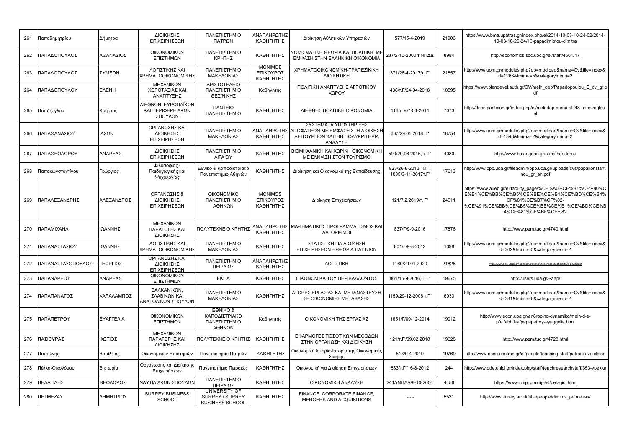| 261 | Παπαδημητρίου     | Δήμητρα      | ΔΙΟΙΚΗΣΗΣ<br>ΕΠΙΧΕΙΡΗΣΕΩΝ                           | ΠΑΝΕΠΙΣΤΗΜΙΟ<br>ΠΑΤΡΩΝ                                     | ΑΝΑΠΛΗΡΩΤΗΣ<br>ΚΑΘΗΓΗΤΗΣ          | Διοίκηση Αθλητικών Υπηρεσιών                                                                            | 577/15-4-2019                            | 21906 | https://www.bma.upatras.gr/index.php/el/2014-10-03-10-24-02/2014-<br>10-03-10-26-24/16-papadimitriou-dimitra                                                                                    |
|-----|-------------------|--------------|-----------------------------------------------------|------------------------------------------------------------|-----------------------------------|---------------------------------------------------------------------------------------------------------|------------------------------------------|-------|-------------------------------------------------------------------------------------------------------------------------------------------------------------------------------------------------|
| 262 | ΠΑΠΑΔΟΠΟΥΛΟΣ      | ΑΘΑΝΑΣΙΟΣ    | ΟΙΚΟΝΟΜΙΚΩΝ<br>ΕΠΙΣΤΗΜΩΝ                            | ΠΑΝΕΠΙΣΤΗΜΙΟ<br>ΚΡΗΤΗΣ                                     | ΚΑΘΗΓΗΤΗΣ                         | ΝΟΜΙΣΜΑΤΙΚΗ ΘΕΩΡΙΑ ΚΑΙ ΠΟΛΙΤΙΚΗ ΜΕ<br>ΕΜΦΑΣΗ ΣΤΗΝ ΕΛΛΗΝΙΚΗ ΟΙΚΟΝΟΜΙΑ                                    | 237/2-10-2000 τ.ΝΠΔΔ                     | 8984  | http://economics.soc.uoc.gr/el/staff/4561/17                                                                                                                                                    |
| 263 | ΠΑΠΑΔΟΠΟΥΛΟΣ      | ΣΥΜΕΩΝ       | ΛΟΓΙΣΤΙΚΗΣ ΚΑΙ<br>ΧΡΗΜΑΤΟΟΙΚΟΝΟΜΙΚΗΣ                | ΠΑΝΕΠΙΣΤΗΜΙΟ<br>ΜΑΚΕΔΟΝΙΑΣ                                 | ΜΟΝΙΜΟΣ<br>ΕΠΙΚΟΥΡΟΣ<br>ΚΑΘΗΓΗΤΗΣ | XPHMATOOIKONOMIKH-TPANEZIKIKH<br>ΔΙΟΙΚΗΤΙΚΗ                                                             | 371/26-4-2017/т. Г'                      | 21857 | http://www.uom.gr/modules.php?op=modload&name=Cv&file=index&i<br>d=1263&tmima=5&categorymenu=2                                                                                                  |
| 264 | ΠΑΠΑΔΟΠΟΥΛΟΥ      | <b>EAENH</b> | ΜΗΧΑΝΙΚΩΝ<br>ΧΩΡΟΤΑΞΙΑΣ ΚΑΙ<br>ΑΝΑΠΤΥΞΗΣ            | ΑΡΙΣΤΟΤΕΛΕΙΟ<br>ΠΑΝΕΠΙΣΤΗΜΙΟ<br>ΘΕΣ/ΝΙΚΗΣ                  | Καθηγητής                         | ΠΟΛΙΤΙΚΗ ΑΝΑΠΤΥΞΗΣ ΑΓΡΟΤΙΚΟΥ<br>ΧΩΡΟΥ                                                                   | 438/т.Г/24-04-2018                       | 18595 | https://www.plandevel.auth.gr/CV/melh dep/Papadopoulou E cv gr.p<br>df                                                                                                                          |
| 265 | Παπάζογλου        | Χρηστος      | ΔΙΕΘΝΩΝ, ΕΥΡΩΠΑΪΚΩΝ<br>ΚΑΙ ΠΕΡΙΦΕΡΕΙΑΚΩΝ<br>ΣΠΟΥΔΩΝ | <b><i><u>ITANTEIO</u></i></b><br>ΠΑΝΕΠΙΣΤΗΜΙΟ              | ΚΑΘΗΓΗΤΗΣ                         | ΔΙΕΘΝΗΣ ΠΟΛΙΤΙΚΗ ΟΙΚΟΝΟΜΙΑ                                                                              | 416/τΓ/07-04-2014                        | 7073  | http://deps.panteion.gr/index.php/el/meli-dep-menu-all/48-papazoglou-<br>el                                                                                                                     |
| 266 | ΠΑΠΑΘΑΝΑΣΙΟΥ      | ΙΑΣΩΝ        | ΟΡΓΑΝΩΣΗΣ ΚΑΙ<br>ΔΙΟΙΚΗΣΗΣ<br>ΕΠΙΧΕΙΡΗΣΕΩΝ          | ΠΑΝΕΠΙΣΤΗΜΙΟ<br>ΜΑΚΕΔΟΝΙΑΣ                                 | ΑΝΑΠΛΗΡΩΤΗΣ<br>ΚΑΘΗΓΗΤΗΣ          | ΣΥΣΤΗΜΑΤΑ ΥΠΟΣΤΗΡΙΞΗΣ<br>ΑΠΟΦΑΣΕΩΝ ΜΕ ΕΜΦΑΣΗ ΣΤΗ ΔΙΟΙΚΗΣΗ<br>ΛΕΙΤΟΥΡΓΙΩΝ ΚΑΙΤΗΝ ΠΟΛΥΚΡΙΤΗΡΙΑ<br>ΑΝΑΛΥΣΗ | 607/29.05.2018 F                         | 18754 | http://www.uom.gr/modules.php?op=modload&name=Cv&file=index&i<br>d=1343&tmima=2&categorymenu=2                                                                                                  |
| 267 | ΠΑΠΑΘΕΟΔΩΡΟΥ      | ΑΝΔΡΕΑΣ      | ΔΙΟΙΚΗΣΗΣ<br>ΕΠΙΧΕΙΡΗΣΕΩΝ                           | ΠΑΝΕΠΙΣΤΗΜΙΟ<br><b>AIFAIOY</b>                             | ΚΑΘΗΓΗΤΗΣ                         | ΒΙΟΜΗΧΑΝΙΚΗ ΚΑΙ ΧΩΡΙΚΗ ΟΙΚΟΝΟΜΙΚΗ<br>ΜΕ ΕΜΦΑΣΗ ΣΤΟΝ ΤΟΥΡΙΣΜΟ                                            | 599/29.06.2016, т. Г                     | 4080  | http://www.ba.aegean.gr/papatheodorou                                                                                                                                                           |
| 268 | Παπακωνσταντίνου  | Γεώργιος     | Φιλοσοφίας -<br>Παιδαγωγικής και<br>Ψυχολογίας      | Εθνικο & Καποδιστριακό<br>Πανεπιστήμιο Αθηνών              | ΚΑΘΗΓΗΤΗΣ                         | Διοίκηση και Οικονομικά της Εκπαίδευσης                                                                 | 923/26-8-2013, T.F<br>1085/3-11-2017T.F' | 17613 | http://www.ppp.uoa.gr/fileadmin/ppp.uoa.gr/uploads/cvs/papakonstanti<br>nou gr en.pdf                                                                                                           |
| 269 | ΠΑΠΑΛΕΞΑΝΔΡΗΣ     | ΑΛΕΞΑΝΔΡΟΣ   | ΟΡΓΑΝΩΣΗΣ &<br><b>ΔΙΟΙΚΗΣΗΣ</b><br>ΕΠΙΧΕΙΡΗΣΕΩΝ     | <b>OIKONOMIKO</b><br>ΠΑΝΕΠΙΣΤΗΜΙΟ<br>ΑΘΗΝΩΝ                | ΜΟΝΙΜΟΣ<br>ΕΠΙΚΟΥΡΟΣ<br>ΚΑΘΗΓΗΤΗΣ | Διοίκηση Επιχειρήσεων                                                                                   | 121/7.2.2019/т. Г'                       | 24611 | https://www.aueb.gr/el/faculty_page/%CE%A0%CE%B1%CF%80%C<br>E%B1%CE%BB%CE%B5%CE%BE%CE%B1%CE%BD%CE%B4%<br>CF%81%CE%B7%CF%82-<br>%CE%91%CE%BB%CE%B5%CE%BE%CE%B1%CE%BD%CE%B<br>4%CF%81%CE%BF%CF%82 |
| 270 | ΠΑΠΑΜΙΧΑΗΛ        | ΙΩΑΝΝΗΣ      | ΜΗΧΑΝΙΚΩΝ<br>ΠΑΡΑΓΩΓΗΣ ΚΑΙ<br>ΔΙΟΙΚΗΣΗΣ             | ΠΟΛΥΤΕΧΝΕΙΟ ΚΡΗΤΗΣ                                         | ΑΝΑΠΛΗΡΩΤΗΣ<br>ΚΑΘΗΓΗΤΗΣ          | ΜΑΘΗΜΑΤΙΚΟΣ ΠΡΟΓΡΑΜΜΑΤΙΣΜΟΣ ΚΑΙ<br>ΑΛΓΟΡΙΘΜΟΙ                                                           | 837/Г/9-9-2016                           | 17876 | http://www.pem.tuc.gr/4740.html                                                                                                                                                                 |
| 271 | ΠΑΠΑΝΑΣΤΑΣΙΟΥ     | ΙΩΑΝΝΗΣ      | ΛΟΓΙΣΤΙΚΗΣ ΚΑΙ<br>ΧΡΗΜΑΤΟΟΙΚΟΝΟΜΙΚΗΣ                | ΠΑΝΕΠΙΣΤΗΜΙΟ<br>ΜΑΚΕΔΟΝΙΑΣ                                 | ΚΑΘΗΓΗΤΗΣ                         | ΣΤΑΤΙΣΤΙΚΗ ΓΙΑ ΔΙΟΙΚΗΣΗ<br>ΕΠΙΧΕΙΡΗΣΕΩΝ - ΘΕΩΡΙΑ ΠΑΙΓΝΙΩΝ                                               | 801/Г/9-8-2012                           | 1398  | http://www.uom.gr/modules.php?op=modload&name=Cv&file=index&i<br>d=362&tmima=5&categorymenu=2                                                                                                   |
| 272 | ΠΑΠΑΝΑΣΤΑΣΟΠΟΥΛΟΣ | ΓΕΩΡΓΙΟΣ     | ΟΡΓΑΝΩΣΗΣ ΚΑΙ<br>ΔΙΟΙΚΗΣΗΣ<br>ΕΠΙΧΕΙΡΗΣΕΩΝ          | ΠΑΝΕΠΙΣΤΗΜΙΟ<br>ΠΕΙΡΑΙΩΣ                                   | ΑΝΑΠΛΗΡΩΤΗΣ<br>ΚΑΘΗΓΗΤΗΣ          | ΛΟΓΙΣΤΙΚΗ                                                                                               | Г' 60/29.01.2020                         | 21828 | http://www.ode.unipi.gr/index.php/el/staff/teachresearchstaff/25-papanast                                                                                                                       |
| 273 | ΠΑΠΑΝΔΡΕΟΥ        | ΑΝΔΡΕΑΣ      | ΟΙΚΟΝΟΜΙΚΩΝ<br>ΕΠΙΣΤΗΜΩΝ                            | <b>EKNA</b>                                                | ΚΑΘΗΓΗΤΗΣ                         | ΟΙΚΟΝΟΜΙΚΑ ΤΟΥ ΠΕΡΙΒΑΛΛΟΝΤΟΣ                                                                            | 861/16-9-2016. T.F                       | 19675 | http://users.uoa.gr/~aap/                                                                                                                                                                       |
| 274 | ΠΑΠΑΠΑΝΑΓΟΣ       | ΧΑΡΑΛΑΜΠΟΣ   | ΒΑΛΚΑΝΙΚΩΝ,<br>ΣΛΑΒΙΚΩΝ ΚΑΙ<br>ΑΝΑΤΟΛΙΚΩΝ ΣΠΟΥΔΩΝ   | ΠΑΝΕΠΙΣΤΗΜΙΟ<br>ΜΑΚΕΔΟΝΙΑΣ                                 | ΚΑΘΗΓΗΤΗΣ                         | ΑΓΟΡΕΣ ΕΡΓΑΣΙΑΣ ΚΑΙ ΜΕΤΑΝΑΣΤΕΥΣΗ<br>ΣΕ ΟΙΚΟΝΟΜΙΕΣ ΜΕΤΑΒΑΣΗΣ                                             | 1159/29-12-2008 T.F                      | 6033  | http://www.uom.gr/modules.php?op=modload&name=Cv&file=index&<br>d=381&tmima=8&categorymenu=2                                                                                                    |
| 275 | ΠΑΠΑΠΕΤΡΟΥ        | ΕΥΑΓΓΕΛΙΑ    | ΟΙΚΟΝΟΜΙΚΩΝ<br>ΕΠΙΣΤΗΜΩΝ                            | EONIKO&<br>ΚΑΠΟΔΙΣΤΡΙΑΚΟ<br>ΠΑΝΕΠΙΣΤΗΜΙΟ<br>ΑΘΗΝΩΝ         | Καθηγητής                         | ΟΙΚΟΝΟΜΙΚΗ ΤΗΣ ΕΡΓΑΣΙΑΣ                                                                                 | 1651/Г/09-12-2014                        | 19012 | http://www.econ.uoa.gr/an8ropino-dynamiko/melh-d-e-<br>p/alfabhtika/papapetroy-eyaggelia.html                                                                                                   |
| 276 | ΠΑΣΙΟΥΡΑΣ         | ΦΩΤΙΟΣ       | ΜΗΧΑΝΙΚΩΝ<br>ΠΑΡΑΓΩΓΗΣ ΚΑΙ<br>ΔΙΟΙΚΗΣΗΣ             | ΠΟΛΥΤΕΧΝΕΙΟ ΚΡΗΤΗΣ                                         | ΚΑΘΗΓΗΤΗΣ                         | ΕΦΑΡΜΟΓΕΣ ΠΟΣΟΤΙΚΩΝ ΜΕΘΟΔΩΝ<br>ΣΤΗΝ ΟΡΓΑΝΩΣΗ ΚΑΙ ΔΙΟΙΚΗΣΗ                                               | 121/T. ['/09.02.2018                     | 19628 | http://www.pem.tuc.gr/4728.html                                                                                                                                                                 |
| 277 | Πατρώνης          | Βασίλειος    | Οικονομικών Επιστημών                               | Πανεπιστήμιο Πατρών                                        | ΚΑΘΗΓΗΤΗΣ                         | Οικονομική Ιστορία-Ιστορία της Οικονομικής<br>Σκέψης                                                    | 513/9-4-2019                             | 19769 | http://www.econ.upatras.gr/el/people/teaching-staff/patronis-vasileios                                                                                                                          |
| 278 | Πέκκα-Οικονόμου   | Βικτωρία     | Οργάνωσης και Διοίκησης<br>Επιχειρήσεων             | Πανεπιστήμιο Πειραιώς                                      | ΚΑΘΗΓΗΤΗΣ                         | Οικονομική για Διοίκηση Επιχειρήσεων                                                                    | 833/T. L'/16-8-2012                      | 244   | http://www.ode.unipi.gr/index.php/staff/teachresearchstaff/353-vpekka                                                                                                                           |
| 279 | ΤΕΛΑΓΙΔΗΣ         | ΘΕΟΔΩΡΟΣ     | ΝΑΥΤΙΛΙΑΚΩΝ ΣΠΟΥΔΩΝ                                 | ΠΑΝΕΠΙΣΤΗΜΙΟ<br>ΠΕΙΡΑΙΩΣ                                   | ΚΑΘΗΓΗΤΗΣ                         | ΟΙΚΟΝΟΜΙΚΗ ΑΝΑΛΥΣΗ                                                                                      | 241/τΝΠΔΔ/8-10-2004                      | 4456  | https://www.unipi.gr/unipi/el/pelagidi.html                                                                                                                                                     |
| 280 | ΠΕΤΜΕΖΑΣ          | ΔΗΜΗΤΡΙΟΣ    | <b>SURREY BUSINESS</b><br>SCHOOL                    | UNIVERSITY OF<br>SURREY / SURREY<br><b>BUSINESS SCHOOL</b> | ΚΑΘΗΓΗΤΗΣ                         | FINANCE, CORPORATE FINANCE.<br>MERGERS AND ACQUISITIONS                                                 | $\sim$ $\sim$ $\sim$                     | 5531  | http://www.surrey.ac.uk/sbs/people/dimitris_petmezas/                                                                                                                                           |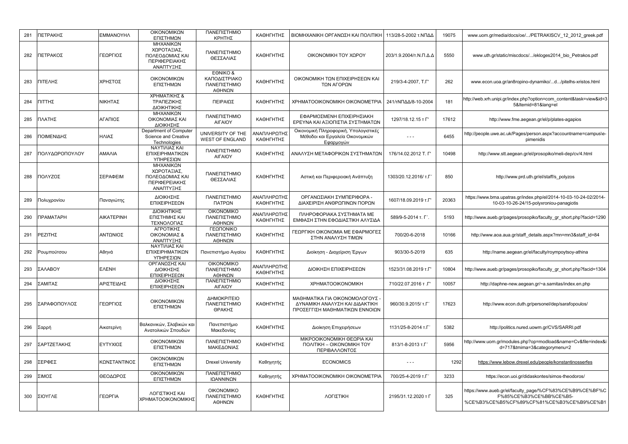| 281 | ΠΕΤΡΑΚΗΣ         | <b>EMMANOYHA</b>  | ΟΙΚΟΝΟΜΙΚΩΝ<br>ΕΠΙΣΤΗΜΩΝ                                                  | ΠΑΝΕΠΙΣΤΗΜΙΟ<br>ΚΡΗΤΗΣ                              | ΚΑΘΗΓΗΤΗΣ                | ΒΙΟΜΗΧΑΝΙΚΗ ΟΡΓΑΝΩΣΗ ΚΑΙ ΠΟΛΙΤΙΚΗ                                                                 | 113/28-5-2002 τ.ΝΠΔΔ   | 19075 | www.uom.gr/media/docs/oe//PETRAKISCV 12 2012 greek.pdf                                                                            |
|-----|------------------|-------------------|---------------------------------------------------------------------------|-----------------------------------------------------|--------------------------|---------------------------------------------------------------------------------------------------|------------------------|-------|-----------------------------------------------------------------------------------------------------------------------------------|
| 282 | ΠΕΤΡΑΚΟΣ         | ΓΕΩΡΓΙΟΣ          | ΜΗΧΑΝΙΚΩΝ<br>ΧΩΡΟΤΑΞΙΑΣ,<br>ΠΟΛΕΟΔΟΜΙΑΣ ΚΑΙ<br>ΠΕΡΙΦΕΡΕΙΑΚΗΣ<br>ΑΝΑΠΤΥΞΗΣ | ΠΑΝΕΠΙΣΤΗΜΙΟ<br>ΘΕΣΣΑΛΙΑΣ                           | ΚΑΘΗΓΗΤΗΣ                | ΟΙΚΟΝΟΜΙΚΗ ΤΟΥ ΧΩΡΟΥ                                                                              | 203/1.9.2004/τ.Ν.Π.Δ.Δ | 5550  | www.uth.gr/static/miscdocs//ekloges2014 bio Petrakos.pdf                                                                          |
| 283 | ΠΙΤΕΛΗΣ          | ΧΡΗΣΤΟΣ           | ΟΙΚΟΝΟΜΙΚΩΝ<br>ΕΠΙΣΤΗΜΩΝ                                                  | EONIKO &<br>ΚΑΠΟΔΙΣΤΡΙΑΚΟ<br>ΠΑΝΕΠΙΣΤΗΜΙΟ<br>ΑΘΗΝΩΝ | ΚΑΘΗΓΗΤΗΣ                | ΟΙΚΟΝΟΜΙΚΗ ΤΩΝ ΕΠΙΧΕΙΡΗΣΕΩΝ ΚΑΙ<br>ΤΩΝ ΑΓΟΡΩΝ                                                     | 219/3-4-2007. T.F'     | 262   | www.econ.uoa.gr/an8ropino-dynamiko/d/pitelhs-xristos.html                                                                         |
| 284 | ΠΙΤΤΗΣ           | ΝΙΚΗΤΑΣ           | ΧΡΗΜΑΤ/ΚΗΣ &<br>ΤΡΑΠΕΖΙΚΗΣ<br>ΔΙΟΙΚΗΤΙΚΗΣ                                 | ΠΕΙΡΑΙΩΣ                                            | ΚΑΘΗΓΗΤΗΣ                | XPHMATOOIKONOMIKH OIKONOMETPIA                                                                    | 241/τΝΠΔΔ/8-10-2004    | 181   | http://web.xrh.unipi.gr/index.php?option=com content&task=view&id=3<br>5&Itemid=81⟨=el                                            |
| 285 | ΠΛΑΤΗΣ           | ΑΓΑΠΙΟΣ           | ΜΗΧΑΝΙΚΩΝ<br>ΟΙΚΟΝΟΜΙΑΣ ΚΑΙ<br>ΔΙΟΙΚΗΣΗΣ                                  | ΠΑΝΕΠΙΣΤΗΜΙΟ<br><b>AIFAIOY</b>                      | ΚΑΘΗΓΗΤΗΣ                | ΕΦΑΡΜΟΣΜΕΝΗ ΕΠΙΧΕΙΡΗΣΙΑΚΗ<br>ΕΡΕΥΝΑ ΚΑΙ ΑΞΙΟΠΙΣΤΙΑ ΣΥΣΤΗΜΑΤΩΝ                                     | 1297/18.12.15 т Г'     | 17612 | http://www.fme.aegean.gr/el/p/plates-agapios                                                                                      |
| 286 | ΠΟΙΜΕΝΙΔΗΣ       | ΗΛΙΑΣ             | Department of Computer<br>Science and Creative<br>Technologies            | UNIVERSITY OF THE<br><b>WEST OF ENGLAND</b>         | ΑΝΑΠΛΗΡΩΤΗΣ<br>ΚΑΘΗΓΗΤΗΣ | Οικονομική Πληροφορική, Υπολογιστικές<br>Μέθοδοι και Εργαλεία Οικονομικών<br>Εφαρμογών            | $- - -$                | 6455  | http://people.uwe.ac.uk/Pages/person.aspx?accountname=campus\e-<br>pimenidis                                                      |
| 287 | ΠΟΛΥΔΩΡΟΠΟΥΛΟΥ   | ΑΜΑΛΙΑ            | ΝΑΥΤΙΛΙΑΣ ΚΑΙ<br>ΕΠΙΧΕΙΡΗΜΑΤΙΚΩΝ<br>ΥΠΗΡΕΣΙΩΝ                             | ΠΑΝΕΠΙΣΤΗΜΙΟ<br><b>AIFAIOY</b>                      | ΚΑΘΗΓΗΤΗΣ                | ΑΝΑΛΥΣΗ ΜΕΤΑΦΟΡΙΚΩΝ ΣΥΣΤΗΜΑΤΩΝ                                                                    | 176/14.02.2012 T. F    | 10498 | http://www.stt.aegean.gr/el/prosopiko/meli-dep/cv/4.html                                                                          |
| 288 | ΠΟΛΥΖΟΣ          | ΣΕΡΑΦΕΙΜ          | ΜΗΧΑΝΙΚΩΝ<br>ΧΩΡΟΤΑΞΙΑΣ,<br>ΠΟΛΕΟΔΟΜΙΑΣ ΚΑΙ<br>ΠΕΡΙΦΕΡΕΙΑΚΗΣ<br>ΑΝΑΠΤΥΞΗΣ | ΠΑΝΕΠΙΣΤΗΜΙΟ<br>ΘΕΣΣΑΛΙΑΣ                           | ΚΑΘΗΓΗΤΗΣ                | Αστική και Περιφερειακή Ανάπτυξη                                                                  | 1303/20.12.2016/ т.Г   | 850   | http://www.prd.uth.gr/el/staff/s polyzos                                                                                          |
| 289 | Πολυχρονίου      | Παναγιώτης        | ΔΙΟΙΚΗΣΗΣ<br>ΕΠΙΧΕΙΡΗΣΕΩΝ                                                 | ΠΑΝΕΠΙΣΤΗΜΙΟ<br>ΠΑΤΡΩΝ                              | ΑΝΑΠΛΗΡΩΤΗΣ<br>ΚΑΘΗΓΗΤΗΣ | ΟΡΓΑΝΩΣΙΑΚΗ ΣΥΜΠΕΡΙΦΟΡΑ -<br>ΔΙΑΧΕΙΡΙΣΗ ΑΝΘΡΩΠΙΝΩΝ ΠΟΡΩΝ                                          | 1607/18.09.2019 т.Г    | 20363 | https://www.bma.upatras.gr/index.php/el/2014-10-03-10-24-02/2014-<br>10-03-10-26-24/15-polyxroniou-panagiotis                     |
| 290 | <b>ПРАМАТАРН</b> | <b>AIKATEPINH</b> | ΔΙΟΙΚΗΤΙΚΗΣ<br>ΕΠΙΣΤΗΜΗΣ ΚΑΙ<br>ΤΕΧΝΟΛΟΓΙΑΣ                               | <b>OIKONOMIKO</b><br>ΠΑΝΕΠΙΣΤΗΜΙΟ<br>ΑΘΗΝΩΝ         | ΑΝΑΠΛΗΡΩΤΗΣ<br>ΚΑΘΗΓΗΤΗΣ | ΠΛΗΡΟΦΟΡΙΑΚΑ ΣΥΣΤΗΜΑΤΑ ΜΕ<br>ΕΜΦΑΣΗ ΣΤΗΝ ΕΦΟΔΙΑΣΤΙΚΗ ΑΛΥΣΙΔΑ                                      | 589/9-5-2014 т. Г'.    | 5193  | http://www.aueb.gr/pages/prosopiko/faculty_gr_short.php?facid=1290                                                                |
| 291 | ΡΕΖΙΤΗΣ          | ΑΝΤΩΝΙΟΣ          | ΑΓΡΟΤΙΚΗΣ<br>ΟΙΚΟΝΟΜΙΑΣ &<br>ΑΝΑΠΤΥΞΗΣ                                    | ΓΕΩΠΟΝΙΚΟ<br>ΠΑΝΕΠΙΣΤΗΜΙΟ<br>ΑΘΗΝΩΝ                 | ΚΑΘΗΓΗΤΗΣ                | ΓΕΩΡΓΙΚΗ ΟΙΚΟΝΟΜΙΑ ΜΕ ΕΦΑΡΜΟΓΕΣ<br>ΣΤΗΝ ΑΝΑΛΥΣΗ ΤΙΜΩΝ                                             | 700/20-6-2018          | 10166 | http://www.aoa.aua.gr/staff_details.aspx?mn=mn3&staff_id=84                                                                       |
| 292 | Ρουμπούτσου      | Αθηνά             | ΝΑΥΤΙΛΙΑΣ ΚΑΙ<br>ΕΠΙΧΕΙΡΗΜΑΤΙΚΩΝ<br>ΥΠΗΡΕΣΙΩΝ                             | Πανεπιστήμιο Αιγαίου                                | ΚΑΘΗΓΗΤΗΣ                | Διοίκηση - Διαχείριση Έργων                                                                       | 903/30-5-2019          | 635   | http://name.aegean.gr/el/faculty/roympoytsoy-athina                                                                               |
| 293 | ΣΑΛΑΒΟΥ          | <b>EVENH</b>      | ΟΡΓΑΝΩΣΗΣ ΚΑΙ<br>ΔΙΟΙΚΗΣΗΣ<br>ΕΠΙΧΕΙΡΗΣΕΩΝ                                | <b>OIKONOMIKO</b><br>ΠΑΝΕΠΙΣΤΗΜΙΟ<br>ΑΘΗΝΩΝ         | ΑΝΑΠΛΗΡΩΤΗΣ<br>ΚΑΘΗΓΗΤΗΣ | ΔΙΟΙΚΗΣΗ ΕΠΙΧΕΙΡΗΣΕΩΝ                                                                             | 1523/31.08.2019 T.F    | 10804 | http://www.aueb.gr/pages/prosopiko/faculty gr short.php?facid=1304                                                                |
| 294 | ΣΑΜΙΤΑΣ          | ΑΡΙΣΤΕΙΔΗΣ        | ΔΙΟΙΚΗΣΗΣ<br>ΕΠΙΧΕΙΡΗΣΕΩΝ                                                 | ΠΑΝΕΠΙΣΤΗΜΙΟ<br><b>AIFAIOY</b>                      | ΚΑΘΗΓΗΤΗΣ                | <b>XPHMATOOIKONOMIKH</b>                                                                          | 710/22.07.2016 T. L'   | 10057 | http://daphne-new.aegean.gr/~a.samitas/index.en.php                                                                               |
| 295 | ΣΑΡΑΦΟΠΟΥΛΟΣ     | ΓΕΩΡΓΙΟΣ          | ΟΙΚΟΝΟΜΙΚΩΝ<br>ΕΠΙΣΤΗΜΩΝ                                                  | ΔΗΜΟΚΡΙΤΕΙΟ<br>ΠΑΝΕΠΙΣΤΗΜΙΟ<br>ΘΡΑΚΗΣ               | ΚΑΘΗΓΗΤΗΣ                | ΜΑΘΗΜΑΤΙΚΑ ΓΙΑ ΟΙΚΟΝΟΜΟΛΟΓΟΥΣ<br>ΔΥΝΑΜΙΚΗ ΑΝΑΛΥΣΗ ΚΑΙ ΔΙΔΑΚΤΙΚΗ<br>ΠΡΟΣΕΓΓΙΣΗ ΜΑΘΗΜΑΤΙΚΩΝ ΕΝΝΟΙΩΝ | 960/30.9.2015/ T.F     | 17623 | http://www.econ.duth.gr/personel/dep/sarafopoulos/                                                                                |
| 296 | Σαρρή            | Αικατερίνη        | Βαλκανικών, Σλαβικών και<br>Ανατολικών Σπουδών                            | Πανεπιστήμιο<br>Μακεδονίας                          | ΚΑΘΗΓΗΤΗΣ                | Διοίκηση Επιχειρήσεων                                                                             | 1131/25-8-2014 т.Г     | 5382  | http://politics.nured.uowm.gr/CVS/SARRI.pdf                                                                                       |
| 297 | ΣΑΡΤΖΕΤΑΚΗΣ      | ΕΥΤΥΧΙΟΣ          | ΟΙΚΟΝΟΜΙΚΩΝ<br>ΕΠΙΣΤΗΜΩΝ                                                  | ΠΑΝΕΠΙΣΤΗΜΙΟ<br>ΜΑΚΕΔΟΝΙΑΣ                          | ΚΑΘΗΓΗΤΗΣ                | ΜΙΚΡΟΟΙΚΟΝΟΜΙΚΗ ΘΕΩΡΙΑ ΚΑΙ<br><b><i>NONITIKH - OIKONOMIKH TOY</i></b><br>ΠΕΡΙΒΑΛΛΟΝΤΟΣ            | 813/1-8-2013 T.F       | 5956  | http://www.uom.gr/modules.php?op=modload&name=Cv&file=index&i<br>d=717&tmima=3&categorymenu=2                                     |
| 298 | ΣΕΡΦΕΣ           | ΚΩΝΣΤΑΝΤΙΝΟΣ      | ΟΙΚΟΝΟΜΙΚΩΝ<br>ΕΠΙΣΤΗΜΩΝ                                                  | <b>Drexel University</b>                            | Καθηγητής                | <b>ECONOMICS</b>                                                                                  | $- - -$                | 1292  | https://www.lebow.drexel.edu/people/konstantinosserfes                                                                            |
| 299 | ΣΙΜΟΣ            | ΘΕΟΔΩΡΟΣ          | ΟΙΚΟΝΟΜΙΚΩΝ<br>ΕΠΙΣΤΗΜΩΝ                                                  | ΠΑΝΕΠΙΣΤΗΜΙΟ<br>ΙΩΑΝΝΙΝΩΝ                           | Καθηγητής                | XPHMATOOIKONOMIKH OIKONOMETPIA                                                                    | 700/25-4-2019 T.F      | 3233  | https://econ.uoi.gr/didaskontes/simos-theodoros/                                                                                  |
| 300 | ΣΙΟΥΓΛΕ          | ΓΕΩΡΓΙΑ           | ΛΟΓΙΣΤΙΚΗΣ ΚΑΙ<br>ΧΡΗΜΑΤΟΟΙΚΟΝΟΜΙΚΗΣ                                      | <b>OIKONOMIKO</b><br>ΠΑΝΕΠΙΣΤΗΜΙΟ<br>ΑΘΗΝΩΝ         | ΚΑΘΗΓΗΤΗΣ                | ΛΟΓΙΣΤΙΚΗ                                                                                         | 2195/31.12.2020 т Г    | 325   | https://www.aueb.gr/el/faculty_page/%CF%83%CE%B9%CE%BF%C<br>F%85%CE%B3%CE%BB%CE%B5-<br>%CE%B3%CE%B5%CF%89%CF%81%CE%B3%CE%B9%CE%B1 |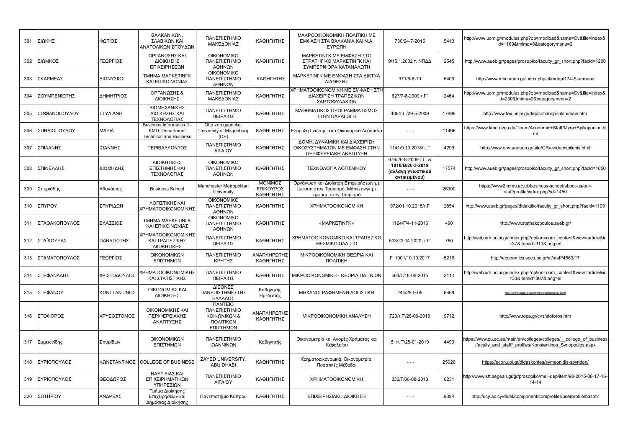| 301 | ΣΙΩΚΗΣ        | ΦΩΤΙΟΣ       | ΒΑΛΚΑΝΙΚΩΝ.<br>ΣΛΑΒΙΚΩΝ ΚΑΙ<br>ΑΝΑΤΟΛΙΚΩΝ ΣΠΟΥΔΩΝ                             | ΠΑΝΕΠΙΣΤΗΜΙΟ<br>ΜΑΚΕΔΟΝΙΑΣ                                                              | ΚΑΘΗΓΗΤΗΣ                         | <b>MAKPOOIKONOMIKH NOAITIKH ME</b><br>ΕΜΦΑΣΗ ΣΤΑ ΒΑΛΚΑΝΙΑ ΚΑΙ Ν.Α.<br>ΕΥΡΩΠΗ                         | 730/24-7-2015                                                                 | 5413  | http://www.uom.gr/modules.php?op=modload&name=Cv&file=index&i<br>d=1169&tmima=8&categorymenu=2                                     |
|-----|---------------|--------------|-------------------------------------------------------------------------------|-----------------------------------------------------------------------------------------|-----------------------------------|------------------------------------------------------------------------------------------------------|-------------------------------------------------------------------------------|-------|------------------------------------------------------------------------------------------------------------------------------------|
| 302 | ΣΙΩΜΚΟΣ       | ΓΕΩΡΓΙΟΣ     | ΟΡΓΑΝΩΣΗΣ ΚΑΙ<br>ΔΙΟΙΚΗΣΗΣ<br>ΕΠΙΧΕΙΡΗΣΕΩΝ                                    | <b>OIKONOMIKO</b><br>ΠΑΝΕΠΙΣΤΗΜΙΟ<br>ΑΘΗΝΩΝ                                             | ΚΑΘΗΓΗΤΗΣ                         | ΜΑΡΚΕΤΙΝΓΚ ΜΕ ΕΜΦΑΣΗ ΣΤΟ<br>ΣΤΡΑΤΗΓΙΚΟ ΜΑΡΚΕΤΙΝΓΚ ΚΑΙ<br>ΣΥΜΠΕΡΙΦΟΡΑ ΚΑΤΑΝΑΛΩΤΗ                      | 9/15.1.2002 τ. ΝΠΔΔ                                                           | 2545  | http://www.aueb.gr/pages/prosopiko/faculty_gr_short.php?facid=1200                                                                 |
| 303 | ΣΚΑΡΜΕΑΣ      | ΔΙΟΝΥΣΙΟΣ    | <b>TMHMA MAPKETINFK</b><br>ΚΑΙ ΕΠΙΚΟΙΝΩΝΙΑΣ                                   | <b>OIKONOMIKO</b><br>ΠΑΝΕΠΙΣΤΗΜΙΟ<br>ΑΘΗΝΩΝ                                             | ΚΑΘΗΓΗΤΗΣ                         | ΜΑΡΚΕΤΙΝΓΚ ΜΕ ΕΜΦΑΣΗ ΣΤΑ ΔΙΚΤΥΑ<br>ΔΙΑΘΕΣΗΣ                                                          | 971/6-6-19                                                                    | 5409  | http://www.mbc.aueb.gr/index.php/el/mdep/174-Skarmeas                                                                              |
| 304 | ΣΟΥΜΠΕΝΙΩΤΗΣ  | ΔΗΜΗΤΡΙΟΣ    | ΟΡΓΑΝΩΣΗΣ &<br>ΔΙΟΙΚΗΣΗΣ                                                      | ΠΑΝΕΠΙΣΤΗΜΙΟ<br>ΜΑΚΕΔΟΝΙΑΣ                                                              | ΚΑΘΗΓΗΤΗΣ                         | ΧΡΗΜΑΤΟΟΙΚΟΝΟΜΙΚΗ ΜΕ ΕΜΦΑΣΗ ΣΤΗ<br>ΔΙΑΧΕΙΡΙΣΗ ΤΡΑΠΕΖΙΚΩΝ<br>ΧΑΡΤΟΦΥΛΑΚΙΩΝ                            | 627/7-8-2009 т.Г                                                              | 2464  | http://www.uom.gr/modules.php?op=modload&name=Cv&file=index&i<br>d=230&tmima=2&categorymenu=2                                      |
| 305 | ΣΟΦΙΑΝΟΠΟΥΛΟΥ | ΣΤΥΛΙΑΝΗ     | ΒΙΟΜΗΧΑΝΙΚΗΣ<br><b>ΔΙΟΙΚΗΣΗΣ ΚΑΙ</b><br>ΤΕΧΝΟΛΟΓΙΑΣ                           | ΠΑΝΕΠΙΣΤΗΜΙΟ<br>ΠΕΙΡΑΙΩΣ                                                                | ΚΑΘΗΓΗΤΗΣ                         | ΜΑΘΗΜΑΤΙΚΟΣ ΠΡΟΓΡΑΜΜΑΤΙΣΜΟΣ<br>ΣΤΗΝ ΠΑΡΑΓΩΓΗ                                                         | 408/T. L'/29-5-2009                                                           | 17698 | http://www.tex.unipi.gr/dep/sofianopoulou/main.htm                                                                                 |
| 306 | ΣΠΗΛΙΟΠΟΥΛΟΥ  | <b>MAPIA</b> | Business Informatics II -<br>KMD. Department<br><b>Technical and Business</b> | Otto von guericke-<br>University of Magdeburg<br>(DE)                                   | ΚΑΘΗΓΗΤΗΣ                         | Εξόρυξη Γνώσης από Οικονομικά Δεδομένα                                                               | $\sim$ $\sim$                                                                 | 11496 | https://www.kmd.ovgu.de/Team/Academic+Staff/Myra+Spiliopoulou.ht<br>ml                                                             |
| 307 | ΣΠΙΛΑΝΗΣ      | ΙΩΑΝΝΗΣ      | ΠΕΡΙΒΑΛΛΟΝΤΟΣ                                                                 | ΠΑΝΕΠΙΣΤΗΜΙΟ<br>ΑΙΓΑΙΟΥ                                                                 | ΚΑΘΗΓΗΤΗΣ                         | ΔΟΜΗ, ΔΥΝΑΜΙΚΗ ΚΑΙ ΔΙΑΧΕΙΡΙΣΗ<br>ΟΙΚΟΣΥΣΤΗΜΑΤΩΝ ΜΕ ΕΜΦΑΣΗ ΣΤΗΝ<br>ΠΕΡΙΦΕΡΕΙΑΚΗ ΑΝΑΠΤΥΞΗ              | 1141/9.10.2018/т. Г                                                           | 4299  | http://www.env.aegean.gr/site/GR/cv/dep/spilanis.html                                                                              |
| 308 | ΣΠΙΝΕΛΛΗΣ     | ΔΙΟΜΗΔΗΣ     | ΔΙΟΙΚΗΤΙΚΗΣ<br>ΕΠΙΣΤΗΜΗΣ ΚΑΙ<br>ΤΕΧΝΟΛΟΓΙΑΣ                                   | <b>OIKONOMIKO</b><br>ΠΑΝΕΠΙΣΤΗΜΙΟ<br>ΑΘΗΝΩΝ                                             | ΚΑΘΗΓΗΤΗΣ                         | ΤΕΧΝΟΛΟΓΙΑ ΛΟΓΙΣΜΙΚΟΥ                                                                                | 676/26-8-2009 т.Г &<br>1010/B/26-3-2019<br>(αλλαγη γνωστικού<br>αντικειμένου) | 17574 | http://www.aueb.gr/pages/prosopiko/faculty gr short.php?facid=1050                                                                 |
| 309 | Σπυριάδης     | Αθανάσιος    | <b>Business School</b>                                                        | Manchester Metropolitan<br>University                                                   | ΜΟΝΙΜΟΣ<br>ΕΠΙΚΟΥΡΟΣ<br>ΚΑΘΗΓΗΤΗΣ | Οργάνωση και Διοίκηση Επιχειρήσεων με<br>έμφαση στον Τουρισμό, Μάρκετινγκ με<br>έμφαση στον Τουρισμό | $- - -$                                                                       | 26300 | https://www2.mmu.ac.uk/business-school/about-us/our-<br>staff/profile/index.php?id=1450                                            |
| 310 | ΣΠΥΡΟΥ        | ΣΠΥΡΙΔΩΝ     | ΛΟΓΙΣΤΙΚΗΣ ΚΑΙ<br>ΧΡΗΜΑΤΟΟΙΚΟΝΟΜΙΚΗΣ                                          | <b>OIKONOMIKO</b><br>ΠΑΝΕΠΙΣΤΗΜΙΟ<br>ΑΘΗΝΩΝ                                             | ΚΑΘΗΓΗΤΗΣ                         | <b>XPHMATOOIKONOMIKH</b>                                                                             | 972/01.10.2015/т.Г                                                            | 2854  | http://www.aueb.gr/pages/didaktiko/faculty gr short.php?facid=1109                                                                 |
| 311 | ΣΤΑΘΑΚΟΠΟΥΛΟΣ | ΒΛΑΣΣΙΟΣ     | <b>TMHMA MAPKETINFK</b><br>ΚΑΙ ΕΠΙΚΟΙΝΩΝΙΑΣ                                   | <b>OIKONOMIKO</b><br>ΠΑΝΕΠΙΣΤΗΜΙΟ<br>ΑΘΗΝΩΝ                                             | ΚΑΘΗΓΗΤΗΣ                         | «MAPKETINFK»                                                                                         | 1124/Г/4-11-2016                                                              | 490   | http://www.stathakopoulos.aueb.gr/                                                                                                 |
| 312 | ΣΤΑΪΚΟΥΡΑΣ    | ΠΑΝΑΓΙΩΤΗΣ   | ΧΡΗΜΑΤΟΟΙΚΟΝΟΜΙΚΗΣ<br>ΚΑΙ ΤΡΑΠΕΖΙΚΗΣ<br>ΔΙΟΙΚΗΤΙΚΗΣ                           | ΠΑΝΕΠΙΣΤΗΜΙΟ<br>ΠΕΙΡΑΙΩΣ                                                                | ΚΑΘΗΓΗΤΗΣ                         | ΧΡΗΜΑΤΟΟΙΚΟΝΟΜΙΚΟ ΚΑΙ ΤΡΑΠΕΖΙΚΟ<br>ΘΕΣΜΙΚΟ ΠΛΑΙΣΙΟ                                                   | 503/22.04.2020, т.Г'                                                          | 760   | http://web.xrh.unipi.gr/index.php?option=com content&view=article&id<br>=37&Itemid=311⟨=el                                         |
| 313 | ΣΤΑΜΑΤΟΠΟΥΛΟΣ | ΓΕΩΡΓΙΟΣ     | ΟΙΚΟΝΟΜΙΚΩΝ<br>ΕΠΙΣΤΗΜΩΝ                                                      | ΠΑΝΕΠΙΣΤΗΜΙΟ<br>ΚΡΗΤΗΣ                                                                  | ΑΝΑΠΛΗΡΩΤΗΣ<br>ΚΑΘΗΓΗΤΗΣ          | ΜΙΚΡΟΟΙΚΟΝΟΜΙΚΗ ΘΕΩΡΙΑ ΚΑΙ<br>ΠΟΛΙΤΙΚΗ                                                               | Г' 1001/10.10.2017                                                            | 5216  | http://economics.soc.uoc.gr/el/staff/4563/17                                                                                       |
| 314 | ΣΤΕΦΑΝΑΔΗΣ    | ΧΡΙΣΤΟΔΟΥΛΟΣ | ΧΡΗΜΑΤΟΟΙΚΟΝΟΜΙΚΗΣ<br>ΚΑΙ ΣΤΑΤΙΣΤΙΚΗΣ                                         | ΠΑΝΕΠΙΣΤΗΜΙΟ<br>ΠΕΙΡΑΙΩΣ                                                                | ΚΑΘΗΓΗΤΗΣ                         | ΜΙΚΡΟΟΙΚΟΝΟΜΙΚΗ - ΘΕΩΡΙΑ ΠΑΙΓΝΙΩΝ                                                                    | 564/Г/18-06-2015                                                              | 2114  | http://web.xrh.unipi.gr/index.php?option=com_content&view=article&id<br>=33&Itemid=307⟨=el                                         |
| 315 | ΣΤΕΦΑΝΟΥ      | ΚΩΝΣΤΑΝΤΙΝΟΣ | ΟΙΚΟΝΟΜΙΑΣ ΚΑΙ<br><b>ΔΙΟΙΚΗΣΗΣ</b>                                            | ΔΙΕΘΝΕΣ<br>ΠΑΝΕΠΙΣΤΗΜΙΟ ΤΗΣ<br>ΕΛΛΑΔΟΣ                                                  | Καθηγητής<br>Ημεδαπής             | ΜΗΧΑΝΟΓΡΑΦΗΜΕΝΗ ΛΟΓΙΣΤΙΚΗ                                                                            | 244/28-9-05                                                                   | 6869  | http://www.mba.teithe.gr/personel/stefanou.html                                                                                    |
| 316 | ΣΤΟΦΟΡΟΣ      | ΧΡΥΣΟΣΤΟΜΟΣ  | ΟΙΚΟΝΟΜΙΚΗΣ ΚΑΙ<br>ΠΕΡΙΦΕΡΕΙΑΚΗΣ<br>ΑΝΑΠΤΥΞΗΣ                                 | <b><i><u>ITANTEIO</u></i></b><br>ΠΑΝΕΠΙΣΤΗΜΙΟ<br>ΚΟΙΝΩΝΙΚΩΝ &<br>ΠΟΛΙΤΙΚΩΝ<br>ΕΠΙΣΤΗΜΩΝ | ΑΝΑΠΛΗΡΩΤΗΣ<br>ΚΑΘΗΓΗΤΗΣ          | ΜΙΚΡΟΟΙΚΟΝΟΜΙΚΗ ΑΝΑΛΥΣΗ                                                                              | 723/T. ['/26-06-2018                                                          | 9712  | http://www.topa.gr/cvs/stoforos.htm                                                                                                |
| 317 | Συμεωνίδης    | Σπυρίδων     | ΟΙΚΟΝΟΜΙΚΩΝ<br>ΕΠΙΣΤΗΜΩΝ                                                      | ΠΑΝΕΠΙΣΤΗΜΙΟ<br>ΙΩΑΝΝΙΝΩΝ                                                               | Καθηγητής                         | Οικονομετρία και Αγορές Χρήματος και<br>Κεφαλαίου                                                    | 51/T. T'/25-01-2019                                                           | 4493  | https://www.zu.ac.ae/main/en/colleges/colleges/__college_of_business<br>/faculty and staff/ profiles/Konstantinos Syriopoulos.aspx |
| 318 | ΣΥΡΙΟΠΟΥΛΟΣ   | ΚΩΝΣΤΑΝΤΙΝΟΣ | <b>COLLEGE OF BUSINESS</b>                                                    | ZAYED UNIVERSITY,<br><b>ABU DHABI</b>                                                   | ΚΑΘΗΓΗΤΗΣ                         | Χρηματοοικονομικά, Οικονομετρία,<br>Ποσοτικές Μέθοδοι                                                | $- - -$                                                                       | 25926 | https://econ.uoi.gr/didaskontes/symeonidis-spyridon/                                                                               |
| 319 | ΣΥΡΙΟΠΟΥΛΟΣ   | ΘΕΟΔΩΡΟΣ     | ΝΑΥΤΙΛΙΑΣ ΚΑΙ<br>ΕΠΙΧΕΙΡΗΜΑΤΙΚΩΝ<br>ΥΠΗΡΕΣΙΩΝ                                 | ΠΑΝΕΠΙΣΤΗΜΙΟ<br>ΑΙΓΑΙΟΥ                                                                 | ΚΑΘΗΓΗΤΗΣ                         | <b>XPHMATOOIKONOMIKH</b>                                                                             | 830/Г/06-08-2013                                                              | 6231  | -17-16.http://www.stt.aegean.gr/gr/prosopiko/meli-dep/item/90-2015-08-17<br>$14 - 14$                                              |
| 320 | ΣΩΤΗΡΙΟΥ      | ΑΝΔΡΕΑΣ      | Τμήμα Διοίκησης<br>Επιχειρήσεων και<br>Δημόσιας Διοίκησης                     | Πανεπιστήμιο Κύπρου                                                                     | ΚΑΘΗΓΗΤΗΣ                         | ΕΠΙΧΕΙΡΗΣΙΑΚΗ ΔΙΟΙΚΗΣΗ                                                                               | $- - -$                                                                       | 9894  | http://ucy.ac.cy/dir/el/component/comprofiler/userprofile/basotir                                                                  |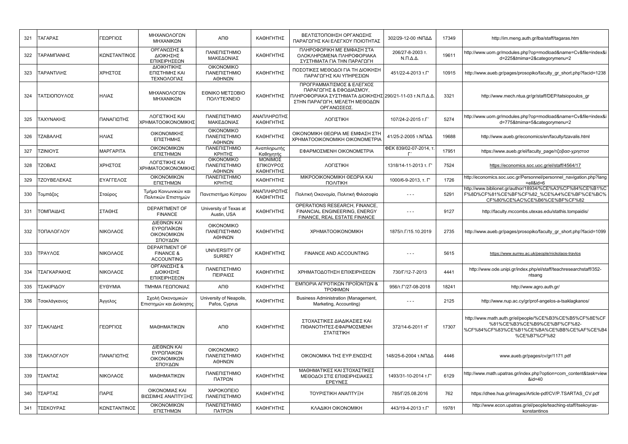| 321 | ΤΑΓΑΡΑΣ      | ΓΕΩΡΓΙΟΣ     | ΜΗΧΑΝΟΛΟΓΩΝ<br>ΜΗΧΑΝΙΚΩΝ                                          | ΑΠΘ                                         | ΚΑΘΗΓΗΤΗΣ                         | ΒΕΛΤΙΣΤΟΠΟΙΗΣΗ ΟΡΓΑΝΩΣΗΣ<br>ΠΑΡΑΓΩΓΗΣ ΚΑΙ ΕΛΕΓΧΟΥ ΠΟΙΟΤΗΤΑΣ                                                                                                     | 302/29-12-00 ΤΝΠΔΔ                         | 17349 | http://im.meng.auth.gr/lba/staff/tagaras.htm                                                                                                          |
|-----|--------------|--------------|-------------------------------------------------------------------|---------------------------------------------|-----------------------------------|-----------------------------------------------------------------------------------------------------------------------------------------------------------------|--------------------------------------------|-------|-------------------------------------------------------------------------------------------------------------------------------------------------------|
| 322 | ΤΑΡΑΜΠΑΝΗΣ   | ΚΩΝΣΤΑΝΤΙΝΟΣ | ΟΡΓΑΝΩΣΗΣ &<br>ΔΙΟΙΚΗΣΗΣ<br>ΕΠΙΧΕΙΡΗΣΕΩΝ                          | ΠΑΝΕΠΙΣΤΗΜΙΟ<br>ΜΑΚΕΔΟΝΙΑΣ                  | ΚΑΘΗΓΗΤΗΣ                         | ΠΛΗΡΟΦΟΡΙΚΗ ΜΕ ΕΜΦΑΣΗ ΣΤΑ<br>ΟΛΟΚΛΗΡΩΜΕΝΑ ΠΛΗΡΟΦΟΡΙΑΚΑ<br>ΣΥΣΤΗΜΑΤΑ ΓΙΑ ΤΗΝ ΠΑΡΑΓΩΓΗ                                                                            | 206/27-8-2003 т.<br>$N.\Pi.\Delta.\Delta.$ | 19611 | http://www.uom.gr/modules.php?op=modload&name=Cv&file=index&i<br>d=225&tmima=2&categorymenu=2                                                         |
| 323 | ΤΑΡΑΝΤΙΛΗΣ   | ΧΡΗΣΤΟΣ      | ΔΙΟΙΚΗΤΙΚΗΣ<br>ΕΠΙΣΤΗΜΗΣ ΚΑΙ<br>ΤΕΧΝΟΛΟΓΙΑΣ                       | <b>OIKONOMIKO</b><br>ΠΑΝΕΠΙΣΤΗΜΙΟ<br>ΑΘΗΝΩΝ | ΚΑΘΗΓΗΤΗΣ                         | ΠΟΣΟΤΙΚΕΣ ΜΕΘΟΔΟΙ ΓΙΑ ΤΗ ΔΙΟΙΚΗΣΗ<br>ΠΑΡΑΓΩΓΗΣ ΚΑΙ ΥΠΗΡΕΣΙΩΝ                                                                                                    | 451/22-4-2013 T.F                          | 10915 | http://www.aueb.gr/pages/prosopiko/faculty gr short.php?facid=1238                                                                                    |
| 324 | ΤΑΤΣΙΟΠΟΥΛΟΣ | ΗΛΙΑΣ        | ΜΗΧΑΝΟΛΟΓΩΝ<br>ΜΗΧΑΝΙΚΩΝ                                          | ΕΘΝΙΚΟ ΜΕΤΣΟΒΙΟ<br>ΠΟΛΥΤΕΧΝΕΙΟ              | ΚΑΘΗΓΗΤΗΣ                         | ΠΡΟΓΡΑΜΜΑΤΙΣΜΟΣ & ΕΛΕΓΧΟΣ<br>ΠΑΡΑΓΩΓΗΣ & ΕΦΟΔΙΑΣΜΟΥ,<br>ΠΛΗΡΟΦΟΡΙΑΚΑ ΣΥΣΤΗΜΑΤΑ ΔΙΟΙΚΗΣΗΣ 290/21-11-03 τ.Ν.Π.Δ.Δ<br>ΣΤΗΝ ΠΑΡΑΓΩΓΗ, ΜΕΛΕΤΗ ΜΕΘΟΔΩΝ<br>ΟΡΓΑΝΩΣΕΩΣ. |                                            | 3321  | http://www.mech.ntua.gr/gr/staff/DEP/tatsiopoulos_gr                                                                                                  |
| 325 | ΤΑΧΥΝΑΚΗΣ    | ΠΑΝΑΓΙΩΤΗΣ   | ΛΟΓΙΣΤΙΚΗΣ ΚΑΙ<br>ΧΡΗΜΑΤΟΟΙΚΟΝΟΜΙΚΗΣ                              | ΠΑΝΕΠΙΣΤΗΜΙΟ<br>ΜΑΚΕΔΟΝΙΑΣ                  | ΑΝΑΠΛΗΡΩΤΗΣ<br>ΚΑΘΗΓΗΤΗΣ          | ΛΟΓΙΣΤΙΚΗ                                                                                                                                                       | 107/24-2-2015 т.Г                          | 5274  | http://www.uom.gr/modules.php?op=modload&name=Cv&file=index&i<br>d=775&tmima=5&categorymenu=2                                                         |
| 326 | ΤΖΑΒΑΛΗΣ     | ΗΛΙΑΣ        | ΟΙΚΟΝΟΜΙΚΗΣ<br>ΕΠΙΣΤΗΜΗΣ                                          | <b>OIKONOMIKO</b><br>ΠΑΝΕΠΙΣΤΗΜΙΟ<br>ΑΘΗΝΩΝ | ΚΑΘΗΓΗΤΗΣ                         | ΟΙΚΟΝΟΜΙΚΗ ΘΕΩΡΙΑ ΜΕ ΕΜΦΑΣΗ ΣΤΗ<br>XPHMATOOIKONOMIKH OIKONOMETPIA                                                                                               | 41/25-2-2005 τ.ΝΠΔΔ                        | 19688 | http://www.aueb.gr/economics/en/faculty/tzavalis.html                                                                                                 |
| 327 | ΤΖΙΝΙΟΥΣ     | ΜΑΡΓΑΡΙΤΑ    | ΟΙΚΟΝΟΜΙΚΩΝ<br>ΕΠΙΣΤΗΜΩΝ                                          | ΠΑΝΕΠΙΣΤΗΜΙΟ<br>ΚΡΗΤΗΣ                      | Αναπληρωτής<br>Καθηγητής          | ΕΦΑΡΜΟΣΜΕΝΗ ΟΙΚΟΝΟΜΕΤΡΙΑ                                                                                                                                        | ФЕК 839/02-07-2014, т.<br>$\Gamma'$        | 17951 | https://www.aueb.gr/el/faculty page/τζοβασ-χρηστοσ                                                                                                    |
| 328 | ΤΖΟΒΑΣ       | ΧΡΗΣΤΟΣ      | ΛΟΓΙΣΤΙΚΗΣ ΚΑΙ<br>ΧΡΗΜΑΤΟΟΙΚΟΝΟΜΙΚΗΣ                              | <b>OIKONOMIKO</b><br>ΠΑΝΕΠΙΣΤΗΜΙΟ<br>ΑΘΗΝΩΝ | ΜΟΝΙΜΟΣ<br>ΕΠΙΚΟΥΡΟΣ<br>ΚΑΘΗΓΗΤΗΣ | ΛΟΓΙΣΤΙΚΗ                                                                                                                                                       | 1318/14-11-2013 т. Г                       | 7524  | https://economics.soc.uoc.gr/el/staff/4564/17                                                                                                         |
| 329 | ΤΖΟΥΒΕΛΕΚΑΣ  | ΕΥΑΓΓΕΛΟΣ    | ΟΙΚΟΝΟΜΙΚΩΝ<br>ΕΠΙΣΤΗΜΩΝ                                          | ΠΑΝΕΠΙΣΤΗΜΙΟ<br>ΚΡΗΤΗΣ                      | ΚΑΘΗΓΗΤΗΣ                         | ΜΙΚΡΟΟΙΚΟΝΟΜΙΚΗ ΘΕΩΡΙΑ ΚΑΙ<br>ΠΟΛΙΤΙΚΗ                                                                                                                          | 1000/6-9-2013, т. Г'                       | 1726  | http://economics.soc.uoc.gr/Personnel/personnel_navigation.php?lang<br>=ell&id=6                                                                      |
| 330 | Τομπάζος     | Σταύρος      | Τμήμα Κοινωνικών και<br>Πολιτικών Επιστημών                       | Πανεπιστήμιο Κύπρου                         | ΑΝΑΠΛΗΡΩΤΗΣ<br>ΚΑΘΗΓΗΤΗΣ          | Πολιτική Οικονομία, Πολιτική Φιλοσοφία                                                                                                                          |                                            | 5291  | http://www.biblionet.gr/author/18934/%CE%A3%CF%84%CE%B1%C<br>F%8D%CF%81%CE%BF%CF%82 %CE%A4%CE%BF%CE%BC%<br>CF%80%CE%AC%CE%B6%CE%BF%CF%82              |
| 331 | ΤΟΜΠΑΙΔΗΣ    | ΣΤΑΘΗΣ       | <b>DEPARTMENT OF</b><br><b>FINANCE</b>                            | University of Texas at<br>Austin, USA       | ΚΑΘΗΓΗΤΗΣ                         | OPERATIONS RESEARCH, FINANCE,<br>FINANCIAL ENGINEERING, ENERGY<br>FINANCE, REAL ESTATE FINANCE                                                                  | $\sim$ $\sim$ $\sim$                       | 9127  | http://faculty.mccombs.utexas.edu/stathis.tompaidis/                                                                                                  |
| 332 | ΤΟΠΑΛΟΓΛΟΥ   | ΝΙΚΟΛΑΟΣ     | ΔΙΕΘΝΩΝ ΚΑΙ<br>ΕΥΡΩΠΑΪΚΩΝ<br>ΟΙΚΟΝΟΜΙΚΩΝ<br>ΣΠΟΥΔΩΝ               | <b>OIKONOMIKO</b><br>ΠΑΝΕΠΙΣΤΗΜΙΟ<br>ΑΘΗΝΩΝ | ΚΑΘΗΓΗΤΗΣ                         | <b>XPHMATOOIKONOMIKH</b>                                                                                                                                        | 1875/T. [/15.10.2019                       | 2735  | http://www.aueb.gr/pages/prosopiko/faculty_gr_short.php?facid=1099                                                                                    |
| 333 | ΤΡΑΥΛΟΣ      | ΝΙΚΟΛΑΟΣ     | <b>DEPARTMENT OF</b><br><b>FINANCE &amp;</b><br><b>ACCOUNTING</b> | UNIVERSITY OF<br><b>SURREY</b>              | ΚΑΘΗΓΗΤΗΣ                         | FINANCE AND ACCOUNTING                                                                                                                                          | $\sim$ $\sim$ $\sim$                       | 5615  | https://www.surrey.ac.uk/people/nickolaos-travlos                                                                                                     |
| 334 | ΤΣΑΓΚΑΡΑΚΗΣ  | ΝΙΚΟΛΑΟΣ     | ΟΡΓΑΝΩΣΗΣ &<br><b>ΔΙΟΙΚΗΣΗΣ</b><br>ΕΠΙΧΕΙΡΗΣΕΩΝ                   | ΠΑΝΕΠΙΣΤΗΜΙΟ<br>ΠΕΙΡΑΙΩΣ                    | ΚΑΘΗΓΗΤΗΣ                         | ΧΡΗΜΑΤΟΔΟΤΗΣΗ ΕΠΙΧΕΙΡΗΣΕΩΝ                                                                                                                                      | 730/Г/12-7-2013                            | 4441  | http://www.ode.unipi.gr/index.php/el/staff/teachresearchstaff/352-<br>ntsang                                                                          |
| 335 | ΤΣΑΚΙΡΙΔΟΥ   | ΕΥΘΥΜΙΑ      | ΤΜΗΜΑ ΓΕΩΠΟΝΙΑΣ                                                   | ΑΠΘ                                         | ΚΑΘΗΓΗΤΗΣ                         | ΕΜΠΟΡΙΑ ΑΓΡΟΤΙΚΩΝ ΠΡΟΪΟΝΤΩΝ &<br>ΤΡΟΦΙΜΩΝ                                                                                                                       | 956/T. T'/27-08-2018                       | 18241 | http://www.agro.auth.gr/                                                                                                                              |
| 336 | Τσακλάγκανος | Άγγελος      | Σχολή Οικονομικών<br>Επιστημών και Διοίκησης                      | University of Neapolis,<br>Pafos, Cyprus    | ΚΑΘΗΓΗΤΗΣ                         | <b>Business Administration (Management,</b><br>Marketing, Accounting)                                                                                           | $- - -$                                    | 2125  | http://www.nup.ac.cy/gr/prof-angelos-a-tsaklagkanos/                                                                                                  |
| 337 | ΤΣΑΚΛΙΔΗΣ    | ΓΕΩΡΓΙΟΣ     | ΜΑΘΗΜΑΤΙΚΩΝ                                                       | ΑΠΘ                                         | ΚΑΘΗΓΗΤΗΣ                         | ΣΤΟΧΑΣΤΙΚΕΣ ΔΙΑΔΙΚΑΣΙΕΣ ΚΑΙ<br>ΠΙΘΑΝΟΤΗΤΕΣ-ΕΦΑΡΜΟΣΜΕΝΗ<br>ΣΤΑΤΙΣΤΙΚΗ                                                                                            | 372/14-6-2011 TT                           | 17307 | http://www.math.auth.gr/el/people/%CE%B3%CE%B5%CF%8E%CF<br>%81%CE%B3%CE%B9%CE%BF%CF%82-<br>%CF%84%CF%83%CE%B1%CE%BA%CE%BB%CE%AF%CE%B4<br>%CE%B7%CF%82 |
| 338 | ΤΣΑΚΛΟΓΛΟΥ   | ΠΑΝΑΓΙΩΤΗΣ   | ΔΙΕΘΝΩΝ ΚΑΙ<br>ΕΥΡΩΠΑΙΚΩΝ<br>ΟΙΚΟΝΟΜΙΚΩΝ<br>ΣΠΟΥΔΩΝ               | <b>OIKONOMIKO</b><br>ΠΑΝΕΠΙΣΤΗΜΙΟ<br>ΑΘΗΝΩΝ | ΚΑΘΗΓΗΤΗΣ                         | ΟΙΚΟΝΟΜΙΚΑ ΤΗΣ ΕΥΡ.ΕΝΩΣΗΣ                                                                                                                                       | 148/25-6-2004 τ.ΝΠΔΔ                       | 4446  | www.aueb.gr/pages/cv/gr/1171.pdf                                                                                                                      |
| 339 | ΤΣΑΝΤΑΣ      | ΝΙΚΟΛΑΟΣ     | ΜΑΘΗΜΑΤΙΚΩΝ                                                       | ΠΑΝΕΠΙΣΤΗΜΙΟ<br>ΠΑΤΡΩΝ                      | ΚΑΘΗΓΗΤΗΣ                         | ΜΑΘΗΜΑΤΙΚΕΣ ΚΑΙ ΣΤΟΧΑΣΤΙΚΕΣ<br>ΜΕΘΟΔΟΙ ΣΤΙΣ ΕΠΙΧΕΙΡΗΣΙΑΚΕΣ<br>ΕΡΕΥΝΕΣ                                                                                           | 1493/31-10-2014 T.F                        | 6129  | http://www.math.upatras.gr/index.php?option=com content&task=view<br>$&id=40$                                                                         |
| 340 | ΤΣΑΡΤΑΣ      | ΠΑΡΙΣ        | ΟΙΚΟΝΟΜΙΑΣ ΚΑΙ<br>ΒΙΩΣΙΜΗΣ ΑΝΑΠΤΥΞΗΣ                              | ΧΑΡΟΚΟΠΕΙΟ<br>ΠΑΝΕΠΙΣΤΗΜΙΟ                  | ΚΑΘΗΓΗΤΗΣ                         | ΤΟΥΡΙΣΤΙΚΗ ΑΝΑΠΤΥΞΗ                                                                                                                                             | 785/Г/25.08.2016                           | 762   | https://dhee.hua.gr/images/Article-pdf/CV/P.TSARTAS_CV.pdf                                                                                            |
| 341 | ΤΣΕΚΟΥΡΑΣ    | ΚΩΝΣΤΑΝΤΙΝΟΣ | ΟΙΚΟΝΟΜΙΚΩΝ<br>ΕΠΙΣΤΗΜΩΝ                                          | ΠΑΝΕΠΙΣΤΗΜΙΟ<br>ΠΑΤΡΩΝ                      | ΚΑΘΗΓΗΤΗΣ                         | ΚΛΑΔΙΚΗ ΟΙΚΟΝΟΜΙΚΗ                                                                                                                                              | 443/19-4-2013 T.F                          | 19781 | http://www.econ.upatras.gr/el/people/teaching-staff/tsekoyras-<br>konstantinos                                                                        |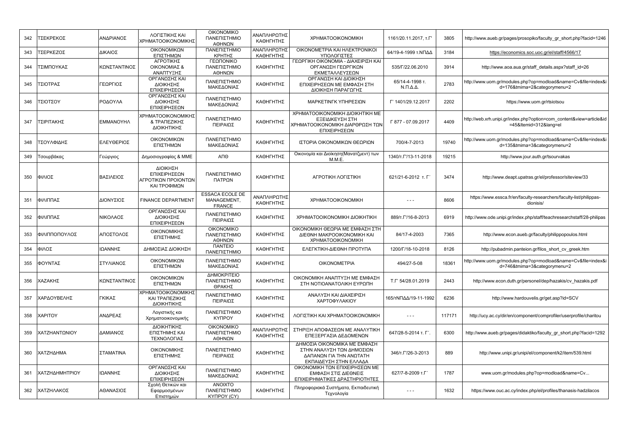| 342 | ΤΣΕΚΡΕΚΟΣ      | ΑΝΔΡΙΑΝΟΣ        | ΛΟΓΙΣΤΙΚΗΣ ΚΑΙ<br>ΧΡΗΜΑΤΟΟΙΚΟΝΟΜΙΚΗΣ                            | <b>OIKONOMIKO</b><br>ΠΑΝΕΠΙΣΤΗΜΙΟ<br>ΑΘΗΝΩΝ            | ΑΝΑΠΛΗΡΩΤΗΣ<br>ΚΑΘΗΓΗΤΗΣ | <b>XPHMATOOIKONOMIKH</b>                                                                                       | 1161/20.11.2017, T.F'                     | 3805   | http://www.aueb.gr/pages/prosopiko/faculty gr short.php?facid=1246                            |
|-----|----------------|------------------|-----------------------------------------------------------------|--------------------------------------------------------|--------------------------|----------------------------------------------------------------------------------------------------------------|-------------------------------------------|--------|-----------------------------------------------------------------------------------------------|
| 343 | ΓΣΕΡΚΕΖΟΣ      | ΔΙΚΑΙΟΣ          | ΟΙΚΟΝΟΜΙΚΩΝ<br>ΕΠΙΣΤΗΜΩΝ                                        | ΠΑΝΕΠΙΣΤΗΜΙΟ<br><b>ΚΡΗΤΗΣ</b>                          | ΑΝΑΠΛΗΡΩΤΗΣ<br>ΚΑΘΗΓΗΤΗΣ | OIKONOMETPIA KAI HAEKTPONIKOI<br>ΥΠΟΛΟΓΙΣΤΕΣ                                                                   | 64/19-4-1999 τ.ΝΠΔΔ                       | 3184   | https://economics.soc.uoc.gr/el/staff/4566/17                                                 |
| 344 | ΤΣΙΜΠΟΥΚΑΣ     | ΚΩΝΣΤΑΝΤΙΝΟΣ     | ΑΓΡΟΤΙΚΗΣ<br>ΟΙΚΟΝΟΜΙΑΣ &<br>ΑΝΑΠΤΥΞΗΣ                          | ΓΕΩΠΟΝΙΚΟ<br>ΠΑΝΕΠΙΣΤΗΜΙΟ<br>ΑΘΗΝΩΝ                    | ΚΑΘΗΓΗΤΗΣ                | ΓΕΩΡΓΙΚΗ ΟΙΚΟΝΟΜΙΑ - ΔΙΑΧΕΙΡΙΣΗ ΚΑΙ<br>ΟΡΓΑΝΩΣΗ ΓΕΩΡΓΙΚΩΝ<br>ΕΚΜΕΤΑΛΛΕΥΣΕΩΝ                                    | 535/F/22.06.2010                          | 3914   | http://www.aoa.aua.gr/staff details.aspx?staff id=26                                          |
| 345 | ΤΣΙΟΤΡΑΣ       | ΓΕΩΡΓΙΟΣ         | ΟΡΓΑΝΩΣΗΣ ΚΑΙ<br>ΔΙΟΙΚΗΣΗΣ<br>ΕΠΙΧΕΙΡΗΣΕΩΝ                      | ΠΑΝΕΠΙΣΤΗΜΙΟ<br>ΜΑΚΕΔΟΝΙΑΣ                             | ΚΑΘΗΓΗΤΗΣ                | ΟΡΓΑΝΩΣΗ ΚΑΙ ΔΙΟΙΚΗΣΗ<br>ΕΠΙΧΕΙΡΗΣΕΩΝ ΜΕ ΕΜΦΑΣΗ ΣΤΗ<br>ΔΙΟΙΚΗΣΗ ΠΑΡΑΓΩΓΗΣ                                      | 65/14-4-1998 т.<br>$N.\Pi.\Delta.\Delta.$ | 2783   | http://www.uom.gr/modules.php?op=modload&name=Cv&file=index&i<br>d=176&tmima=2&categorymenu=2 |
| 346 | ΤΣΙΟΤΣΟΥ       | ΡΟΔΟΥΛΑ          | ΟΡΓΑΝΩΣΗΣ ΚΑΙ<br>ΔΙΟΙΚΗΣΗΣ<br>ΕΠΙΧΕΙΡΗΣΕΩΝ                      | ΠΑΝΕΠΙΣΤΗΜΙΟ<br>ΜΑΚΕΔΟΝΙΑΣ                             | ΚΑΘΗΓΗΤΗΣ                | ΜΑΡΚΕΤΙΝΓΚ ΥΠΗΡΕΣΙΩΝ                                                                                           | Г' 1401/29.12.2017                        | 2202   | https://www.uom.gr/rtsiotsou                                                                  |
| 347 | ΤΣΙΡΙΤΑΚΗΣ     | <b>EMMANOYHA</b> | ΧΡΗΜΑΤΟΟΙΚΟΝΟΜΙΚΗΣ<br><b>&amp; ΤΡΑΠΕΖΙΚΗΣ</b><br>ΔΙΟΙΚΗΤΙΚΗΣ    | ΠΑΝΕΠΙΣΤΗΜΙΟ<br>ΠΕΙΡΑΙΩΣ                               | ΚΑΘΗΓΗΤΗΣ                | ΧΡΗΜΑΤΟΟΙΚΟΝΟΜΙΚΗ ΔΙΟΙΚΗΤΙΚΗ ΜΕ<br>ΕΞΕΙΔΙΚΕΥΣΗ ΣΤΗ<br>ΧΡΗΜΑΤΟΟΙΚΟΝΟΜΙΚΗ ΔΙΑΡΘΡΩΣΗ ΤΩΝ<br>ΕΠΙΧΕΙΡΗΣΕΩΝ          | Г 877 - 07.09.2017                        | 4409   | http://web.xrh.unipi.gr/index.php?option=com content&view=article&id<br>=45&Itemid=312⟨=el    |
| 348 | ΤΣΟΥΛΦΙΔΗΣ     | ΕΛΕΥΘΕΡΙΟΣ       | ΟΙΚΟΝΟΜΙΚΩΝ<br>ΕΠΙΣΤΗΜΩΝ                                        | ΠΑΝΕΠΙΣΤΗΜΙΟ<br>ΜΑΚΕΔΟΝΙΑΣ                             | ΚΑΘΗΓΗΤΗΣ                | ΙΣΤΟΡΙΑ ΟΙΚΟΝΟΜΙΚΩΝ ΘΕΩΡΙΩΝ                                                                                    | 700/4-7-2013                              | 19740  | http://www.uom.gr/modules.php?op=modload&name=Cv&file=index&i<br>d=135&tmima=3&categorymenu=2 |
| 349 | Γσουρβάκας     | Γεώργιος         | Δημοσιογραφίας & ΜΜΕ                                            | АПӨ                                                    | ΚΑΘΗΓΗΤΗΣ                | Οικονομία και Διοίκηση (Μανατζμεντ) των<br>M.M.E.                                                              | 1340/T. $\Gamma$ /13-11-2018              | 19215  | http://www.jour.auth.gr/tsourvakas                                                            |
| 350 | ΦΙΛΙΟΣ         | ΒΑΣΙΛΕΙΟΣ        | ΔΙΟΙΚΗΣΗ<br>ΕΠΙΧΕΙΡΗΣΕΩΝ<br>ΑΓΡΟΤΙΚΩΝ ΠΡΟΙΟΝΤΩΝ<br>ΚΑΙ ΤΡΟΦΙΜΩΝ | ΠΑΝΕΠΙΣΤΗΜΙΟ<br>ΠΑΤΡΩΝ                                 | ΚΑΘΗΓΗΤΗΣ                | ΑΓΡΟΤΙΚΗ ΛΟΓΙΣΤΙΚΗ                                                                                             | 621/21-6-2012 т. Г'                       | 3474   | http://www.deapt.upatras.gr/el/professor/siteview/33                                          |
| 351 | ΦΙΛΙΠΠΑΣ       | ΔΙΟΝΥΣΙΟΣ        | <b>FINANCE DEPARTMENT</b>                                       | <b>ESSACA ECOLE DE</b><br>MANAGEMENT,<br><b>FRANCE</b> | ΑΝΑΠΛΗΡΩΤΗΣ<br>ΚΑΘΗΓΗΤΗΣ | <b>XPHMATOOIKONOMIKH</b>                                                                                       | $- - -$                                   | 8606   | https://www.essca.fr/en/faculty-researchers/faculty-list/philippas-<br>dionisis/              |
| 352 | ΦΙΛΙΠΠΑΣ       | ΝΙΚΟΛΑΟΣ         | ΟΡΓΑΝΩΣΗΣ ΚΑΙ<br>ΔΙΟΙΚΗΣΗΣ<br>ΕΠΙΧΕΙΡΗΣΕΩΝ                      | ΠΑΝΕΠΙΣΤΗΜΙΟ<br>ΠΕΙΡΑΙΩΣ                               | ΚΑΘΗΓΗΤΗΣ                | ΧΡΗΜΑΤΟΟΙΚΟΝΟΜΙΚΗ ΔΙΟΙΚΗΤΙΚΗ                                                                                   | 889/T. L'/16-8-2013                       | 6919   | http://www.ode.unipi.gr/index.php/staff/teachresearchstaff/28-philipas                        |
| 353 | ΦΙΛΙΠΠΟΠΟΥΛΟΣ  | ΑΠΟΣΤΟΛΟΣ        | ΟΙΚΟΝΟΜΙΚΗΣ<br>ΕΠΙΣΤΗΜΗΣ                                        | <b>OIKONOMIKO</b><br>ΠΑΝΕΠΙΣΤΗΜΙΟ<br>ΑΘΗΝΩΝ            | ΚΑΘΗΓΗΤΗΣ                | ΟΙΚΟΝΟΜΙΚΗ ΘΕΩΡΙΑ ΜΕ ΕΜΦΑΣΗ ΣΤΗ<br>ΔΙΕΘΝΗ ΜΑΚΡΟΟΙΚΟΝΟΜΙΚΗ ΚΑΙ<br><b>XPHMATOOIKONOMIKH</b>                      | 84/17-4-2003                              | 7365   | http://www.econ.aueb.gr/faculty/philippopoulos.html                                           |
| 354 | ΦΙΛΟΣ          | ΙΩΑΝΝΗΣ          | ΔΗΜΟΣΙΑΣ ΔΙΟΙΚΗΣΗ                                               | <b><i><u>ITANTEIO</u></i></b><br>ΠΑΝΕΠΙΣΤΗΜΙΟ          | ΚΑΘΗΓΗΤΗΣ                | ΕΛΕΓΚΤΙΚΗ-ΔΙΕΘΝΗ ΠΡΟΤΥΠΑ                                                                                       | 1200/Г/18-10-2018                         | 8126   | http://pubadmin.panteion.gr/filos short cv greek.htm                                          |
| 355 | ΦΟΥΝΤΑΣ        | ΣΤΥΛΙΑΝΟΣ        | ΟΙΚΟΝΟΜΙΚΩΝ<br>ΕΠΙΣΤΗΜΩΝ                                        | ΠΑΝΕΠΙΣΤΗΜΙΟ<br>ΜΑΚΕΔΟΝΙΑΣ                             | ΚΑΘΗΓΗΤΗΣ                | <b>OIKONOMETPIA</b>                                                                                            | 494/27-5-08                               | 18361  | http://www.uom.gr/modules.php?op=modload&name=Cv&file=index&i<br>d=746&tmima=3&categorymenu=2 |
| 356 | ΧΑΖΑΚΗΣ        | ΚΩΝΣΤΑΝΤΙΝΟΣ     | ΟΙΚΟΝΟΜΙΚΩΝ<br>ΕΠΙΣΤΗΜΩΝ                                        | ΔΗΜΟΚΡΙΤΕΙΟ<br>ΠΑΝΕΠΙΣΤΗΜΙΟ<br>ΘΡΑΚΗΣ                  | ΚΑΘΗΓΗΤΗΣ                | ΟΙΚΟΝΟΜΙΚΗ ΑΝΑΠΤΥΞΗ ΜΕ ΕΜΦΑΣΗ<br>ΣΤΗ ΝΟΤΙΟΑΝΑΤΟΛΙΚΗ ΕΥΡΩΠΗ                                                     | T.F' 54/28.01.2019                        | 2443   | http://www.econ.duth.gr/personel/dep/hazakis/cv hazakis.pdf                                   |
| 357 | ΧΑΡΔΟΥΒΕΛΗΣ    | ΓΚΙΚΑΣ           | ΧΡΗΜΑΤΟΟΙΚΟΝΟΜΙΚΗΣ<br>ΚΑΙ ΤΡΑΠΕΖΙΚΗΣ<br>ΔΙΟΙΚΗΤΙΚΗΣ             | ΠΑΝΕΠΙΣΤΗΜΙΟ<br>ΠΕΙΡΑΙΩΣ                               | ΚΑΘΗΓΗΤΗΣ                | ΑΝΑΛΥΣΗ ΚΑΙ ΔΙΑΧΕΙΡΙΣΗ<br>ΧΑΡΤΟΦΥΛΑΚΙΟΥ                                                                        | 165/τΝΠΔΔ/19-11-1992                      | 6236   | http://www.hardouvelis.gr/get.asp?id=SCV                                                      |
| 358 | <b>XAPITOY</b> | ΑΝΔΡΕΑΣ          | Λογιστικής και<br>Χρηματοοικονομικής                            | ΠΑΝΕΠΙΣΤΗΜΙΟ<br><b>KYΠPOY</b>                          | ΚΑΘΗΓΗΤΗΣ                | ΛΟΓΙΣΤΙΚΗ ΚΑΙ ΧΡΗΜΑΤΟΟΙΚΟΝΟΜΙΚΗ                                                                                | $- - -$                                   | 117171 | http://ucy.ac.cy/dir/en/component/comprofiler/userprofile/charitou                            |
| 359 | ΧΑΤΖΗΑΝΤΩΝΙΟΥ  | ΔΑΜΙΑΝΟΣ         | ΔΙΟΙΚΗΤΙΚΗΣ<br>ΕΠΙΣΤΗΜΗΣ ΚΑΙ<br>ΤΕΧΝΟΛΟΓΙΑΣ                     | <b>OIKONOMIKO</b><br>ΠΑΝΕΠΙΣΤΗΜΙΟ<br>ΑΘΗΝΩΝ            | ΑΝΑΠΛΗΡΩΤΗΣ<br>ΚΑΘΗΓΗΤΗΣ | ΣΤΗΡΙΞΗ ΑΠΟΦΑΣΕΩΝ ΜΕ ΑΝΑΛΥΤΙΚΗ<br>ΕΠΕΞΕΡΓΑΣΙΑ ΔΕΔΟΜΕΝΩΝ                                                        | 647/28-5-2014 т. Г'                       | 6300   | http://www.aueb.gr/pages/didaktiko/faculty_gr_short.php?facid=1292                            |
| 360 | ΧΑΤΖΗΔΗΜΑ      | ΣΤΑΜΑΤΙΝΑ        | ΟΙΚΟΝΟΜΙΚΗΣ<br>ΕΠΙΣΤΗΜΗΣ                                        | ΠΑΝΕΠΙΣΤΗΜΙΟ<br>ΠΕΙΡΑΙΩΣ                               | ΚΑΘΗΓΗΤΗΣ                | ΔΗΜΟΣΙΑ ΟΙΚΟΝΟΜΙΚΑ ΜΕ ΕΜΦΑΣΗ<br>ΣΤΗΝ ΑΝΑΛΥΣΗ ΤΩΝ ΔΗΜΟΣΙΩΝ<br>ΔΑΠΑΝΩΝ ΓΙΑ ΤΗΝ ΑΝΩΤΑΤΗ<br>ΕΚΠΑΙΔΕΥΣΗ ΣΤΗΝ ΕΛΛΑΔΑ | 346/т.Г'/26-3-2013                        | 889    | http://www.unipi.gr/unipi/el/component/k2/item/539.html                                       |
| 361 | ΧΑΤΖΗΔΗΜΗΤΡΙΟΥ | ΙΩΑΝΝΗΣ          | ΟΡΓΑΝΩΣΗΣ ΚΑΙ<br>ΔΙΟΙΚΗΣΗΣ<br>ΕΠΙΧΕΙΡΗΣΕΩΝ                      | ΠΑΝΕΠΙΣΤΗΜΙΟ<br>ΜΑΚΕΔΟΝΙΑΣ                             | ΚΑΘΗΓΗΤΗΣ                | ΟΙΚΟΝΟΜΙΚΗ ΤΩΝ ΕΠΙΧΕΙΡΗΣΕΩΝ ΜΕ<br>ΕΜΦΑΣΗ ΣΤΙΣ ΔΙΕΘΝΕΙΣ<br>ΕΠΙΧΕΙΡΗΜΑΤΙΚΕΣ ΔΡΑΣΤΗΡΙΟΤΗΤΕΣ                       | 627/7-8-2009 т.Г'                         | 1787   | www.uom.gr/modules.php?op=modload&name=Cv                                                     |
| 362 | ΧΑΤΖΗΛΑΚΟΣ     | ΑΘΑΝΑΣΙΟΣ        | Σχολή Θετικών και<br>Εφαρμοσμένων<br>Επιστημών                  | <b>ANOIXTO</b><br>ΠΑΝΕΠΙΣΤΗΜΙΟ<br>KYΠPOY (CY)          | ΚΑΘΗΓΗΤΗΣ                | Πληροφοριακά Συστήματα, Εκπαιδευτική<br>Τεχνολογία                                                             | $\sim$ $\sim$ $\sim$                      | 1632   | https://www.ouc.ac.cy/index.php/el/profiles/thanasis-hadzilacos                               |